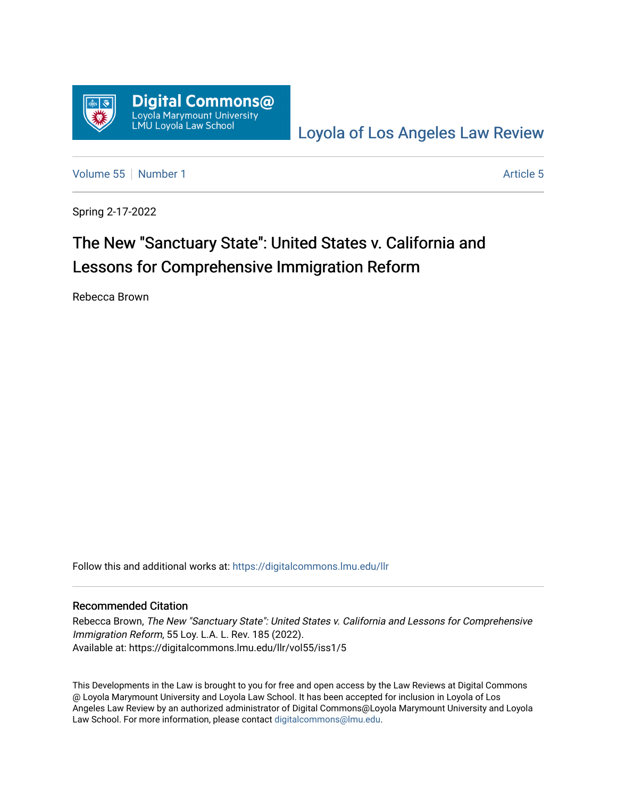

[Loyola of Los Angeles Law Review](https://digitalcommons.lmu.edu/llr) 

[Volume 55](https://digitalcommons.lmu.edu/llr/vol55) [Number 1](https://digitalcommons.lmu.edu/llr/vol55/iss1) [Article 5](https://digitalcommons.lmu.edu/llr/vol55/iss1/5) Article 5

Spring 2-17-2022

# The New "Sanctuary State": United States v. California and Lessons for Comprehensive Immigration Reform

Rebecca Brown

Follow this and additional works at: [https://digitalcommons.lmu.edu/llr](https://digitalcommons.lmu.edu/llr?utm_source=digitalcommons.lmu.edu%2Fllr%2Fvol55%2Fiss1%2F5&utm_medium=PDF&utm_campaign=PDFCoverPages) 

## Recommended Citation

Rebecca Brown, The New "Sanctuary State": United States v. California and Lessons for Comprehensive Immigration Reform, 55 Loy. L.A. L. Rev. 185 (2022). Available at: https://digitalcommons.lmu.edu/llr/vol55/iss1/5

This Developments in the Law is brought to you for free and open access by the Law Reviews at Digital Commons @ Loyola Marymount University and Loyola Law School. It has been accepted for inclusion in Loyola of Los Angeles Law Review by an authorized administrator of Digital Commons@Loyola Marymount University and Loyola Law School. For more information, please contact [digitalcommons@lmu.edu.](mailto:digitalcommons@lmu.edu)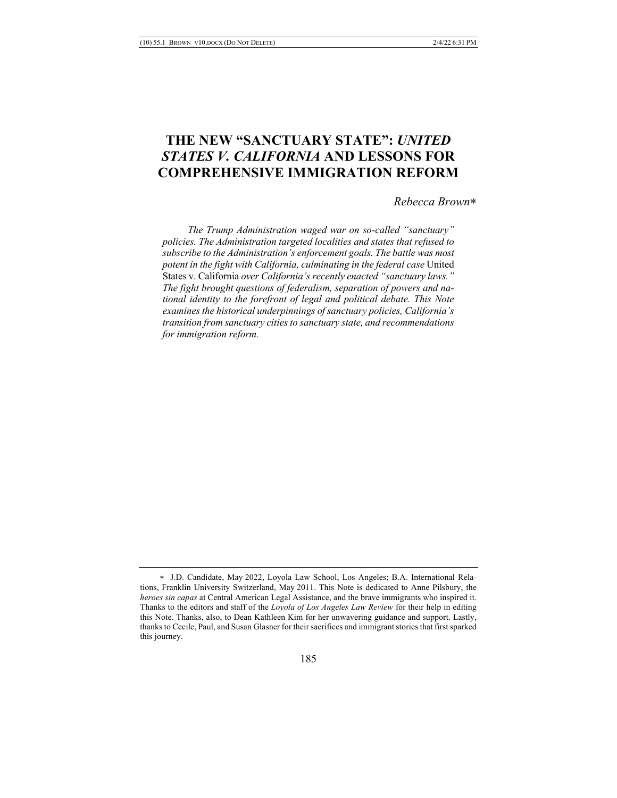## **THE NEW "SANCTUARY STATE":** *UNITED STATES V. CALIFORNIA* **AND LESSONS FOR COMPREHENSIVE IMMIGRATION REFORM**

*Rebecca Brown*\*

 *The Trump Administration waged war on so-called "sanctuary" policies. The Administration targeted localities and states that refused to subscribe to the Administration's enforcement goals. The battle was most potent in the fight with California, culminating in the federal case* United States v. California *over California's recently enacted "sanctuary laws." The fight brought questions of federalism, separation of powers and national identity to the forefront of legal and political debate. This Note examines the historical underpinnings of sanctuary policies, California's transition from sanctuary cities to sanctuary state, and recommendations for immigration reform.*

<sup>\*</sup> J.D. Candidate, May 2022, Loyola Law School, Los Angeles; B.A. International Relations, Franklin University Switzerland, May 2011. This Note is dedicated to Anne Pilsbury, the *heroes sin capas* at Central American Legal Assistance, and the brave immigrants who inspired it. Thanks to the editors and staff of the *Loyola of Los Angeles Law Review* for their help in editing this Note. Thanks, also, to Dean Kathleen Kim for her unwavering guidance and support. Lastly, thanks to Cecile, Paul, and Susan Glasner for their sacrifices and immigrant stories that first sparked this journey.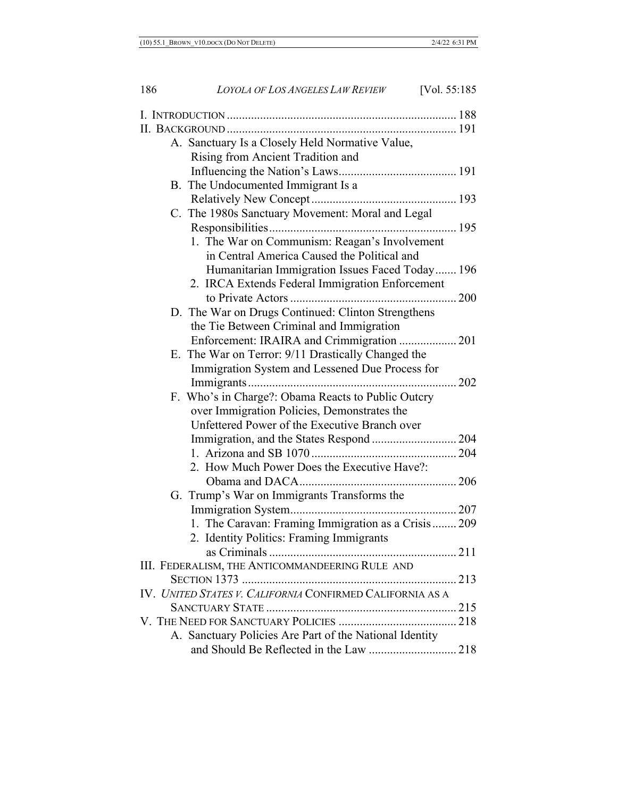| A. Sanctuary Is a Closely Held Normative Value,           |  |
|-----------------------------------------------------------|--|
| Rising from Ancient Tradition and                         |  |
|                                                           |  |
| B. The Undocumented Immigrant Is a                        |  |
|                                                           |  |
| C. The 1980s Sanctuary Movement: Moral and Legal          |  |
|                                                           |  |
| 1. The War on Communism: Reagan's Involvement             |  |
| in Central America Caused the Political and               |  |
| Humanitarian Immigration Issues Faced Today 196           |  |
| 2. IRCA Extends Federal Immigration Enforcement           |  |
|                                                           |  |
| D. The War on Drugs Continued: Clinton Strengthens        |  |
| the Tie Between Criminal and Immigration                  |  |
| Enforcement: IRAIRA and Crimmigration  201                |  |
| E. The War on Terror: 9/11 Drastically Changed the        |  |
| Immigration System and Lessened Due Process for           |  |
|                                                           |  |
| F. Who's in Charge?: Obama Reacts to Public Outcry        |  |
| over Immigration Policies, Demonstrates the               |  |
| Unfettered Power of the Executive Branch over             |  |
| Immigration, and the States Respond  204                  |  |
|                                                           |  |
| 2. How Much Power Does the Executive Have?:               |  |
|                                                           |  |
| G. Trump's War on Immigrants Transforms the               |  |
|                                                           |  |
| 1. The Caravan: Framing Immigration as a Crisis 209       |  |
| 2. Identity Politics: Framing Immigrants                  |  |
|                                                           |  |
| III. FEDERALISM, THE ANTICOMMANDEERING RULE AND           |  |
|                                                           |  |
| IV. UNITED STATES V. CALIFORNIA CONFIRMED CALIFORNIA AS A |  |
|                                                           |  |
|                                                           |  |
| A. Sanctuary Policies Are Part of the National Identity   |  |
|                                                           |  |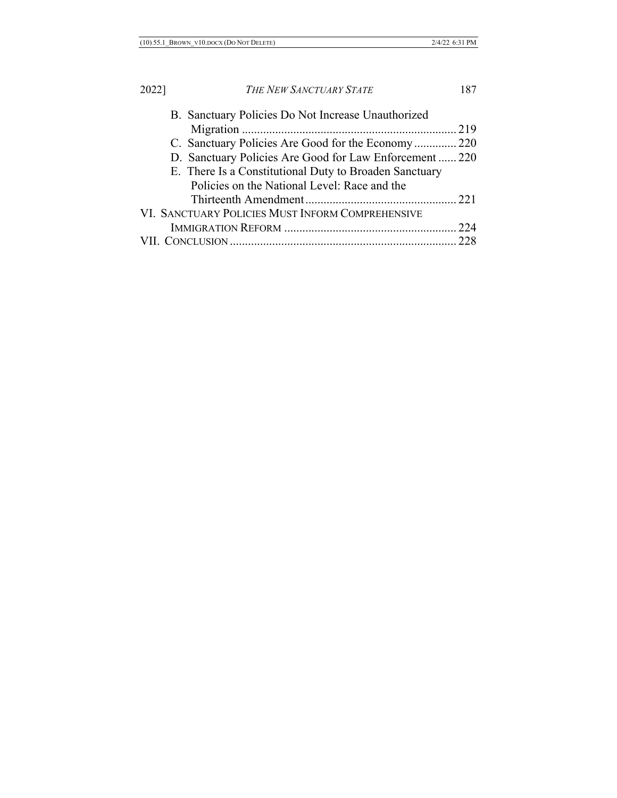| B. Sanctuary Policies Do Not Increase Unauthorized      |  |
|---------------------------------------------------------|--|
|                                                         |  |
| C. Sanctuary Policies Are Good for the Economy 220      |  |
| D. Sanctuary Policies Are Good for Law Enforcement  220 |  |
| E. There Is a Constitutional Duty to Broaden Sanctuary  |  |
| Policies on the National Level: Race and the            |  |
|                                                         |  |
| VI. SANCTUARY POLICIES MUST INFORM COMPREHENSIVE        |  |
|                                                         |  |
|                                                         |  |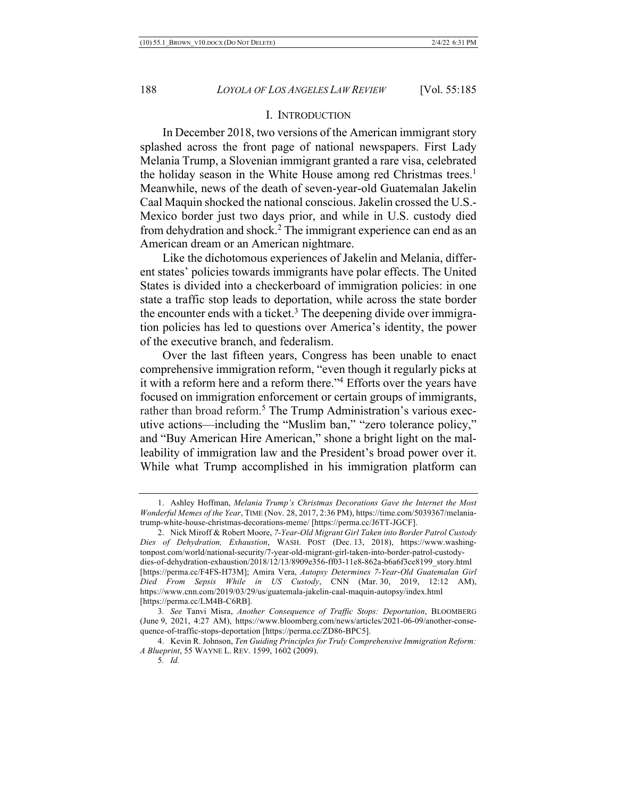#### I. INTRODUCTION

In December 2018, two versions of the American immigrant story splashed across the front page of national newspapers. First Lady Melania Trump, a Slovenian immigrant granted a rare visa, celebrated the holiday season in the White House among red Christmas trees.<sup>1</sup> Meanwhile, news of the death of seven-year-old Guatemalan Jakelin Caal Maquin shocked the national conscious. Jakelin crossed the U.S.- Mexico border just two days prior, and while in U.S. custody died from dehydration and shock.2 The immigrant experience can end as an American dream or an American nightmare.

Like the dichotomous experiences of Jakelin and Melania, different states' policies towards immigrants have polar effects. The United States is divided into a checkerboard of immigration policies: in one state a traffic stop leads to deportation, while across the state border the encounter ends with a ticket.<sup>3</sup> The deepening divide over immigration policies has led to questions over America's identity, the power of the executive branch, and federalism.

Over the last fifteen years, Congress has been unable to enact comprehensive immigration reform, "even though it regularly picks at it with a reform here and a reform there."4 Efforts over the years have focused on immigration enforcement or certain groups of immigrants, rather than broad reform.<sup>5</sup> The Trump Administration's various executive actions—including the "Muslim ban," "zero tolerance policy," and "Buy American Hire American," shone a bright light on the malleability of immigration law and the President's broad power over it. While what Trump accomplished in his immigration platform can

<sup>1.</sup> Ashley Hoffman, *Melania Trump's Christmas Decorations Gave the Internet the Most Wonderful Memes of the Year*, TIME (Nov. 28, 2017, 2:36 PM), https://time.com/5039367/melaniatrump-white-house-christmas-decorations-meme/ [https://perma.cc/J6TT-JGCF].

<sup>2.</sup> Nick Miroff & Robert Moore, *7-Year-Old Migrant Girl Taken into Border Patrol Custody Dies of Dehydration, Exhaustion*, WASH. POST (Dec. 13, 2018), https://www.washingtonpost.com/world/national-security/7-year-old-migrant-girl-taken-into-border-patrol-custodydies-of-dehydration-exhaustion/2018/12/13/8909e356-ff03-11e8-862a-b6a6f3ce8199\_story.html [https://perma.cc/F4FS-H73M]; Amira Vera, *Autopsy Determines 7-Year-Old Guatemalan Girl Died From Sepsis While in US Custody*, CNN (Mar. 30, 2019, 12:12 AM), https://www.cnn.com/2019/03/29/us/guatemala-jakelin-caal-maquin-autopsy/index.html [https://perma.cc/LM4B-C6RB].

<sup>3</sup>*. See* Tanvi Misra, *Another Consequence of Traffic Stops: Deportation*, BLOOMBERG (June 9, 2021, 4:27 AM), https://www.bloomberg.com/news/articles/2021-06-09/another-consequence-of-traffic-stops-deportation [https://perma.cc/ZD86-BPC5].

<sup>4.</sup> Kevin R. Johnson, *Ten Guiding Principles for Truly Comprehensive Immigration Reform: A Blueprint*, 55 WAYNE L. REV. 1599, 1602 (2009).

<sup>5</sup>*. Id.*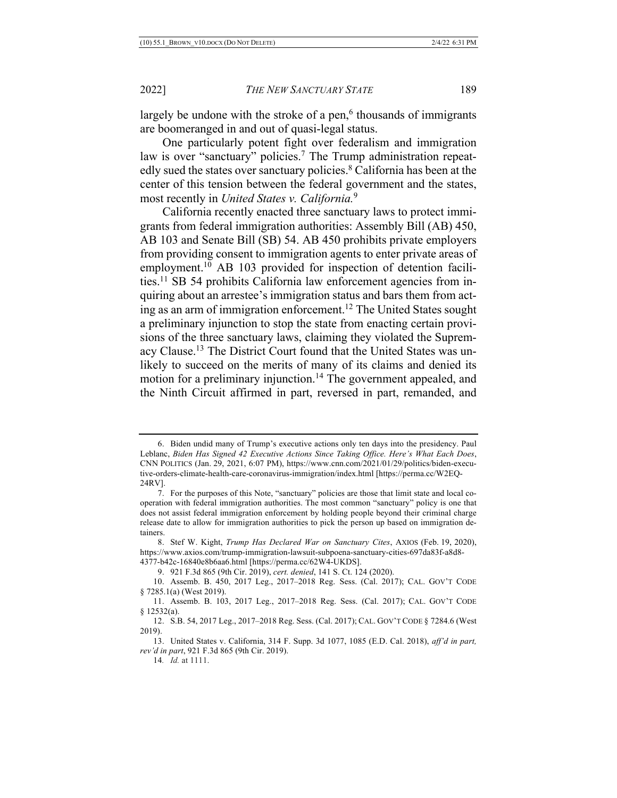largely be undone with the stroke of a pen, $6$  thousands of immigrants are boomeranged in and out of quasi-legal status.

One particularly potent fight over federalism and immigration law is over "sanctuary" policies.<sup>7</sup> The Trump administration repeatedly sued the states over sanctuary policies.<sup>8</sup> California has been at the center of this tension between the federal government and the states, most recently in *United States v. California.*<sup>9</sup>

California recently enacted three sanctuary laws to protect immigrants from federal immigration authorities: Assembly Bill (AB) 450, AB 103 and Senate Bill (SB) 54. AB 450 prohibits private employers from providing consent to immigration agents to enter private areas of employment.<sup>10</sup> AB 103 provided for inspection of detention facilities.11 SB 54 prohibits California law enforcement agencies from inquiring about an arrestee's immigration status and bars them from acting as an arm of immigration enforcement.12 The United States sought a preliminary injunction to stop the state from enacting certain provisions of the three sanctuary laws, claiming they violated the Supremacy Clause.13 The District Court found that the United States was unlikely to succeed on the merits of many of its claims and denied its motion for a preliminary injunction.<sup>14</sup> The government appealed, and the Ninth Circuit affirmed in part, reversed in part, remanded, and

<sup>6.</sup> Biden undid many of Trump's executive actions only ten days into the presidency. Paul Leblanc, *Biden Has Signed 42 Executive Actions Since Taking Office. Here's What Each Does*, CNN POLITICS (Jan. 29, 2021, 6:07 PM), https://www.cnn.com/2021/01/29/politics/biden-executive-orders-climate-health-care-coronavirus-immigration/index.html [https://perma.cc/W2EQ-24RV].

<sup>7.</sup> For the purposes of this Note, "sanctuary" policies are those that limit state and local cooperation with federal immigration authorities. The most common "sanctuary" policy is one that does not assist federal immigration enforcement by holding people beyond their criminal charge release date to allow for immigration authorities to pick the person up based on immigration detainers.

<sup>8.</sup> Stef W. Kight, *Trump Has Declared War on Sanctuary Cites*, AXIOS (Feb. 19, 2020), https://www.axios.com/trump-immigration-lawsuit-subpoena-sanctuary-cities-697da83f-a8d8- 4377-b42c-16840e8b6aa6.html [https://perma.cc/62W4-UKDS].

<sup>9.</sup> 921 F.3d 865 (9th Cir. 2019), *cert. denied*, 141 S. Ct. 124 (2020).

<sup>10.</sup> Assemb. B. 450, 2017 Leg., 2017–2018 Reg. Sess. (Cal. 2017); CAL. GOV'T CODE § 7285.1(a) (West 2019).

<sup>11.</sup> Assemb. B. 103, 2017 Leg., 2017–2018 Reg. Sess. (Cal. 2017); CAL. GOV'T CODE § 12532(a).

<sup>12.</sup> S.B. 54, 2017 Leg., 2017–2018 Reg. Sess. (Cal. 2017); CAL. GOV'T CODE § 7284.6 (West 2019).

<sup>13.</sup> United States v. California, 314 F. Supp. 3d 1077, 1085 (E.D. Cal. 2018), *aff'd in part, rev'd in part*, 921 F.3d 865 (9th Cir. 2019).

<sup>14</sup>*. Id.* at 1111.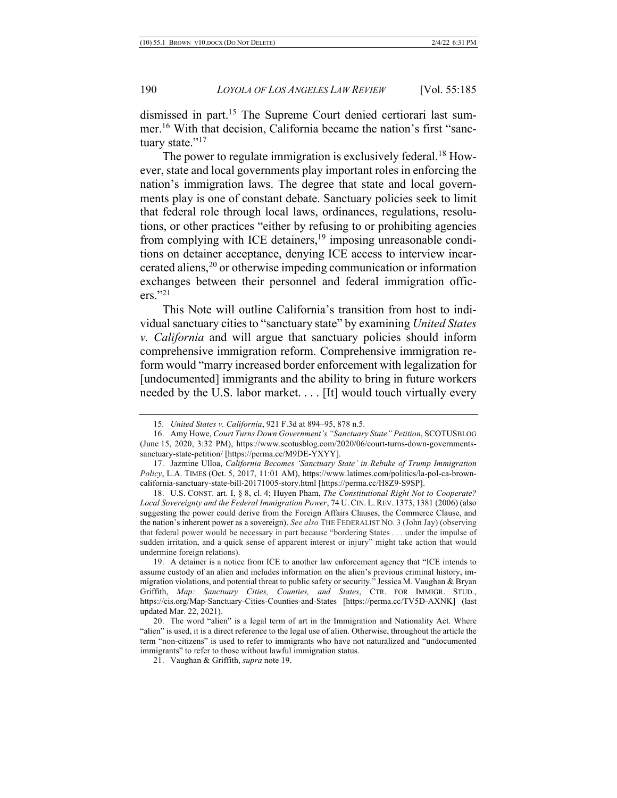dismissed in part.15 The Supreme Court denied certiorari last summer.16 With that decision, California became the nation's first "sanctuary state."<sup>17</sup>

The power to regulate immigration is exclusively federal.<sup>18</sup> However, state and local governments play important roles in enforcing the nation's immigration laws. The degree that state and local governments play is one of constant debate. Sanctuary policies seek to limit that federal role through local laws, ordinances, regulations, resolutions, or other practices "either by refusing to or prohibiting agencies from complying with ICE detainers,<sup>19</sup> imposing unreasonable conditions on detainer acceptance, denying ICE access to interview incarcerated aliens, <sup>20</sup> or otherwise impeding communication or information exchanges between their personnel and federal immigration officers."21

This Note will outline California's transition from host to individual sanctuary cities to "sanctuary state" by examining *United States v. California* and will argue that sanctuary policies should inform comprehensive immigration reform. Comprehensive immigration reform would "marry increased border enforcement with legalization for [undocumented] immigrants and the ability to bring in future workers needed by the U.S. labor market. . . . [It] would touch virtually every

18. U.S. CONST. art. I, § 8, cl. 4; Huyen Pham, *The Constitutional Right Not to Cooperate? Local Sovereignty and the Federal Immigration Power*, 74 U. CIN. L. REV. 1373, 1381 (2006) (also suggesting the power could derive from the Foreign Affairs Clauses, the Commerce Clause, and the nation's inherent power as a sovereign). *See also* THE FEDERALIST NO. 3 (John Jay) (observing that federal power would be necessary in part because "bordering States . . . under the impulse of sudden irritation, and a quick sense of apparent interest or injury" might take action that would undermine foreign relations).

19. A detainer is a notice from ICE to another law enforcement agency that "ICE intends to assume custody of an alien and includes information on the alien's previous criminal history, immigration violations, and potential threat to public safety or security." Jessica M. Vaughan & Bryan Griffith, *Map: Sanctuary Cities, Counties, and States*, CTR. FOR IMMIGR. STUD., https://cis.org/Map-Sanctuary-Cities-Counties-and-States [https://perma.cc/TV5D-AXNK] (last updated Mar. 22, 2021).

<sup>15</sup>*. United States v. California*, 921 F.3d at 894–95, 878 n.5.

<sup>16.</sup> Amy Howe, *Court Turns Down Government's "Sanctuary State" Petition*, SCOTUSBLOG (June 15, 2020, 3:32 PM), https://www.scotusblog.com/2020/06/court-turns-down-governmentssanctuary-state-petition/ [https://perma.cc/M9DE-YXYY].

<sup>17.</sup> Jazmine Ulloa, *California Becomes 'Sanctuary State' in Rebuke of Trump Immigration Policy*, L.A. TIMES (Oct. 5, 2017, 11:01 AM), https://www.latimes.com/politics/la-pol-ca-browncalifornia-sanctuary-state-bill-20171005-story.html [https://perma.cc/H8Z9-S9SP].

<sup>20.</sup> The word "alien" is a legal term of art in the Immigration and Nationality Act. Where "alien" is used, it is a direct reference to the legal use of alien. Otherwise, throughout the article the term "non-citizens" is used to refer to immigrants who have not naturalized and "undocumented immigrants" to refer to those without lawful immigration status.

<sup>21.</sup> Vaughan & Griffith, *supra* note 19.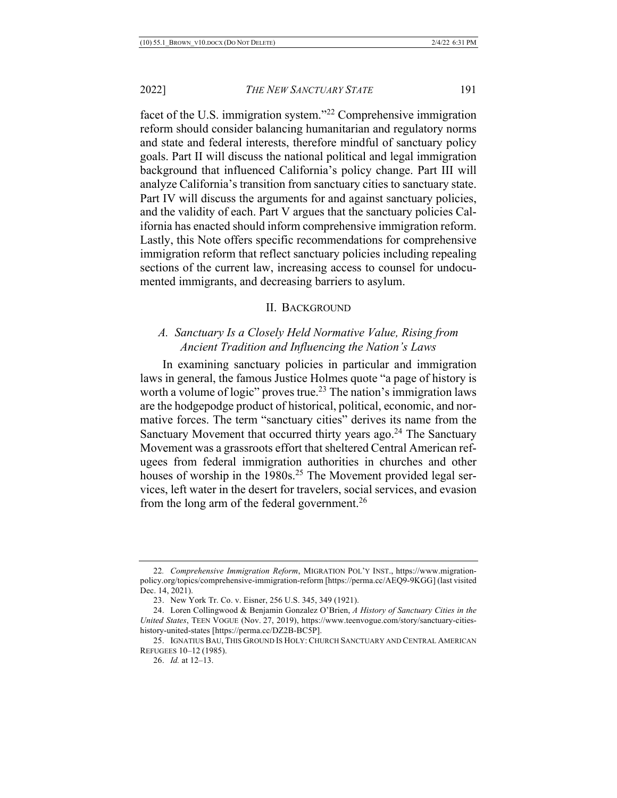facet of the U.S. immigration system."22 Comprehensive immigration reform should consider balancing humanitarian and regulatory norms and state and federal interests, therefore mindful of sanctuary policy goals. Part II will discuss the national political and legal immigration background that influenced California's policy change. Part III will analyze California's transition from sanctuary cities to sanctuary state. Part IV will discuss the arguments for and against sanctuary policies, and the validity of each. Part V argues that the sanctuary policies California has enacted should inform comprehensive immigration reform. Lastly, this Note offers specific recommendations for comprehensive immigration reform that reflect sanctuary policies including repealing sections of the current law, increasing access to counsel for undocumented immigrants, and decreasing barriers to asylum.

#### II. BACKGROUND

## *A. Sanctuary Is a Closely Held Normative Value, Rising from Ancient Tradition and Influencing the Nation's Laws*

In examining sanctuary policies in particular and immigration laws in general, the famous Justice Holmes quote "a page of history is worth a volume of logic" proves true.<sup>23</sup> The nation's immigration laws are the hodgepodge product of historical, political, economic, and normative forces. The term "sanctuary cities" derives its name from the Sanctuary Movement that occurred thirty years ago.<sup>24</sup> The Sanctuary Movement was a grassroots effort that sheltered Central American refugees from federal immigration authorities in churches and other houses of worship in the  $1980s<sup>25</sup>$  The Movement provided legal services, left water in the desert for travelers, social services, and evasion from the long arm of the federal government.<sup>26</sup>

<sup>22</sup>*. Comprehensive Immigration Reform*, MIGRATION POL'Y INST., https://www.migrationpolicy.org/topics/comprehensive-immigration-reform [https://perma.cc/AEQ9-9KGG] (last visited Dec. 14, 2021).

<sup>23.</sup> New York Tr. Co. v. Eisner, 256 U.S. 345, 349 (1921).

<sup>24.</sup> Loren Collingwood & Benjamin Gonzalez O'Brien, *A History of Sanctuary Cities in the United States*, TEEN VOGUE (Nov. 27, 2019), https://www.teenvogue.com/story/sanctuary-citieshistory-united-states [https://perma.cc/DZ2B-BC5P].

<sup>25.</sup> IGNATIUS BAU, THIS GROUND IS HOLY: CHURCH SANCTUARY AND CENTRAL AMERICAN REFUGEES 10–12 (1985).

<sup>26.</sup> *Id.* at 12–13.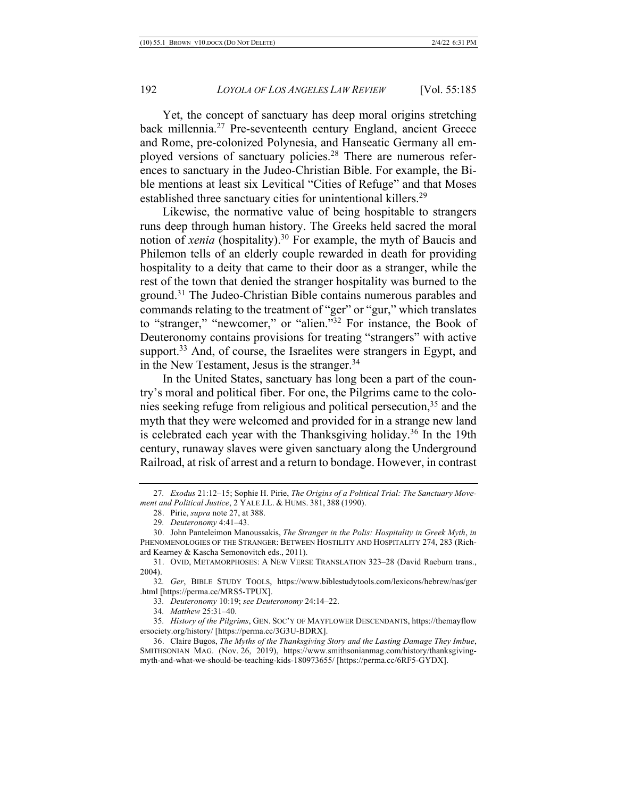Yet, the concept of sanctuary has deep moral origins stretching back millennia.<sup>27</sup> Pre-seventeenth century England, ancient Greece and Rome, pre-colonized Polynesia, and Hanseatic Germany all employed versions of sanctuary policies.28 There are numerous references to sanctuary in the Judeo-Christian Bible. For example, the Bible mentions at least six Levitical "Cities of Refuge" and that Moses established three sanctuary cities for unintentional killers.<sup>29</sup>

Likewise, the normative value of being hospitable to strangers runs deep through human history. The Greeks held sacred the moral notion of *xenia* (hospitality).30 For example, the myth of Baucis and Philemon tells of an elderly couple rewarded in death for providing hospitality to a deity that came to their door as a stranger, while the rest of the town that denied the stranger hospitality was burned to the ground.31 The Judeo-Christian Bible contains numerous parables and commands relating to the treatment of "ger" or "gur," which translates to "stranger," "newcomer," or "alien."32 For instance, the Book of Deuteronomy contains provisions for treating "strangers" with active support.<sup>33</sup> And, of course, the Israelites were strangers in Egypt, and in the New Testament, Jesus is the stranger.<sup>34</sup>

In the United States, sanctuary has long been a part of the country's moral and political fiber. For one, the Pilgrims came to the colonies seeking refuge from religious and political persecution,  $3<sup>5</sup>$  and the myth that they were welcomed and provided for in a strange new land is celebrated each year with the Thanksgiving holiday.<sup>36</sup> In the 19th century, runaway slaves were given sanctuary along the Underground Railroad, at risk of arrest and a return to bondage. However, in contrast

<sup>27</sup>*. Exodus* 21:12–15; Sophie H. Pirie, *The Origins of a Political Trial: The Sanctuary Movement and Political Justice*, 2 YALE J.L. & HUMS. 381, 388 (1990).

<sup>28.</sup> Pirie, *supra* note 27, at 388.

<sup>29</sup>*. Deuteronomy* 4:41–43.

<sup>30.</sup> John Panteleimon Manoussakis, *The Stranger in the Polis: Hospitality in Greek Myth*, *in* PHENOMENOLOGIES OF THE STRANGER: BETWEEN HOSTILITY AND HOSPITALITY 274, 283 (Richard Kearney & Kascha Semonovitch eds., 2011).

<sup>31.</sup> OVID, METAMORPHOSES: A NEW VERSE TRANSLATION 323–28 (David Raeburn trans., 2004).

<sup>32</sup>*. Ger*, BIBLE STUDY TOOLS, https://www.biblestudytools.com/lexicons/hebrew/nas/ger .html [https://perma.cc/MRS5-TPUX].

<sup>33</sup>*. Deuteronomy* 10:19; *see Deuteronomy* 24:14–22.

<sup>34</sup>*. Matthew* 25:31–40.

<sup>35</sup>*. History of the Pilgrims*, GEN. SOC'Y OF MAYFLOWER DESCENDANTS, https://themayflow ersociety.org/history/ [https://perma.cc/3G3U-BDRX].

<sup>36.</sup> Claire Bugos, *The Myths of the Thanksgiving Story and the Lasting Damage They Imbue*, SMITHSONIAN MAG. (Nov. 26, 2019), https://www.smithsonianmag.com/history/thanksgivingmyth-and-what-we-should-be-teaching-kids-180973655/ [https://perma.cc/6RF5-GYDX].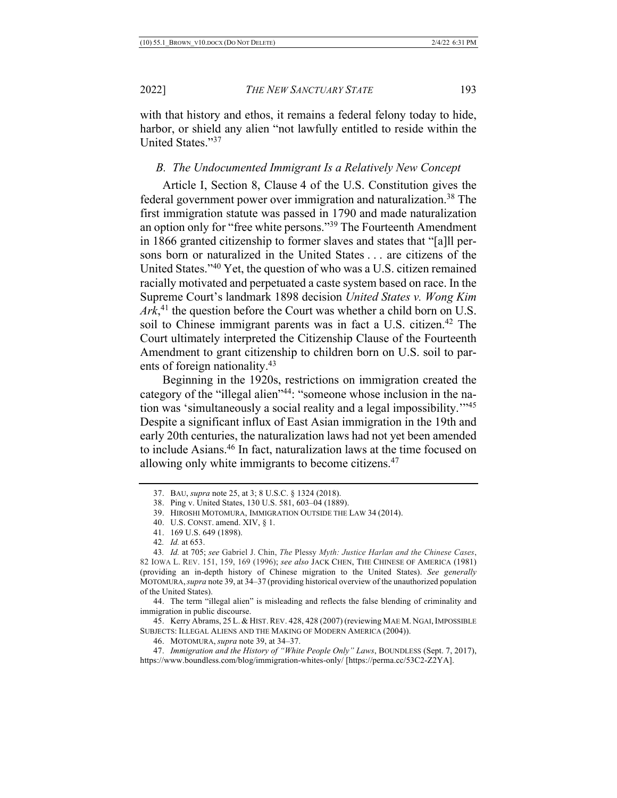with that history and ethos, it remains a federal felony today to hide, harbor, or shield any alien "not lawfully entitled to reside within the United States."37

## *B. The Undocumented Immigrant Is a Relatively New Concept*

Article I, Section 8, Clause 4 of the U.S. Constitution gives the federal government power over immigration and naturalization.38 The first immigration statute was passed in 1790 and made naturalization an option only for "free white persons."39 The Fourteenth Amendment in 1866 granted citizenship to former slaves and states that "[a]ll persons born or naturalized in the United States . . . are citizens of the United States."40 Yet, the question of who was a U.S. citizen remained racially motivated and perpetuated a caste system based on race. In the Supreme Court's landmark 1898 decision *United States v. Wong Kim Ark*, <sup>41</sup> the question before the Court was whether a child born on U.S. soil to Chinese immigrant parents was in fact a U.S. citizen.<sup>42</sup> The Court ultimately interpreted the Citizenship Clause of the Fourteenth Amendment to grant citizenship to children born on U.S. soil to parents of foreign nationality.43

Beginning in the 1920s, restrictions on immigration created the category of the "illegal alien"44: "someone whose inclusion in the nation was 'simultaneously a social reality and a legal impossibility.'"45 Despite a significant influx of East Asian immigration in the 19th and early 20th centuries, the naturalization laws had not yet been amended to include Asians.46 In fact, naturalization laws at the time focused on allowing only white immigrants to become citizens.<sup>47</sup>

- 40. U.S. CONST. amend. XIV, § 1.
- 41. 169 U.S. 649 (1898).
- 42*. Id.* at 653.

44. The term "illegal alien" is misleading and reflects the false blending of criminality and immigration in public discourse.

45. Kerry Abrams, 25 L. & HIST. REV. 428, 428 (2007) (reviewing MAE M. NGAI, IMPOSSIBLE SUBJECTS: ILLEGAL ALIENS AND THE MAKING OF MODERN AMERICA (2004)).

46. MOTOMURA, *supra* note 39, at 34–37.

47. *Immigration and the History of "White People Only" Laws*, BOUNDLESS (Sept. 7, 2017), https://www.boundless.com/blog/immigration-whites-only/ [https://perma.cc/53C2-Z2YA].

<sup>37.</sup> BAU, *supra* note 25, at 3; 8 U.S.C. § 1324 (2018).

<sup>38.</sup> Ping v. United States, 130 U.S. 581, 603–04 (1889).

<sup>39.</sup> HIROSHI MOTOMURA, IMMIGRATION OUTSIDE THE LAW 34 (2014).

<sup>43</sup>*. Id.* at 705; *see* Gabriel J. Chin, *The* Plessy *Myth: Justice Harlan and the Chinese Cases*, 82 IOWA L. REV. 151, 159, 169 (1996); *see also* JACK CHEN, THE CHINESE OF AMERICA (1981) (providing an in-depth history of Chinese migration to the United States). *See generally*  MOTOMURA,*supra* note 39, at 34–37 (providing historical overview of the unauthorized population of the United States).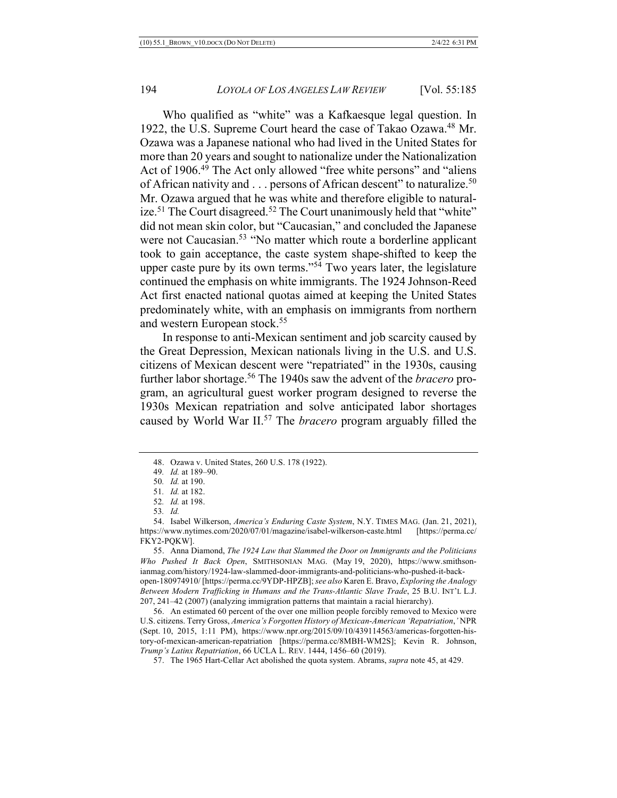Who qualified as "white" was a Kafkaesque legal question. In 1922, the U.S. Supreme Court heard the case of Takao Ozawa.<sup>48</sup> Mr. Ozawa was a Japanese national who had lived in the United States for more than 20 years and sought to nationalize under the Nationalization Act of 1906.<sup>49</sup> The Act only allowed "free white persons" and "aliens" of African nativity and  $\ldots$  persons of African descent" to naturalize.<sup>50</sup> Mr. Ozawa argued that he was white and therefore eligible to naturalize.<sup>51</sup> The Court disagreed.<sup>52</sup> The Court unanimously held that "white" did not mean skin color, but "Caucasian," and concluded the Japanese were not Caucasian.<sup>53</sup> "No matter which route a borderline applicant took to gain acceptance, the caste system shape-shifted to keep the upper caste pure by its own terms."<sup>54</sup> Two years later, the legislature continued the emphasis on white immigrants. The 1924 Johnson-Reed Act first enacted national quotas aimed at keeping the United States predominately white, with an emphasis on immigrants from northern and western European stock.<sup>55</sup>

In response to anti-Mexican sentiment and job scarcity caused by the Great Depression, Mexican nationals living in the U.S. and U.S. citizens of Mexican descent were "repatriated" in the 1930s, causing further labor shortage.56 The 1940s saw the advent of the *bracero* program, an agricultural guest worker program designed to reverse the 1930s Mexican repatriation and solve anticipated labor shortages caused by World War II.57 The *bracero* program arguably filled the

57. The 1965 Hart-Cellar Act abolished the quota system. Abrams, *supra* note 45, at 429.

<sup>48.</sup> Ozawa v. United States, 260 U.S. 178 (1922).

<sup>49</sup>*. Id.* at 189–90.

<sup>50</sup>*. Id.* at 190.

<sup>51</sup>*. Id.* at 182.

<sup>52</sup>*. Id.* at 198.

<sup>53</sup>*. Id.*

<sup>54.</sup> Isabel Wilkerson, *America's Enduring Caste System*, N.Y. TIMES MAG. (Jan. 21, 2021), https://www.nytimes.com/2020/07/01/magazine/isabel-wilkerson-caste.html [https://perma.cc/ FKY2-PQKW].

<sup>55.</sup> Anna Diamond, *The 1924 Law that Slammed the Door on Immigrants and the Politicians Who Pushed It Back Open*, SMITHSONIAN MAG. (May 19, 2020), https://www.smithsonianmag.com/history/1924-law-slammed-door-immigrants-and-politicians-who-pushed-it-back-

open-180974910/ [https://perma.cc/9YDP-HPZB]; *see also* Karen E. Bravo, *Exploring the Analogy Between Modern Trafficking in Humans and the Trans-Atlantic Slave Trade*, 25 B.U. INT'L L.J. 207, 241–42 (2007) (analyzing immigration patterns that maintain a racial hierarchy).

<sup>56.</sup> An estimated 60 percent of the over one million people forcibly removed to Mexico were U.S. citizens. Terry Gross, *America's Forgotten History of Mexican-American 'Repatriation*,*'* NPR (Sept. 10, 2015, 1:11 PM), https://www.npr.org/2015/09/10/439114563/americas-forgotten-history-of-mexican-american-repatriation [https://perma.cc/8MBH-WM2S]; Kevin R. Johnson, *Trump's Latinx Repatriation*, 66 UCLA L. REV. 1444, 1456–60 (2019).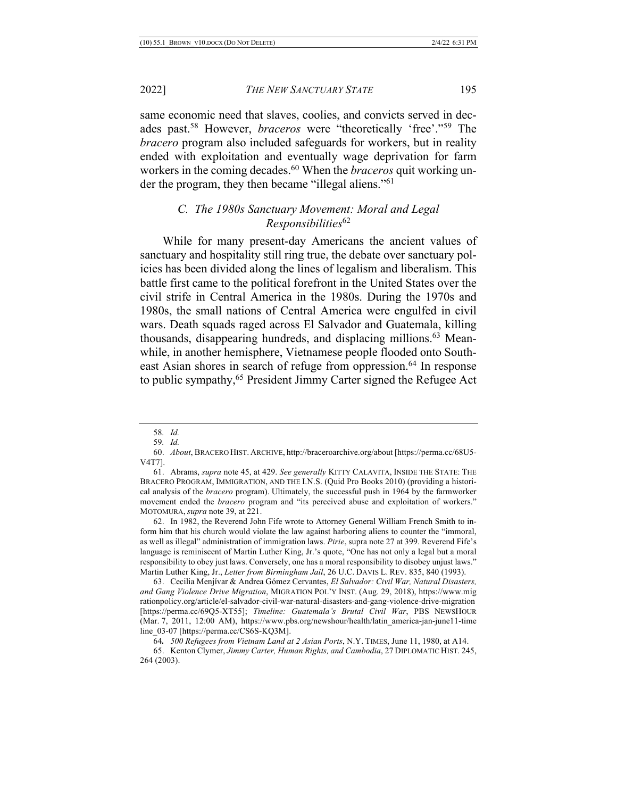same economic need that slaves, coolies, and convicts served in decades past.58 However, *braceros* were "theoretically 'free'."59 The *bracero* program also included safeguards for workers, but in reality ended with exploitation and eventually wage deprivation for farm workers in the coming decades.60 When the *braceros* quit working under the program, they then became "illegal aliens."61

## *C. The 1980s Sanctuary Movement: Moral and Legal Responsibilities*<sup>62</sup>

While for many present-day Americans the ancient values of sanctuary and hospitality still ring true, the debate over sanctuary policies has been divided along the lines of legalism and liberalism. This battle first came to the political forefront in the United States over the civil strife in Central America in the 1980s. During the 1970s and 1980s, the small nations of Central America were engulfed in civil wars. Death squads raged across El Salvador and Guatemala, killing thousands, disappearing hundreds, and displacing millions.63 Meanwhile, in another hemisphere, Vietnamese people flooded onto Southeast Asian shores in search of refuge from oppression.<sup>64</sup> In response to public sympathy,<sup>65</sup> President Jimmy Carter signed the Refugee Act

<sup>58</sup>*. Id.*

<sup>59</sup>*. Id.*

<sup>60.</sup> *About*, BRACERO HIST. ARCHIVE, http://braceroarchive.org/about [https://perma.cc/68U5- V4T7].

<sup>61.</sup> Abrams, *supra* note 45, at 429. *See generally* KITTY CALAVITA, INSIDE THE STATE: THE BRACERO PROGRAM, IMMIGRATION, AND THE I.N.S. (Quid Pro Books 2010) (providing a historical analysis of the *bracero* program). Ultimately, the successful push in 1964 by the farmworker movement ended the *bracero* program and "its perceived abuse and exploitation of workers." MOTOMURA, *supra* note 39, at 221.

<sup>62.</sup> In 1982, the Reverend John Fife wrote to Attorney General William French Smith to inform him that his church would violate the law against harboring aliens to counter the "immoral, as well as illegal" administration of immigration laws. *Pirie*, supra note 27 at 399. Reverend Fife's language is reminiscent of Martin Luther King, Jr.'s quote, "One has not only a legal but a moral responsibility to obey just laws. Conversely, one has a moral responsibility to disobey unjust laws." Martin Luther King, Jr., *Letter from Birmingham Jail*, 26 U.C. DAVIS L. REV. 835, 840 (1993).

<sup>63.</sup> Cecilia Menjívar & Andrea Gómez Cervantes, *El Salvador: Civil War, Natural Disasters, and Gang Violence Drive Migration*, MIGRATION POL'Y INST. (Aug. 29, 2018), https://www.mig rationpolicy.org/article/el-salvador-civil-war-natural-disasters-and-gang-violence-drive-migration [https://perma.cc/69Q5-XT55]; *Timeline: Guatemala's Brutal Civil War*, PBS NEWSHOUR (Mar. 7, 2011, 12:00 AM), https://www.pbs.org/newshour/health/latin\_america-jan-june11-time line\_03-07 [https://perma.cc/CS6S-KQ3M].

<sup>64</sup>*. 500 Refugees from Vietnam Land at 2 Asian Ports*, N.Y. TIMES, June 11, 1980, at A14.

<sup>65.</sup> Kenton Clymer, *Jimmy Carter, Human Rights, and Cambodia*, 27 DIPLOMATIC HIST. 245, 264 (2003).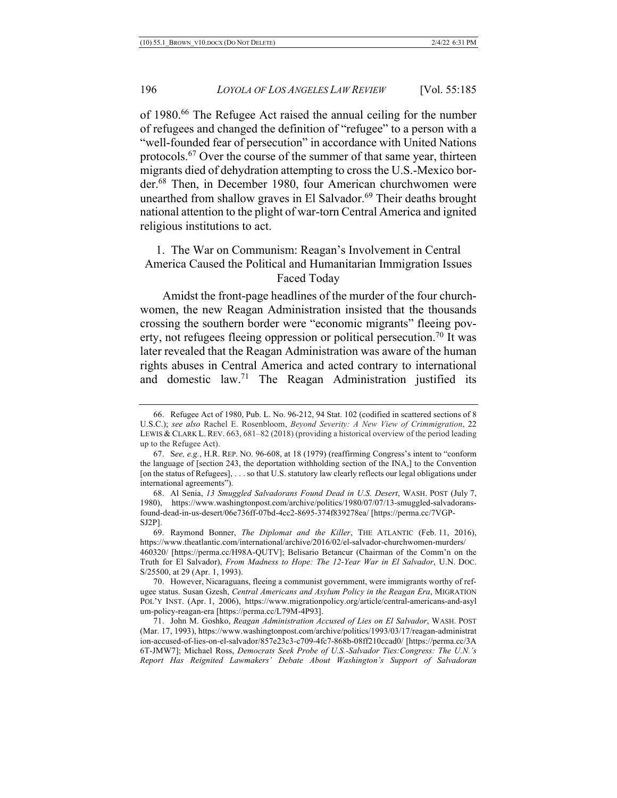of 1980.<sup>66</sup> The Refugee Act raised the annual ceiling for the number of refugees and changed the definition of "refugee" to a person with a "well-founded fear of persecution" in accordance with United Nations protocols.<sup>67</sup> Over the course of the summer of that same year, thirteen migrants died of dehydration attempting to cross the U.S.-Mexico border.68 Then, in December 1980, four American churchwomen were unearthed from shallow graves in El Salvador.<sup>69</sup> Their deaths brought national attention to the plight of war-torn Central America and ignited religious institutions to act.

## 1. The War on Communism: Reagan's Involvement in Central America Caused the Political and Humanitarian Immigration Issues Faced Today

Amidst the front-page headlines of the murder of the four churchwomen, the new Reagan Administration insisted that the thousands crossing the southern border were "economic migrants" fleeing poverty, not refugees fleeing oppression or political persecution.<sup>70</sup> It was later revealed that the Reagan Administration was aware of the human rights abuses in Central America and acted contrary to international and domestic law.71 The Reagan Administration justified its

<sup>66.</sup> Refugee Act of 1980, Pub. L. No. 96-212, 94 Stat. 102 (codified in scattered sections of 8 U.S.C.); *see also* Rachel E. Rosenbloom, *Beyond Severity: A New View of Crimmigration*, 22 LEWIS & CLARK L. REV. 663, 681–82 (2018) (providing a historical overview of the period leading up to the Refugee Act).

<sup>67.</sup> S*ee, e.g.*, H.R. REP. NO. 96-608, at 18 (1979) (reaffirming Congress's intent to "conform the language of [section 243, the deportation withholding section of the INA,] to the Convention [on the status of Refugees], . . . so that U.S. statutory law clearly reflects our legal obligations under international agreements").

<sup>68.</sup> Al Senia, *13 Smuggled Salvadorans Found Dead in U.S. Desert*, WASH. POST (July 7, 1980), https://www.washingtonpost.com/archive/politics/1980/07/07/13-smuggled-salvadoransfound-dead-in-us-desert/06e736ff-07bd-4cc2-8695-374f839278ea/ [https://perma.cc/7VGP-SJ2P].

<sup>69.</sup> Raymond Bonner, *The Diplomat and the Killer*, THE ATLANTIC (Feb. 11, 2016), https://www.theatlantic.com/international/archive/2016/02/el-salvador-churchwomen-murders/ 460320/ [https://perma.cc/H98A-QUTV]; Belisario Betancur (Chairman of the Comm'n on the Truth for El Salvador), *From Madness to Hope: The 12-Year War in El Salvador*, U.N. DOC. S/25500, at 29 (Apr. 1, 1993).

<sup>70.</sup> However, Nicaraguans, fleeing a communist government, were immigrants worthy of refugee status. Susan Gzesh, *Central Americans and Asylum Policy in the Reagan Era*, MIGRATION POL'Y INST. (Apr. 1, 2006), https://www.migrationpolicy.org/article/central-americans-and-asyl um-policy-reagan-era [https://perma.cc/L79M-4P93].

<sup>71.</sup> John M. Goshko, *Reagan Administration Accused of Lies on El Salvador*, WASH. POST (Mar. 17, 1993), https://www.washingtonpost.com/archive/politics/1993/03/17/reagan-administrat ion-accused-of-lies-on-el-salvador/857e23c3-c709-4fc7-868b-08ff210ccad0/ [https://perma.cc/3A 6T-JMW7]; Michael Ross, *Democrats Seek Probe of U.S.-Salvador Ties:Congress: The U.N.'s Report Has Reignited Lawmakers' Debate About Washington's Support of Salvadoran*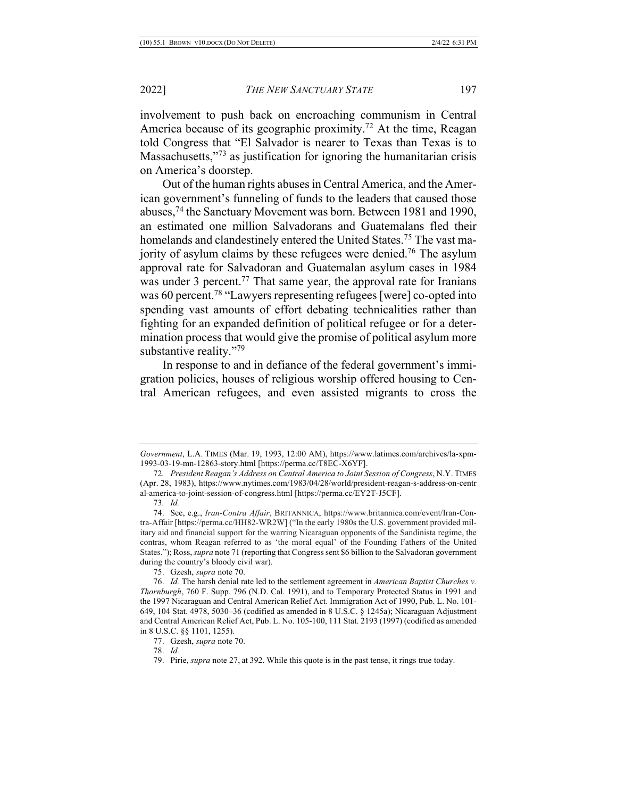involvement to push back on encroaching communism in Central America because of its geographic proximity.<sup>72</sup> At the time, Reagan told Congress that "El Salvador is nearer to Texas than Texas is to Massachusetts,"<sup>73</sup> as justification for ignoring the humanitarian crisis on America's doorstep.

Out of the human rights abuses in Central America, and the American government's funneling of funds to the leaders that caused those abuses,74 the Sanctuary Movement was born. Between 1981 and 1990, an estimated one million Salvadorans and Guatemalans fled their homelands and clandestinely entered the United States.<sup>75</sup> The vast majority of asylum claims by these refugees were denied.<sup>76</sup> The asylum approval rate for Salvadoran and Guatemalan asylum cases in 1984 was under 3 percent.<sup>77</sup> That same year, the approval rate for Iranians was 60 percent.<sup>78</sup> "Lawyers representing refugees [were] co-opted into spending vast amounts of effort debating technicalities rather than fighting for an expanded definition of political refugee or for a determination process that would give the promise of political asylum more substantive reality."<sup>79</sup>

In response to and in defiance of the federal government's immigration policies, houses of religious worship offered housing to Central American refugees, and even assisted migrants to cross the

*Government*, L.A. TIMES (Mar. 19, 1993, 12:00 AM), https://www.latimes.com/archives/la-xpm-1993-03-19-mn-12863-story.html [https://perma.cc/T8EC-X6YF].

<sup>72</sup>*. President Reagan's Address on Central America to Joint Session of Congress*, N.Y. TIMES (Apr. 28, 1983), https://www.nytimes.com/1983/04/28/world/president-reagan-s-address-on-centr al-america-to-joint-session-of-congress.html [https://perma.cc/EY2T-J5CF].

<sup>73</sup>*. Id.*

<sup>74.</sup> See, e.g., *Iran-Contra Affair*, BRITANNICA, https://www.britannica.com/event/Iran-Contra-Affair [https://perma.cc/HH82-WR2W] ("In the early 1980s the U.S. government provided military aid and financial support for the warring Nicaraguan opponents of the Sandinista regime, the contras, whom Reagan referred to as 'the moral equal' of the Founding Fathers of the United States."); Ross, *supra* note 71 (reporting that Congress sent \$6 billion to the Salvadoran government during the country's bloody civil war).

<sup>75.</sup> Gzesh, *supra* note 70.

<sup>76.</sup> *Id.* The harsh denial rate led to the settlement agreement in *American Baptist Churches v. Thornburgh*, 760 F. Supp. 796 (N.D. Cal. 1991), and to Temporary Protected Status in 1991 and the 1997 Nicaraguan and Central American Relief Act. Immigration Act of 1990, Pub. L. No. 101- 649, 104 Stat. 4978, 5030–36 (codified as amended in 8 U.S.C. § 1245a); Nicaraguan Adjustment and Central American Relief Act, Pub. L. No. 105-100, 111 Stat. 2193 (1997) (codified as amended in 8 U.S.C. §§ 1101, 1255).

<sup>77.</sup> Gzesh, *supra* note 70.

<sup>78.</sup> *Id.*

<sup>79.</sup> Pirie, *supra* note 27, at 392. While this quote is in the past tense, it rings true today.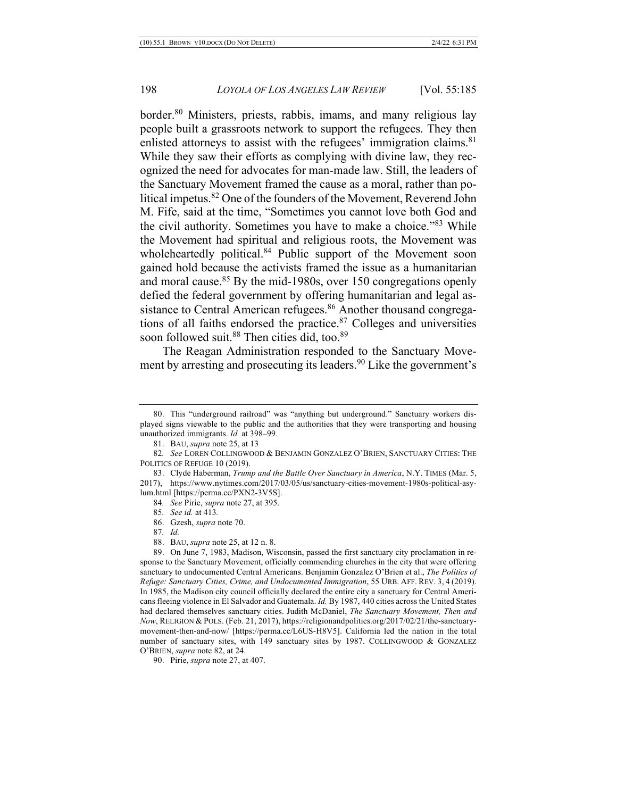border.<sup>80</sup> Ministers, priests, rabbis, imams, and many religious lay people built a grassroots network to support the refugees. They then enlisted attorneys to assist with the refugees' immigration claims.<sup>81</sup> While they saw their efforts as complying with divine law, they recognized the need for advocates for man-made law. Still, the leaders of the Sanctuary Movement framed the cause as a moral, rather than political impetus.82 One of the founders of the Movement, Reverend John M. Fife, said at the time, "Sometimes you cannot love both God and the civil authority. Sometimes you have to make a choice."83 While the Movement had spiritual and religious roots, the Movement was wholeheartedly political.<sup>84</sup> Public support of the Movement soon gained hold because the activists framed the issue as a humanitarian and moral cause. $85$  By the mid-1980s, over 150 congregations openly defied the federal government by offering humanitarian and legal assistance to Central American refugees.<sup>86</sup> Another thousand congregations of all faiths endorsed the practice. $87$  Colleges and universities soon followed suit.<sup>88</sup> Then cities did, too.<sup>89</sup>

The Reagan Administration responded to the Sanctuary Movement by arresting and prosecuting its leaders.<sup>90</sup> Like the government's

90. Pirie, *supra* note 27, at 407.

<sup>80.</sup> This "underground railroad" was "anything but underground." Sanctuary workers displayed signs viewable to the public and the authorities that they were transporting and housing unauthorized immigrants. *Id.* at 398–99.

<sup>81.</sup> BAU, *supra* note 25, at 13

<sup>82</sup>*. See* LOREN COLLINGWOOD & BENJAMIN GONZALEZ O'BRIEN, SANCTUARY CITIES: THE POLITICS OF REFUGE 10 (2019).

<sup>83.</sup> Clyde Haberman, *Trump and the Battle Over Sanctuary in America*, N.Y. TIMES (Mar. 5, 2017), https://www.nytimes.com/2017/03/05/us/sanctuary-cities-movement-1980s-political-asylum.html [https://perma.cc/PXN2-3V5S].

<sup>84</sup>*. See* Pirie, *supra* note 27, at 395.

<sup>85</sup>*. See id.* at 413*.*

<sup>86.</sup> Gzesh, *supra* note 70.

<sup>87</sup>*. Id.*

<sup>88.</sup> BAU, *supra* note 25, at 12 n. 8.

<sup>89.</sup> On June 7, 1983, Madison, Wisconsin, passed the first sanctuary city proclamation in response to the Sanctuary Movement, officially commending churches in the city that were offering sanctuary to undocumented Central Americans. Benjamin Gonzalez O'Brien et al., *The Politics of Refuge: Sanctuary Cities, Crime, and Undocumented Immigration*, 55 URB. AFF. REV. 3, 4 (2019). In 1985, the Madison city council officially declared the entire city a sanctuary for Central Americans fleeing violence in El Salvador and Guatemala. *Id.* By 1987, 440 cities across the United States had declared themselves sanctuary cities. Judith McDaniel, *The Sanctuary Movement, Then and Now*, RELIGION & POLS. (Feb. 21, 2017), https://religionandpolitics.org/2017/02/21/the-sanctuarymovement-then-and-now/ [https://perma.cc/L6US-H8V5]. California led the nation in the total number of sanctuary sites, with 149 sanctuary sites by 1987. COLLINGWOOD & GONZALEZ O'BRIEN, *supra* note 82, at 24.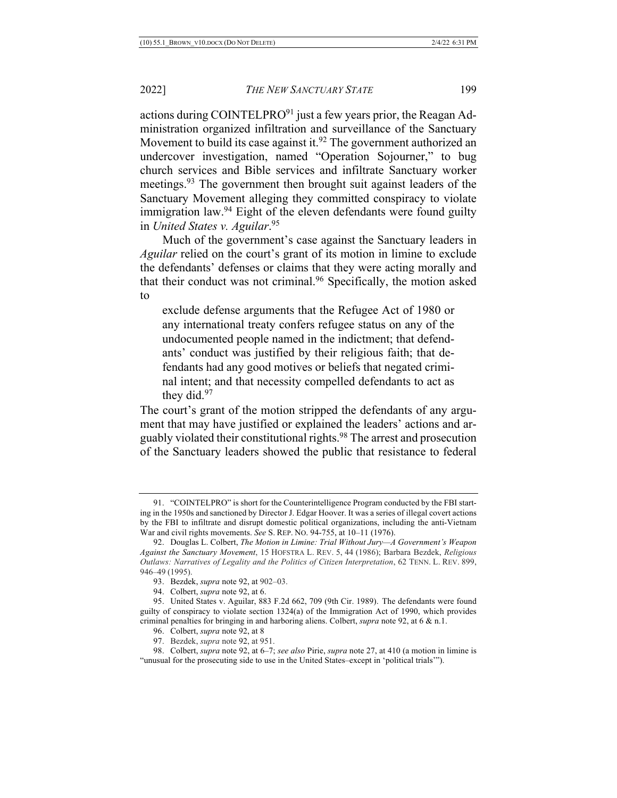actions during COINTELPRO $91$  just a few years prior, the Reagan Administration organized infiltration and surveillance of the Sanctuary Movement to build its case against it.<sup>92</sup> The government authorized an undercover investigation, named "Operation Sojourner," to bug church services and Bible services and infiltrate Sanctuary worker meetings.<sup>93</sup> The government then brought suit against leaders of the Sanctuary Movement alleging they committed conspiracy to violate immigration law.<sup>94</sup> Eight of the eleven defendants were found guilty in *United States v. Aguilar*. 95

Much of the government's case against the Sanctuary leaders in *Aguilar* relied on the court's grant of its motion in limine to exclude the defendants' defenses or claims that they were acting morally and that their conduct was not criminal.<sup>96</sup> Specifically, the motion asked to

exclude defense arguments that the Refugee Act of 1980 or any international treaty confers refugee status on any of the undocumented people named in the indictment; that defendants' conduct was justified by their religious faith; that defendants had any good motives or beliefs that negated criminal intent; and that necessity compelled defendants to act as they did.<sup>97</sup>

The court's grant of the motion stripped the defendants of any argument that may have justified or explained the leaders' actions and arguably violated their constitutional rights.98 The arrest and prosecution of the Sanctuary leaders showed the public that resistance to federal

94. Colbert, *supra* note 92, at 6.

<sup>91.</sup> "COINTELPRO" is short for the Counterintelligence Program conducted by the FBI starting in the 1950s and sanctioned by Director J. Edgar Hoover. It was a series of illegal covert actions by the FBI to infiltrate and disrupt domestic political organizations, including the anti-Vietnam War and civil rights movements. *See* S. REP. NO. 94-755, at 10–11 (1976).

<sup>92.</sup> Douglas L. Colbert, *The Motion in Limine: Trial Without Jury—A Government's Weapon Against the Sanctuary Movement*, 15 HOFSTRA L. REV. 5, 44 (1986); Barbara Bezdek, *Religious Outlaws: Narratives of Legality and the Politics of Citizen Interpretation*, 62 TENN. L. REV. 899, 946–49 (1995).

<sup>93.</sup> Bezdek, *supra* note 92, at 902–03.

<sup>95.</sup> United States v. Aguilar, 883 F.2d 662, 709 (9th Cir. 1989). The defendants were found guilty of conspiracy to violate section 1324(a) of the Immigration Act of 1990, which provides criminal penalties for bringing in and harboring aliens. Colbert, *supra* note 92, at 6 & n.1.

<sup>96.</sup> Colbert, *supra* note 92, at 8

<sup>97.</sup> Bezdek, *supra* note 92, at 951.

<sup>98.</sup> Colbert, *supra* note 92, at 6–7; *see also* Pirie, *supra* note 27, at 410 (a motion in limine is "unusual for the prosecuting side to use in the United States–except in 'political trials'").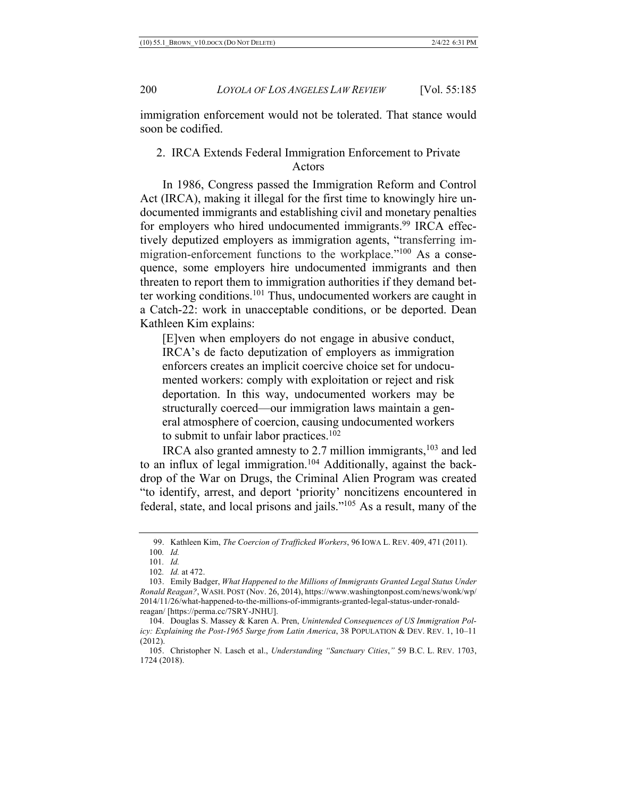immigration enforcement would not be tolerated. That stance would soon be codified.

## 2. IRCA Extends Federal Immigration Enforcement to Private Actors

In 1986, Congress passed the Immigration Reform and Control Act (IRCA), making it illegal for the first time to knowingly hire undocumented immigrants and establishing civil and monetary penalties for employers who hired undocumented immigrants.<sup>99</sup> IRCA effectively deputized employers as immigration agents, "transferring immigration-enforcement functions to the workplace."<sup>100</sup> As a consequence, some employers hire undocumented immigrants and then threaten to report them to immigration authorities if they demand better working conditions.<sup>101</sup> Thus, undocumented workers are caught in a Catch-22: work in unacceptable conditions, or be deported. Dean Kathleen Kim explains:

[E]ven when employers do not engage in abusive conduct, IRCA's de facto deputization of employers as immigration enforcers creates an implicit coercive choice set for undocumented workers: comply with exploitation or reject and risk deportation. In this way, undocumented workers may be structurally coerced—our immigration laws maintain a general atmosphere of coercion, causing undocumented workers to submit to unfair labor practices.<sup>102</sup>

IRCA also granted amnesty to 2.7 million immigrants,<sup>103</sup> and led to an influx of legal immigration.<sup>104</sup> Additionally, against the backdrop of the War on Drugs, the Criminal Alien Program was created "to identify, arrest, and deport 'priority' noncitizens encountered in federal, state, and local prisons and jails."105 As a result, many of the

<sup>99.</sup> Kathleen Kim, *The Coercion of Trafficked Workers*, 96 IOWA L. REV. 409, 471 (2011). 100*. Id.*

<sup>101</sup>*. Id.*

<sup>102</sup>*. Id.* at 472.

<sup>103.</sup> Emily Badger, *What Happened to the Millions of Immigrants Granted Legal Status Under Ronald Reagan?*, WASH. POST (Nov. 26, 2014), https://www.washingtonpost.com/news/wonk/wp/ 2014/11/26/what-happened-to-the-millions-of-immigrants-granted-legal-status-under-ronaldreagan/ [https://perma.cc/7SRY-JNHU].

<sup>104.</sup> Douglas S. Massey & Karen A. Pren, *Unintended Consequences of US Immigration Policy: Explaining the Post-1965 Surge from Latin America*, 38 POPULATION & DEV. REV. 1, 10–11 (2012).

<sup>105.</sup> Christopher N. Lasch et al., *Understanding "Sanctuary Cities*,*"* 59 B.C. L. REV. 1703, 1724 (2018).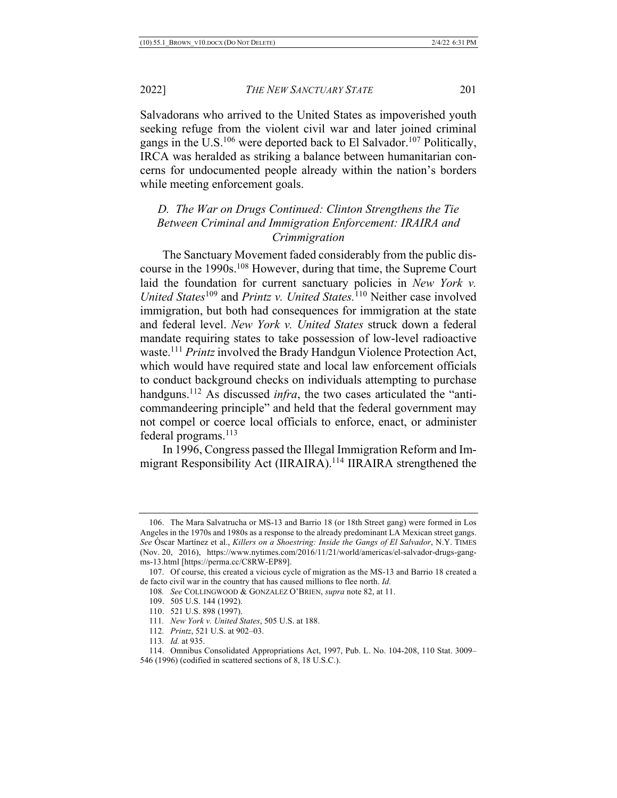2022] *THE NEW SANCTUARY STATE* 201

Salvadorans who arrived to the United States as impoverished youth seeking refuge from the violent civil war and later joined criminal gangs in the U.S.<sup>106</sup> were deported back to El Salvador.<sup>107</sup> Politically, IRCA was heralded as striking a balance between humanitarian concerns for undocumented people already within the nation's borders while meeting enforcement goals.

## *D. The War on Drugs Continued: Clinton Strengthens the Tie Between Criminal and Immigration Enforcement: IRAIRA and Crimmigration*

The Sanctuary Movement faded considerably from the public discourse in the 1990s.<sup>108</sup> However, during that time, the Supreme Court laid the foundation for current sanctuary policies in *New York v. United States*<sup>109</sup> and *Printz v. United States.*<sup>110</sup> Neither case involved immigration, but both had consequences for immigration at the state and federal level. *New York v. United States* struck down a federal mandate requiring states to take possession of low-level radioactive waste.111 *Printz* involved the Brady Handgun Violence Protection Act, which would have required state and local law enforcement officials to conduct background checks on individuals attempting to purchase handguns.<sup>112</sup> As discussed *infra*, the two cases articulated the "anticommandeering principle" and held that the federal government may not compel or coerce local officials to enforce, enact, or administer federal programs.113

In 1996, Congress passed the Illegal Immigration Reform and Immigrant Responsibility Act (IIRAIRA).114 IIRAIRA strengthened the

112*. Printz*, 521 U.S. at 902–03.

<sup>106.</sup> The Mara Salvatrucha or MS-13 and Barrio 18 (or 18th Street gang) were formed in Los Angeles in the 1970s and 1980s as a response to the already predominant LA Mexican street gangs. *See* Óscar Martínez et al., *Killers on a Shoestring: Inside the Gangs of El Salvador*, N.Y. TIMES (Nov. 20, 2016), https://www.nytimes.com/2016/11/21/world/americas/el-salvador-drugs-gangms-13.html [https://perma.cc/C8RW-EP89].

<sup>107.</sup> Of course, this created a vicious cycle of migration as the MS-13 and Barrio 18 created a de facto civil war in the country that has caused millions to flee north. *Id.*

<sup>108</sup>*. See* COLLINGWOOD & GONZALEZ O'BRIEN, *supra* note 82, at 11.

<sup>109.</sup> 505 U.S. 144 (1992).

<sup>110.</sup> 521 U.S. 898 (1997).

<sup>111</sup>*. New York v. United States*, 505 U.S. at 188.

<sup>113</sup>*. Id.* at 935.

<sup>114.</sup> Omnibus Consolidated Appropriations Act, 1997, Pub. L. No. 104-208, 110 Stat. 3009– 546 (1996) (codified in scattered sections of 8, 18 U.S.C.).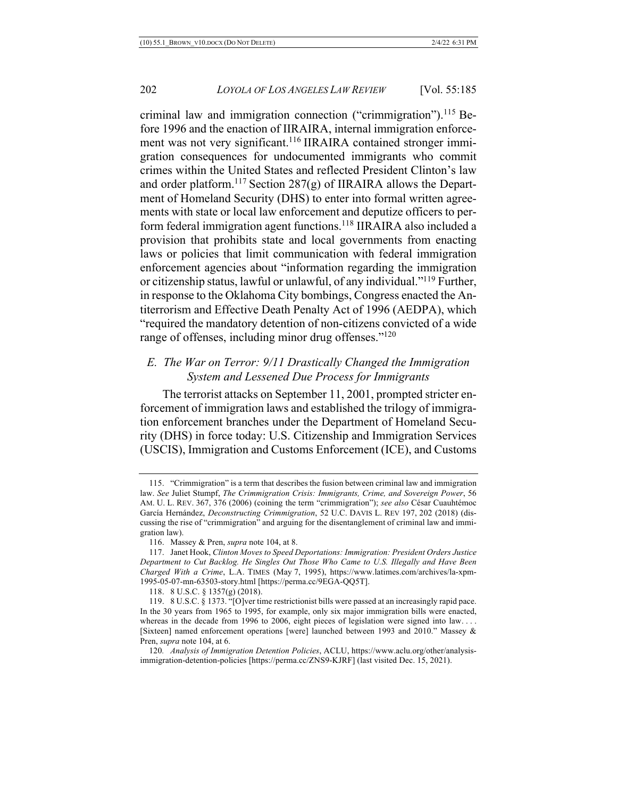criminal law and immigration connection ("crimmigration").<sup>115</sup> Before 1996 and the enaction of IIRAIRA, internal immigration enforcement was not very significant.<sup>116</sup> IIRAIRA contained stronger immigration consequences for undocumented immigrants who commit crimes within the United States and reflected President Clinton's law and order platform.<sup>117</sup> Section 287(g) of IIRAIRA allows the Department of Homeland Security (DHS) to enter into formal written agreements with state or local law enforcement and deputize officers to perform federal immigration agent functions.118 IIRAIRA also included a provision that prohibits state and local governments from enacting laws or policies that limit communication with federal immigration enforcement agencies about "information regarding the immigration or citizenship status, lawful or unlawful, of any individual."119 Further, in response to the Oklahoma City bombings, Congress enacted the Antiterrorism and Effective Death Penalty Act of 1996 (AEDPA), which "required the mandatory detention of non-citizens convicted of a wide range of offenses, including minor drug offenses."<sup>120</sup>

## *E. The War on Terror: 9/11 Drastically Changed the Immigration System and Lessened Due Process for Immigrants*

The terrorist attacks on September 11, 2001, prompted stricter enforcement of immigration laws and established the trilogy of immigration enforcement branches under the Department of Homeland Security (DHS) in force today: U.S. Citizenship and Immigration Services (USCIS), Immigration and Customs Enforcement (ICE), and Customs

<sup>115.</sup> "Crimmigration" is a term that describes the fusion between criminal law and immigration law. *See* Juliet Stumpf, *The Crimmigration Crisis: Immigrants, Crime, and Sovereign Power*, 56 AM. U. L. REV. 367, 376 (2006) (coining the term "crimmigration"); *see also* César Cuauhtémoc García Hernández, *Deconstructing Crimmigration*, 52 U.C. DAVIS L. REV 197, 202 (2018) (discussing the rise of "crimmigration" and arguing for the disentanglement of criminal law and immigration law).

<sup>116.</sup> Massey & Pren, *supra* note 104, at 8.

<sup>117.</sup> Janet Hook, *Clinton Moves to Speed Deportations: Immigration: President Orders Justice Department to Cut Backlog. He Singles Out Those Who Came to U.S. Illegally and Have Been Charged With a Crime*, L.A. TIMES (May 7, 1995), https://www.latimes.com/archives/la-xpm-1995-05-07-mn-63503-story.html [https://perma.cc/9EGA-QQ5T].

<sup>118.</sup> 8 U.S.C. § 1357(g) (2018).

<sup>119.</sup> 8 U.S.C. § 1373. "[O]ver time restrictionist bills were passed at an increasingly rapid pace. In the 30 years from 1965 to 1995, for example, only six major immigration bills were enacted, whereas in the decade from 1996 to 2006, eight pieces of legislation were signed into law.... [Sixteen] named enforcement operations [were] launched between 1993 and 2010." Massey & Pren, *supra* note 104, at 6.

<sup>120</sup>*. Analysis of Immigration Detention Policies*, ACLU, https://www.aclu.org/other/analysisimmigration-detention-policies [https://perma.cc/ZNS9-KJRF] (last visited Dec. 15, 2021).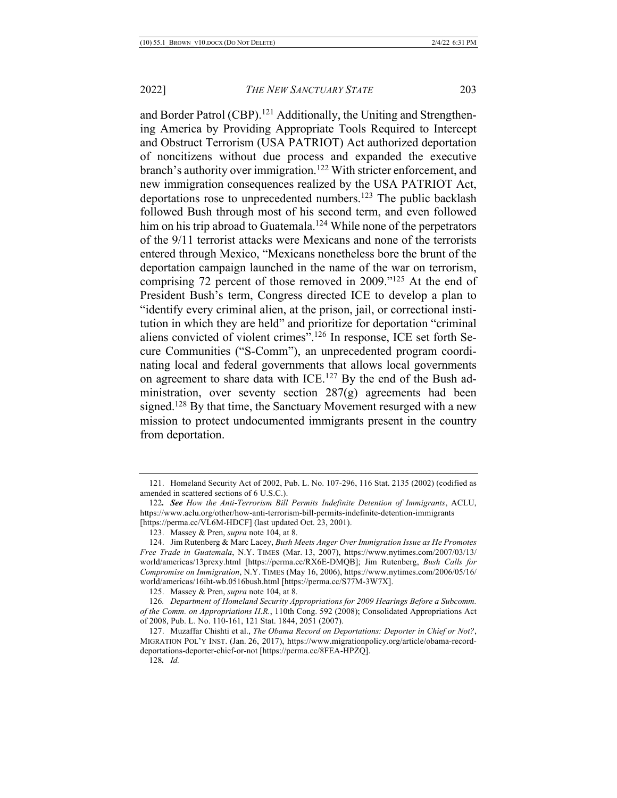and Border Patrol (CBP).<sup>121</sup> Additionally, the Uniting and Strengthening America by Providing Appropriate Tools Required to Intercept and Obstruct Terrorism (USA PATRIOT) Act authorized deportation of noncitizens without due process and expanded the executive branch's authority over immigration.<sup>122</sup> With stricter enforcement, and new immigration consequences realized by the USA PATRIOT Act, deportations rose to unprecedented numbers.<sup>123</sup> The public backlash followed Bush through most of his second term, and even followed him on his trip abroad to Guatemala.<sup>124</sup> While none of the perpetrators of the 9/11 terrorist attacks were Mexicans and none of the terrorists entered through Mexico, "Mexicans nonetheless bore the brunt of the deportation campaign launched in the name of the war on terrorism, comprising 72 percent of those removed in 2009."125 At the end of President Bush's term, Congress directed ICE to develop a plan to "identify every criminal alien, at the prison, jail, or correctional institution in which they are held" and prioritize for deportation "criminal aliens convicted of violent crimes".<sup>126</sup> In response, ICE set forth Secure Communities ("S-Comm"), an unprecedented program coordinating local and federal governments that allows local governments on agreement to share data with ICE.<sup>127</sup> By the end of the Bush administration, over seventy section 287(g) agreements had been signed.<sup>128</sup> By that time, the Sanctuary Movement resurged with a new mission to protect undocumented immigrants present in the country from deportation.

<sup>121.</sup> Homeland Security Act of 2002, Pub. L. No. 107-296, 116 Stat. 2135 (2002) (codified as amended in scattered sections of 6 U.S.C.).

<sup>122</sup>*. See How the Anti-Terrorism Bill Permits Indefinite Detention of Immigrants*, ACLU, https://www.aclu.org/other/how-anti-terrorism-bill-permits-indefinite-detention-immigrants [https://perma.cc/VL6M-HDCF] (last updated Oct. 23, 2001).

<sup>123.</sup> Massey & Pren, *supra* note 104, at 8.

<sup>124.</sup> Jim Rutenberg & Marc Lacey, *Bush Meets Anger Over Immigration Issue as He Promotes Free Trade in Guatemala*, N.Y. TIMES (Mar. 13, 2007), https://www.nytimes.com/2007/03/13/ world/americas/13prexy.html [https://perma.cc/RX6E-DMQB]; Jim Rutenberg, *Bush Calls for Compromise on Immigration*, N.Y. TIMES (May 16, 2006), https://www.nytimes.com/2006/05/16/ world/americas/16iht-wb.0516bush.html [https://perma.cc/S77M-3W7X].

<sup>125.</sup> Massey & Pren, *supra* note 104, at 8.

<sup>126</sup>*. Department of Homeland Security Appropriations for 2009 Hearings Before a Subcomm. of the Comm. on Appropriations H.R.*, 110th Cong. 592 (2008); Consolidated Appropriations Act of 2008, Pub. L. No. 110-161, 121 Stat. 1844, 2051 (2007).

<sup>127.</sup> Muzaffar Chishti et al., *The Obama Record on Deportations: Deporter in Chief or Not?*, MIGRATION POL'Y INST. (Jan. 26, 2017), https://www.migrationpolicy.org/article/obama-recorddeportations-deporter-chief-or-not [https://perma.cc/8FEA-HPZQ].

<sup>128</sup>*. Id.*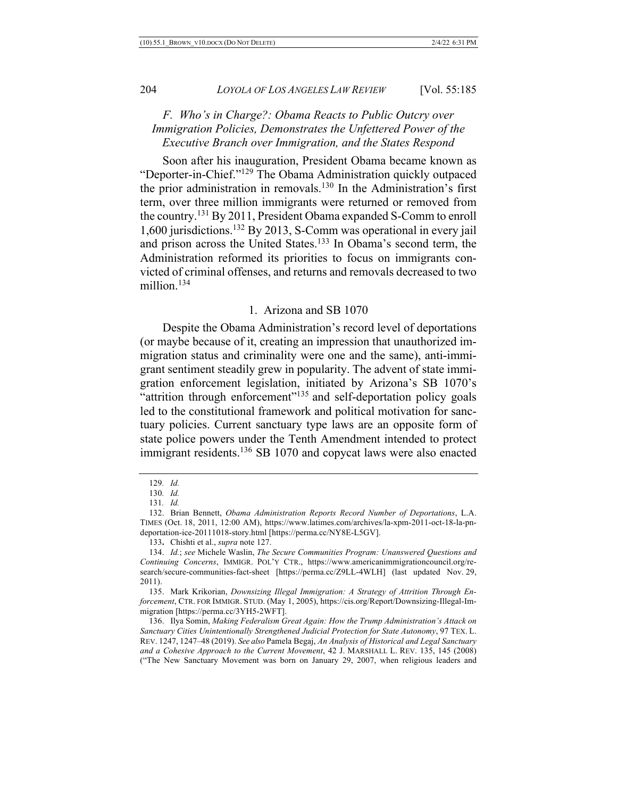## *F. Who's in Charge?: Obama Reacts to Public Outcry over Immigration Policies, Demonstrates the Unfettered Power of the Executive Branch over Immigration, and the States Respond*

Soon after his inauguration, President Obama became known as "Deporter-in-Chief."129 The Obama Administration quickly outpaced the prior administration in removals.130 In the Administration's first term, over three million immigrants were returned or removed from the country.131 By 2011, President Obama expanded S-Comm to enroll 1,600 jurisdictions.132 By 2013, S-Comm was operational in every jail and prison across the United States.<sup>133</sup> In Obama's second term, the Administration reformed its priorities to focus on immigrants convicted of criminal offenses, and returns and removals decreased to two million.<sup>134</sup>

#### 1. Arizona and SB 1070

Despite the Obama Administration's record level of deportations (or maybe because of it, creating an impression that unauthorized immigration status and criminality were one and the same), anti-immigrant sentiment steadily grew in popularity. The advent of state immigration enforcement legislation, initiated by Arizona's SB 1070's "attrition through enforcement"<sup>135</sup> and self-deportation policy goals led to the constitutional framework and political motivation for sanctuary policies. Current sanctuary type laws are an opposite form of state police powers under the Tenth Amendment intended to protect immigrant residents.<sup>136</sup> SB 1070 and copycat laws were also enacted

133**.** Chishti et al., *supra* note 127.

<sup>129</sup>*. Id.*

<sup>130</sup>*. Id.*

<sup>131</sup>*. Id.*

<sup>132.</sup> Brian Bennett, *Obama Administration Reports Record Number of Deportations*, L.A. TIMES (Oct. 18, 2011, 12:00 AM), https://www.latimes.com/archives/la-xpm-2011-oct-18-la-pndeportation-ice-20111018-story.html [https://perma.cc/NY8E-L5GV].

<sup>134.</sup> *Id.*; *see* Michele Waslin, *The Secure Communities Program: Unanswered Questions and Continuing Concerns*, IMMIGR. POL'Y CTR., https://www.americanimmigrationcouncil.org/research/secure-communities-fact-sheet [https://perma.cc/Z9LL-4WLH] (last updated Nov. 29, 2011).

<sup>135.</sup> Mark Krikorian, *Downsizing Illegal Immigration: A Strategy of Attrition Through Enforcement*, CTR. FOR IMMIGR. STUD. (May 1, 2005), https://cis.org/Report/Downsizing-Illegal-Immigration [https://perma.cc/3YH5-2WFT].

<sup>136.</sup> Ilya Somin, *Making Federalism Great Again: How the Trump Administration's Attack on Sanctuary Cities Unintentionally Strengthened Judicial Protection for State Autonomy*, 97 TEX. L. REV. 1247, 1247–48 (2019). *See also* Pamela Begaj, *An Analysis of Historical and Legal Sanctuary and a Cohesive Approach to the Current Movement*, 42 J. MARSHALL L. REV. 135, 145 (2008) ("The New Sanctuary Movement was born on January 29, 2007, when religious leaders and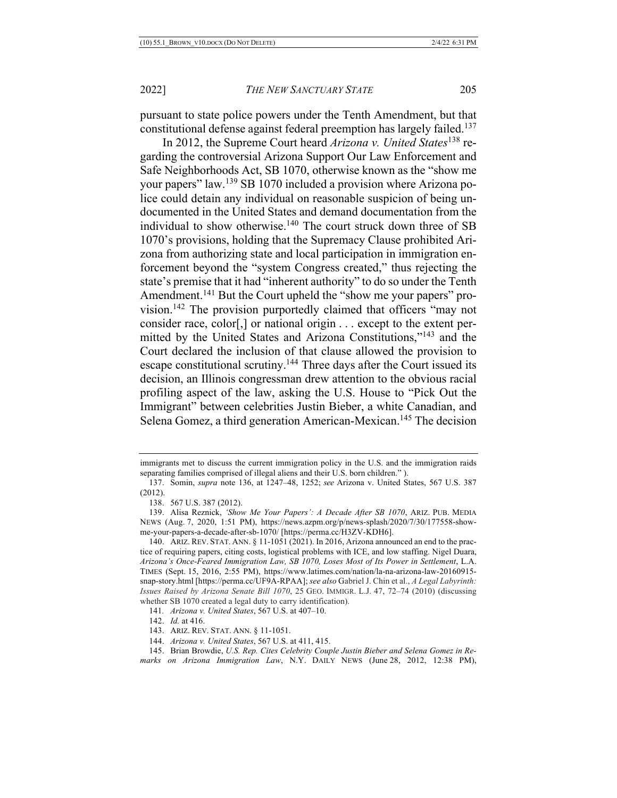pursuant to state police powers under the Tenth Amendment, but that constitutional defense against federal preemption has largely failed.<sup>137</sup>

In 2012, the Supreme Court heard *Arizona v. United States*<sup>138</sup> regarding the controversial Arizona Support Our Law Enforcement and Safe Neighborhoods Act, SB 1070, otherwise known as the "show me your papers" law.139 SB 1070 included a provision where Arizona police could detain any individual on reasonable suspicion of being undocumented in the United States and demand documentation from the individual to show otherwise.<sup>140</sup> The court struck down three of SB 1070's provisions, holding that the Supremacy Clause prohibited Arizona from authorizing state and local participation in immigration enforcement beyond the "system Congress created," thus rejecting the state's premise that it had "inherent authority" to do so under the Tenth Amendment.<sup>141</sup> But the Court upheld the "show me your papers" provision.142 The provision purportedly claimed that officers "may not consider race, color[,] or national origin . . . except to the extent permitted by the United States and Arizona Constitutions,"143 and the Court declared the inclusion of that clause allowed the provision to escape constitutional scrutiny.<sup>144</sup> Three days after the Court issued its decision, an Illinois congressman drew attention to the obvious racial profiling aspect of the law, asking the U.S. House to "Pick Out the Immigrant" between celebrities Justin Bieber, a white Canadian, and Selena Gomez, a third generation American-Mexican.<sup>145</sup> The decision

immigrants met to discuss the current immigration policy in the U.S. and the immigration raids separating families comprised of illegal aliens and their U.S. born children." ).

<sup>137.</sup> Somin, *supra* note 136, at 1247–48, 1252; *see* Arizona v. United States, 567 U.S. 387 (2012).

<sup>138.</sup> 567 U.S. 387 (2012).

<sup>139.</sup> Alisa Reznick, *'Show Me Your Papers': A Decade After SB 1070*, ARIZ. PUB. MEDIA NEWS (Aug. 7, 2020, 1:51 PM), https://news.azpm.org/p/news-splash/2020/7/30/177558-showme-your-papers-a-decade-after-sb-1070/ [https://perma.cc/H3ZV-KDH6].

<sup>140.</sup> ARIZ. REV. STAT. ANN. § 11-1051 (2021). In 2016, Arizona announced an end to the practice of requiring papers, citing costs, logistical problems with ICE, and low staffing. Nigel Duara, *Arizona's Once-Feared Immigration Law, SB 1070, Loses Most of Its Power in Settlement*, L.A. TIMES (Sept. 15, 2016, 2:55 PM), https://www.latimes.com/nation/la-na-arizona-law-20160915 snap-story.html [https://perma.cc/UF9A-RPAA]; *see also* Gabriel J. Chin et al., *A Legal Labyrinth: Issues Raised by Arizona Senate Bill 1070*, 25 GEO. IMMIGR. L.J. 47, 72–74 (2010) (discussing whether SB 1070 created a legal duty to carry identification).

<sup>141</sup>*. Arizona v. United States*, 567 U.S. at 407–10.

<sup>142.</sup> *Id.* at 416.

<sup>143.</sup> ARIZ. REV. STAT. ANN. § 11-1051.

<sup>144.</sup> *Arizona v. United States*, 567 U.S. at 411, 415.

<sup>145.</sup> Brian Browdie, *U.S. Rep. Cites Celebrity Couple Justin Bieber and Selena Gomez in Remarks on Arizona Immigration Law*, N.Y. DAILY NEWS (June 28, 2012, 12:38 PM),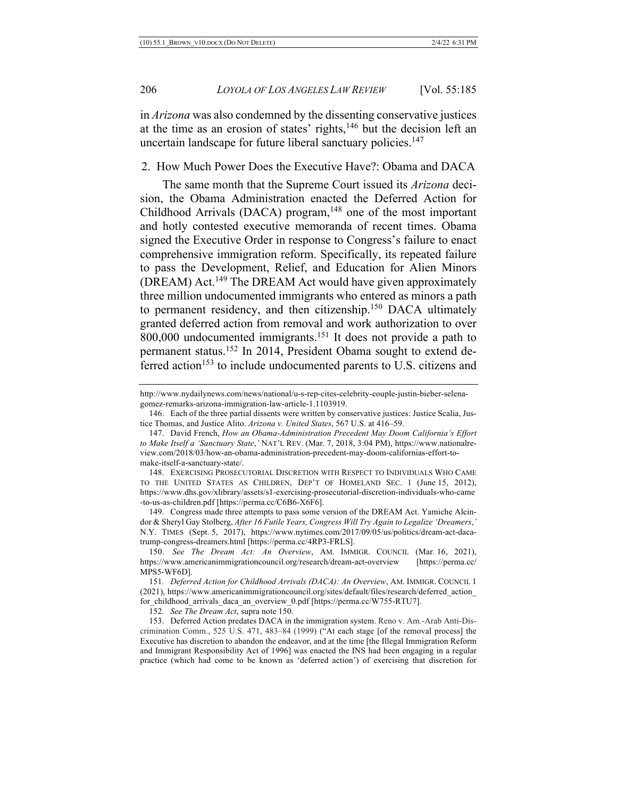in *Arizona* was also condemned by the dissenting conservative justices at the time as an erosion of states' rights, $146$  but the decision left an uncertain landscape for future liberal sanctuary policies.<sup>147</sup>

#### 2. How Much Power Does the Executive Have?: Obama and DACA

The same month that the Supreme Court issued its *Arizona* decision, the Obama Administration enacted the Deferred Action for Childhood Arrivals (DACA) program,<sup>148</sup> one of the most important and hotly contested executive memoranda of recent times. Obama signed the Executive Order in response to Congress's failure to enact comprehensive immigration reform. Specifically, its repeated failure to pass the Development, Relief, and Education for Alien Minors (DREAM) Act.149 The DREAM Act would have given approximately three million undocumented immigrants who entered as minors a path to permanent residency, and then citizenship.<sup>150</sup> DACA ultimately granted deferred action from removal and work authorization to over 800,000 undocumented immigrants.<sup>151</sup> It does not provide a path to permanent status.152 In 2014, President Obama sought to extend deferred action<sup>153</sup> to include undocumented parents to U.S. citizens and

http://www.nydailynews.com/news/national/u-s-rep-cites-celebrity-couple-justin-bieber-selenagomez-remarks-arizona-immigration-law-article-1.1103919.

<sup>146.</sup> Each of the three partial dissents were written by conservative justices: Justice Scalia, Justice Thomas, and Justice Alito. *Arizona v. United States*, 567 U.S. at 416–59.

<sup>147.</sup> David French, *How an Obama-Administration Precedent May Doom California's Effort to Make Itself a 'Sanctuary State*,*'* NAT'L REV. (Mar. 7, 2018, 3:04 PM), https://www.nationalreview.com/2018/03/how-an-obama-administration-precedent-may-doom-californias-effort-tomake-itself-a-sanctuary-state/.

<sup>148.</sup> EXERCISING PROSECUTORIAL DISCRETION WITH RESPECT TO INDIVIDUALS WHO CAME TO THE UNITED STATES AS CHILDREN, DEP'T OF HOMELAND SEC. 1 (June 15, 2012), https://www.dhs.gov/xlibrary/assets/s1-exercising-prosecutorial-discretion-individuals-who-came -to-us-as-children.pdf [https://perma.cc/C6B6-X6F6].

<sup>149.</sup> Congress made three attempts to pass some version of the DREAM Act. Yamiche Alcindor & Sheryl Gay Stolberg, *After 16 Futile Years, Congress Will Try Again to Legalize 'Dreamers*,*'* N.Y. TIMES (Sept. 5, 2017), https://www.nytimes.com/2017/09/05/us/politics/dream-act-dacatrump-congress-dreamers.html [https://perma.cc/4RP3-FRLS].

<sup>150.</sup> *See The Dream Act: An Overview*, AM. IMMIGR. COUNCIL (Mar. 16, 2021), https://www.americanimmigrationcouncil.org/research/dream-act-overview [https://perma.cc/ MPS5-WF6D].

<sup>151</sup>*. Deferred Action for Childhood Arrivals (DACA): An Overview*, AM. IMMIGR. COUNCIL 1 (2021), https://www.americanimmigrationcouncil.org/sites/default/files/research/deferred\_action\_ for\_childhood\_arrivals\_daca\_an\_overview\_0.pdf [https://perma.cc/W755-RTU7].

<sup>152</sup>*. See The Dream Act*, supra note 150.

<sup>153.</sup> Deferred Action predates DACA in the immigration system. Reno v. Am.-Arab Anti-Discrimination Comm., 525 U.S. 471, 483–84 (1999) ("At each stage [of the removal process] the Executive has discretion to abandon the endeavor, and at the time [the Illegal Immigration Reform and Immigrant Responsibility Act of 1996] was enacted the INS had been engaging in a regular practice (which had come to be known as 'deferred action') of exercising that discretion for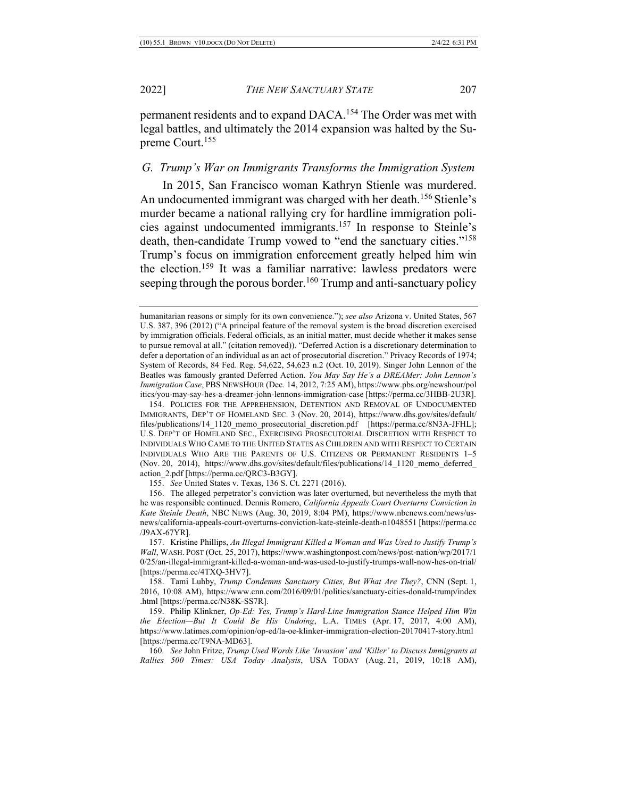permanent residents and to expand DACA.<sup>154</sup> The Order was met with legal battles, and ultimately the 2014 expansion was halted by the Supreme Court.155

#### *G. Trump's War on Immigrants Transforms the Immigration System*

In 2015, San Francisco woman Kathryn Stienle was murdered. An undocumented immigrant was charged with her death.<sup>156</sup> Stienle's murder became a national rallying cry for hardline immigration policies against undocumented immigrants.157 In response to Steinle's death, then-candidate Trump vowed to "end the sanctuary cities."<sup>158</sup> Trump's focus on immigration enforcement greatly helped him win the election.159 It was a familiar narrative: lawless predators were seeping through the porous border.<sup>160</sup> Trump and anti-sanctuary policy

154. POLICIES FOR THE APPREHENSION, DETENTION AND REMOVAL OF UNDOCUMENTED IMMIGRANTS, DEP'T OF HOMELAND SEC. 3 (Nov. 20, 2014), https://www.dhs.gov/sites/default/ files/publications/14\_1120\_memo\_prosecutorial\_discretion.pdf [https://perma.cc/8N3A-JFHL]; U.S. DEP'T OF HOMELAND SEC., EXERCISING PROSECUTORIAL DISCRETION WITH RESPECT TO INDIVIDUALS WHO CAME TO THE UNITED STATES AS CHILDREN AND WITH RESPECT TO CERTAIN INDIVIDUALS WHO ARE THE PARENTS OF U.S. CITIZENS OR PERMANENT RESIDENTS 1–5 (Nov. 20, 2014), https://www.dhs.gov/sites/default/files/publications/14\_1120\_memo\_deferred\_ action\_2.pdf [https://perma.cc/QRC3-B3GY].

155. *See* United States v. Texas, 136 S. Ct. 2271 (2016).

156. The alleged perpetrator's conviction was later overturned, but nevertheless the myth that he was responsible continued. Dennis Romero, *California Appeals Court Overturns Conviction in Kate Steinle Death*, NBC NEWS (Aug. 30, 2019, 8:04 PM), https://www.nbcnews.com/news/usnews/california-appeals-court-overturns-conviction-kate-steinle-death-n1048551 [https://perma.cc /J9AX-67YR].

157. Kristine Phillips, *An Illegal Immigrant Killed a Woman and Was Used to Justify Trump's Wall*, WASH. POST (Oct. 25, 2017), https://www.washingtonpost.com/news/post-nation/wp/2017/1 0/25/an-illegal-immigrant-killed-a-woman-and-was-used-to-justify-trumps-wall-now-hes-on-trial/ [https://perma.cc/4TXQ-3HV7].

158. Tami Luhby, *Trump Condemns Sanctuary Cities, But What Are They?*, CNN (Sept. 1, 2016, 10:08 AM), https://www.cnn.com/2016/09/01/politics/sanctuary-cities-donald-trump/index .html [https://perma.cc/N38K-SS7R].

159. Philip Klinkner, *Op-Ed: Yes, Trump's Hard-Line Immigration Stance Helped Him Win the Election—But It Could Be His Undoing*, L.A. TIMES (Apr. 17, 2017, 4:00 AM), https://www.latimes.com/opinion/op-ed/la-oe-klinker-immigration-election-20170417-story.html [https://perma.cc/T9NA-MD63].

160*. See* John Fritze, *Trump Used Words Like 'Invasion' and 'Killer' to Discuss Immigrants at Rallies 500 Times: USA Today Analysis*, USA TODAY (Aug. 21, 2019, 10:18 AM),

humanitarian reasons or simply for its own convenience."); *see also* Arizona v. United States, 567 U.S. 387, 396 (2012) ("A principal feature of the removal system is the broad discretion exercised by immigration officials. Federal officials, as an initial matter, must decide whether it makes sense to pursue removal at all." (citation removed)). "Deferred Action is a discretionary determination to defer a deportation of an individual as an act of prosecutorial discretion." Privacy Records of 1974; System of Records, 84 Fed. Reg. 54,622, 54,623 n.2 (Oct. 10, 2019). Singer John Lennon of the Beatles was famously granted Deferred Action. *You May Say He's a DREAMer: John Lennon's Immigration Case*, PBS NEWSHOUR (Dec. 14, 2012, 7:25 AM), https://www.pbs.org/newshour/pol itics/you-may-say-hes-a-dreamer-john-lennons-immigration-case [https://perma.cc/3HBB-2U3R].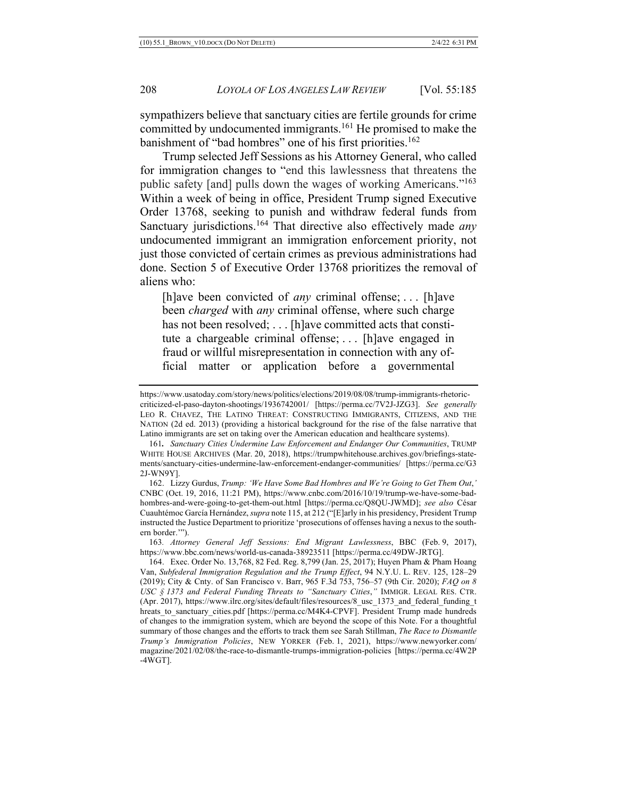sympathizers believe that sanctuary cities are fertile grounds for crime committed by undocumented immigrants.<sup>161</sup> He promised to make the banishment of "bad hombres" one of his first priorities.<sup>162</sup>

Trump selected Jeff Sessions as his Attorney General, who called for immigration changes to "end this lawlessness that threatens the public safety [and] pulls down the wages of working Americans."163 Within a week of being in office, President Trump signed Executive Order 13768, seeking to punish and withdraw federal funds from Sanctuary jurisdictions.164 That directive also effectively made *any*  undocumented immigrant an immigration enforcement priority, not just those convicted of certain crimes as previous administrations had done. Section 5 of Executive Order 13768 prioritizes the removal of aliens who:

[h]ave been convicted of *any* criminal offense; . . . [h]ave been *charged* with *any* criminal offense, where such charge has not been resolved; . . . [h]ave committed acts that constitute a chargeable criminal offense; . . . [h]ave engaged in fraud or willful misrepresentation in connection with any official matter or application before a governmental

163*. Attorney General Jeff Sessions: End Migrant Lawlessness*, BBC (Feb. 9, 2017), https://www.bbc.com/news/world-us-canada-38923511 [https://perma.cc/49DW-JRTG].

https://www.usatoday.com/story/news/politics/elections/2019/08/08/trump-immigrants-rhetoriccriticized-el-paso-dayton-shootings/1936742001/ [https://perma.cc/7V2J-JZG3]. *See generally*  LEO R. CHAVEZ, THE LATINO THREAT: CONSTRUCTING IMMIGRANTS, CITIZENS, AND THE NATION (2d ed. 2013) (providing a historical background for the rise of the false narrative that Latino immigrants are set on taking over the American education and healthcare systems).

<sup>161</sup>*. Sanctuary Cities Undermine Law Enforcement and Endanger Our Communities*, TRUMP WHITE HOUSE ARCHIVES (Mar. 20, 2018), https://trumpwhitehouse.archives.gov/briefings-statements/sanctuary-cities-undermine-law-enforcement-endanger-communities/ [https://perma.cc/G3 2J-WN9Y].

<sup>162.</sup> Lizzy Gurdus, *Trump: 'We Have Some Bad Hombres and We're Going to Get Them Out*,*'* CNBC (Oct. 19, 2016, 11:21 PM), https://www.cnbc.com/2016/10/19/trump-we-have-some-badhombres-and-were-going-to-get-them-out.html [https://perma.cc/Q8QU-JWMD]; *see also* César Cuauhtémoc García Hernández, *supra* note 115, at 212 ("[E]arly in his presidency, President Trump instructed the Justice Department to prioritize 'prosecutions of offenses having a nexus to the southern border.'").

<sup>164.</sup> Exec. Order No. 13,768, 82 Fed. Reg. 8,799 (Jan. 25, 2017); Huyen Pham & Pham Hoang Van, *Subfederal Immigration Regulation and the Trump Effect*, 94 N.Y.U. L. REV. 125, 128–29 (2019); City & Cnty. of San Francisco v. Barr, 965 F.3d 753, 756–57 (9th Cir. 2020); *FAQ on 8 USC § 1373 and Federal Funding Threats to "Sanctuary Cities*,*"* IMMIGR. LEGAL RES. CTR. (Apr. 2017), https://www.ilrc.org/sites/default/files/resources/8\_usc\_1373\_and\_federal\_funding\_t hreats to sanctuary cities.pdf [https://perma.cc/M4K4-CPVF]. President Trump made hundreds of changes to the immigration system, which are beyond the scope of this Note. For a thoughtful summary of those changes and the efforts to track them see Sarah Stillman, *The Race to Dismantle Trump's Immigration Policies*, NEW YORKER (Feb. 1, 2021), https://www.newyorker.com/ magazine/2021/02/08/the-race-to-dismantle-trumps-immigration-policies [https://perma.cc/4W2P -4WGT].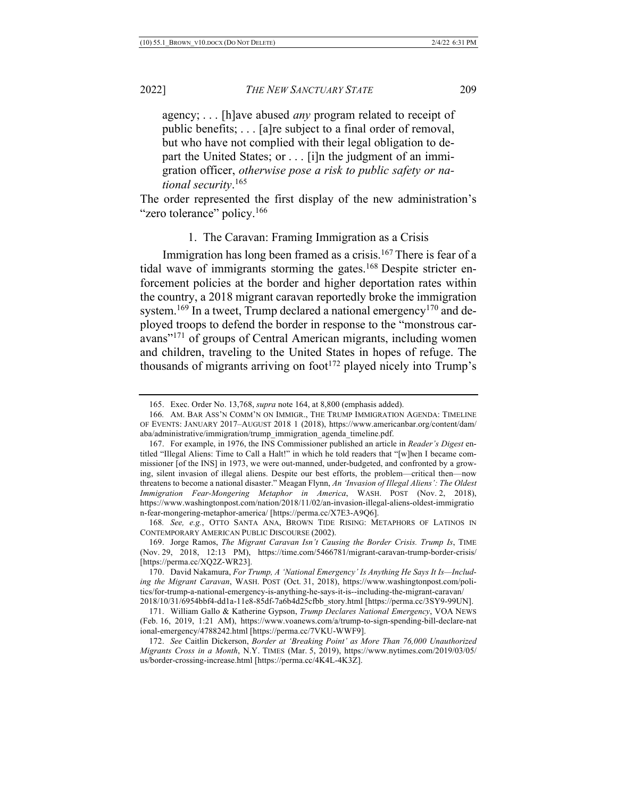agency; . . . [h]ave abused *any* program related to receipt of public benefits; . . . [a]re subject to a final order of removal, but who have not complied with their legal obligation to depart the United States; or . . . [i]n the judgment of an immigration officer, *otherwise pose a risk to public safety or national security*. 165

The order represented the first display of the new administration's "zero tolerance" policy.<sup>166</sup>

#### 1. The Caravan: Framing Immigration as a Crisis

Immigration has long been framed as a crisis.<sup>167</sup> There is fear of a tidal wave of immigrants storming the gates.<sup>168</sup> Despite stricter enforcement policies at the border and higher deportation rates within the country, a 2018 migrant caravan reportedly broke the immigration system.<sup>169</sup> In a tweet, Trump declared a national emergency<sup>170</sup> and deployed troops to defend the border in response to the "monstrous caravans"<sup>171</sup> of groups of Central American migrants, including women and children, traveling to the United States in hopes of refuge. The thousands of migrants arriving on foot<sup>172</sup> played nicely into Trump's

<sup>165.</sup> Exec. Order No. 13,768, *supra* note 164, at 8,800 (emphasis added).

<sup>166</sup>*.* AM. BAR ASS'N COMM'N ON IMMIGR., THE TRUMP IMMIGRATION AGENDA: TIMELINE OF EVENTS: JANUARY 2017–AUGUST 2018 1 (2018), https://www.americanbar.org/content/dam/ aba/administrative/immigration/trump\_immigration\_agenda\_timeline.pdf.

<sup>167.</sup> For example, in 1976, the INS Commissioner published an article in *Reader's Digest* entitled "Illegal Aliens: Time to Call a Halt!" in which he told readers that "[w]hen I became commissioner [of the INS] in 1973, we were out-manned, under-budgeted, and confronted by a growing, silent invasion of illegal aliens. Despite our best efforts, the problem—critical then—now threatens to become a national disaster." Meagan Flynn, *An 'Invasion of Illegal Aliens': The Oldest Immigration Fear-Mongering Metaphor in America*, WASH. POST (Nov. 2, 2018), https://www.washingtonpost.com/nation/2018/11/02/an-invasion-illegal-aliens-oldest-immigratio n-fear-mongering-metaphor-america/ [https://perma.cc/X7E3-A9Q6].

<sup>168</sup>*. See, e.g.*, OTTO SANTA ANA, BROWN TIDE RISING: METAPHORS OF LATINOS IN CONTEMPORARY AMERICAN PUBLIC DISCOURSE (2002).

<sup>169.</sup> Jorge Ramos, *The Migrant Caravan Isn't Causing the Border Crisis. Trump Is*, TIME (Nov. 29, 2018, 12:13 PM), https://time.com/5466781/migrant-caravan-trump-border-crisis/ [https://perma.cc/XQ2Z-WR23].

<sup>170.</sup> David Nakamura, *For Trump, A 'National Emergency' Is Anything He Says It Is—Including the Migrant Caravan*, WASH. POST (Oct. 31, 2018), https://www.washingtonpost.com/politics/for-trump-a-national-emergency-is-anything-he-says-it-is--including-the-migrant-caravan/ 2018/10/31/6954bbf4-dd1a-11e8-85df-7a6b4d25cfbb\_story.html [https://perma.cc/3SY9-99UN].

<sup>171.</sup> William Gallo & Katherine Gypson, *Trump Declares National Emergency*, VOA NEWS (Feb. 16, 2019, 1:21 AM), https://www.voanews.com/a/trump-to-sign-spending-bill-declare-nat ional-emergency/4788242.html [https://perma.cc/7VKU-WWF9].

<sup>172.</sup> *See* Caitlin Dickerson, *Border at 'Breaking Point' as More Than 76,000 Unauthorized Migrants Cross in a Month*, N.Y. TIMES (Mar. 5, 2019), https://www.nytimes.com/2019/03/05/ us/border-crossing-increase.html [https://perma.cc/4K4L-4K3Z].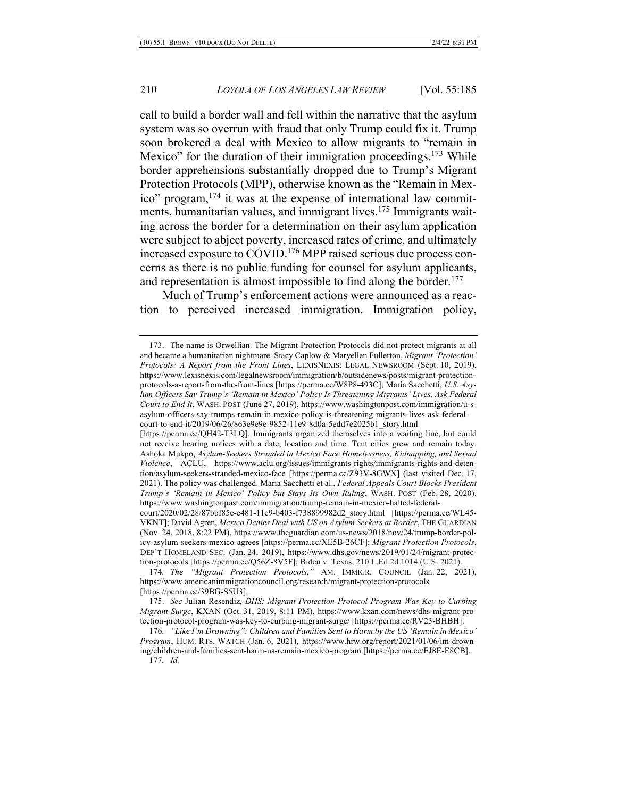call to build a border wall and fell within the narrative that the asylum system was so overrun with fraud that only Trump could fix it. Trump soon brokered a deal with Mexico to allow migrants to "remain in Mexico" for the duration of their immigration proceedings.<sup>173</sup> While border apprehensions substantially dropped due to Trump's Migrant Protection Protocols (MPP), otherwise known as the "Remain in Mexico" program,<sup>174</sup> it was at the expense of international law commitments, humanitarian values, and immigrant lives.<sup>175</sup> Immigrants waiting across the border for a determination on their asylum application were subject to abject poverty, increased rates of crime, and ultimately increased exposure to COVID.176 MPP raised serious due process concerns as there is no public funding for counsel for asylum applicants, and representation is almost impossible to find along the border.<sup>177</sup>

Much of Trump's enforcement actions were announced as a reaction to perceived increased immigration. Immigration policy,

<sup>173.</sup> The name is Orwellian. The Migrant Protection Protocols did not protect migrants at all and became a humanitarian nightmare. Stacy Caplow & Maryellen Fullerton, *Migrant 'Protection' Protocols: A Report from the Front Lines*, LEXISNEXIS: LEGAL NEWSROOM (Sept. 10, 2019), https://www.lexisnexis.com/legalnewsroom/immigration/b/outsidenews/posts/migrant-protectionprotocols-a-report-from-the-front-lines [https://perma.cc/W8P8-493C]; Maria Sacchetti, *U.S. Asylum Officers Say Trump's 'Remain in Mexico' Policy Is Threatening Migrants' Lives, Ask Federal Court to End It*, WASH. POST (June 27, 2019), https://www.washingtonpost.com/immigration/u-sasylum-officers-say-trumps-remain-in-mexico-policy-is-threatening-migrants-lives-ask-federalcourt-to-end-it/2019/06/26/863e9e9e-9852-11e9-8d0a-5edd7e2025b1\_story.html

<sup>[</sup>https://perma.cc/QH42-T3LQ]. Immigrants organized themselves into a waiting line, but could not receive hearing notices with a date, location and time. Tent cities grew and remain today. Ashoka Mukpo, *Asylum-Seekers Stranded in Mexico Face Homelessness, Kidnapping, and Sexual Violence*, ACLU, https://www.aclu.org/issues/immigrants-rights/immigrants-rights-and-detention/asylum-seekers-stranded-mexico-face [https://perma.cc/Z93V-8GWX] (last visited Dec. 17, 2021). The policy was challenged. Maria Sacchetti et al., *Federal Appeals Court Blocks President Trump's 'Remain in Mexico' Policy but Stays Its Own Ruling*, WASH. POST (Feb. 28, 2020), https://www.washingtonpost.com/immigration/trump-remain-in-mexico-halted-federal-

court/2020/02/28/87bbf85e-e481-11e9-b403-f738899982d2\_story.html [https://perma.cc/WL45- VKNT]; David Agren, *Mexico Denies Deal with US on Asylum Seekers at Border*, THE GUARDIAN (Nov. 24, 2018, 8:22 PM), https://www.theguardian.com/us-news/2018/nov/24/trump-border-policy-asylum-seekers-mexico-agrees [https://perma.cc/XE5B-26CF]; *Migrant Protection Protocols*, DEP'T HOMELAND SEC. (Jan. 24, 2019), https://www.dhs.gov/news/2019/01/24/migrant-protection-protocols [https://perma.cc/Q56Z-8V5F]; Biden v. Texas, 210 L.Ed.2d 1014 (U.S. 2021).

<sup>174</sup>*. The "Migrant Protection Protocols*,*"* AM. IMMIGR. COUNCIL (Jan. 22, 2021), https://www.americanimmigrationcouncil.org/research/migrant-protection-protocols [https://perma.cc/39BG-S5U3].

<sup>175.</sup> *See* Julian Resendiz, *DHS: Migrant Protection Protocol Program Was Key to Curbing Migrant Surge*, KXAN (Oct. 31, 2019, 8:11 PM), https://www.kxan.com/news/dhs-migrant-protection-protocol-program-was-key-to-curbing-migrant-surge/ [https://perma.cc/RV23-BHBH].

<sup>176</sup>*. "Like I'm Drowning": Children and Families Sent to Harm by the US 'Remain in Mexico' Program*, HUM. RTS. WATCH (Jan. 6, 2021), https://www.hrw.org/report/2021/01/06/im-drowning/children-and-families-sent-harm-us-remain-mexico-program [https://perma.cc/EJ8E-E8CB]. 177*. Id.*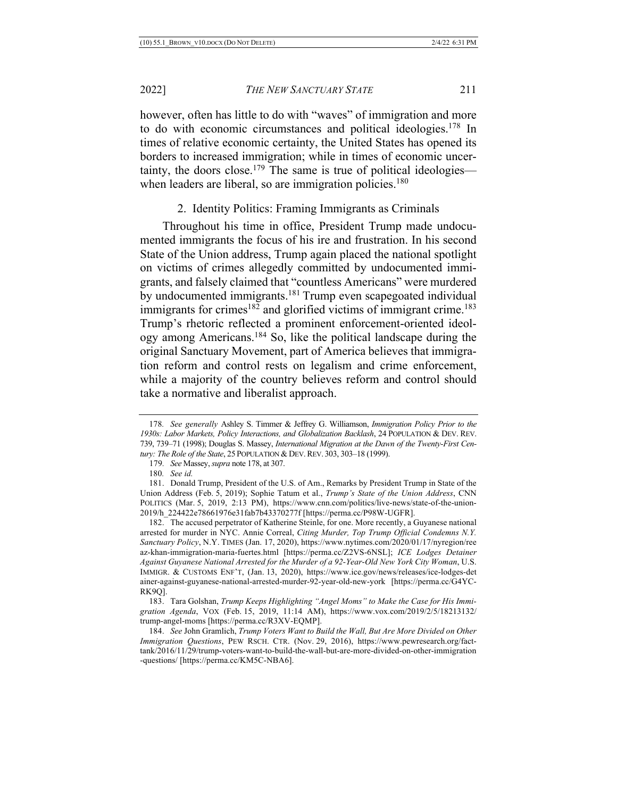however, often has little to do with "waves" of immigration and more to do with economic circumstances and political ideologies.<sup>178</sup> In times of relative economic certainty, the United States has opened its borders to increased immigration; while in times of economic uncertainty, the doors close.<sup>179</sup> The same is true of political ideologies when leaders are liberal, so are immigration policies.<sup>180</sup>

2. Identity Politics: Framing Immigrants as Criminals

Throughout his time in office, President Trump made undocumented immigrants the focus of his ire and frustration. In his second State of the Union address, Trump again placed the national spotlight on victims of crimes allegedly committed by undocumented immigrants, and falsely claimed that "countless Americans" were murdered by undocumented immigrants.<sup>181</sup> Trump even scapegoated individual immigrants for crimes<sup>182</sup> and glorified victims of immigrant crime.<sup>183</sup> Trump's rhetoric reflected a prominent enforcement-oriented ideology among Americans.184 So, like the political landscape during the original Sanctuary Movement, part of America believes that immigration reform and control rests on legalism and crime enforcement, while a majority of the country believes reform and control should take a normative and liberalist approach.

<sup>178</sup>*. See generally* Ashley S. Timmer & Jeffrey G. Williamson, *Immigration Policy Prior to the 1930s: Labor Markets, Policy Interactions, and Globalization Backlash*, 24 POPULATION & DEV. REV. 739, 739–71 (1998); Douglas S. Massey, *International Migration at the Dawn of the Twenty-First Century: The Role of the State*, 25 POPULATION & DEV.REV. 303, 303–18 (1999).

<sup>179</sup>*. See* Massey, *supra* note 178, at 307.

<sup>180</sup>*. See id.*

<sup>181.</sup> Donald Trump, President of the U.S. of Am., Remarks by President Trump in State of the Union Address (Feb. 5, 2019); Sophie Tatum et al., *Trump's State of the Union Address*, CNN POLITICS (Mar. 5, 2019, 2:13 PM), https://www.cnn.com/politics/live-news/state-of-the-union-2019/h\_224422e78661976e31fab7b43370277f [https://perma.cc/P98W-UGFR].

<sup>182.</sup> The accused perpetrator of Katherine Steinle, for one. More recently, a Guyanese national arrested for murder in NYC. Annie Correal, *Citing Murder, Top Trump Official Condemns N.Y. Sanctuary Policy*, N.Y. TIMES (Jan. 17, 2020), https://www.nytimes.com/2020/01/17/nyregion/ree az-khan-immigration-maria-fuertes.html [https://perma.cc/Z2VS-6NSL]; *ICE Lodges Detainer Against Guyanese National Arrested for the Murder of a 92-Year-Old New York City Woman*, U.S. IMMIGR. & CUSTOMS ENF'T, (Jan. 13, 2020), https://www.ice.gov/news/releases/ice-lodges-det ainer-against-guyanese-national-arrested-murder-92-year-old-new-york [https://perma.cc/G4YC-RK9Q].

<sup>183.</sup> Tara Golshan, *Trump Keeps Highlighting "Angel Moms" to Make the Case for His Immigration Agenda*, VOX (Feb. 15, 2019, 11:14 AM), https://www.vox.com/2019/2/5/18213132/ trump-angel-moms [https://perma.cc/R3XV-EQMP].

<sup>184.</sup> *See* John Gramlich, *Trump Voters Want to Build the Wall, But Are More Divided on Other Immigration Questions*, PEW RSCH. CTR. (Nov. 29, 2016), https://www.pewresearch.org/facttank/2016/11/29/trump-voters-want-to-build-the-wall-but-are-more-divided-on-other-immigration -questions/ [https://perma.cc/KM5C-NBA6].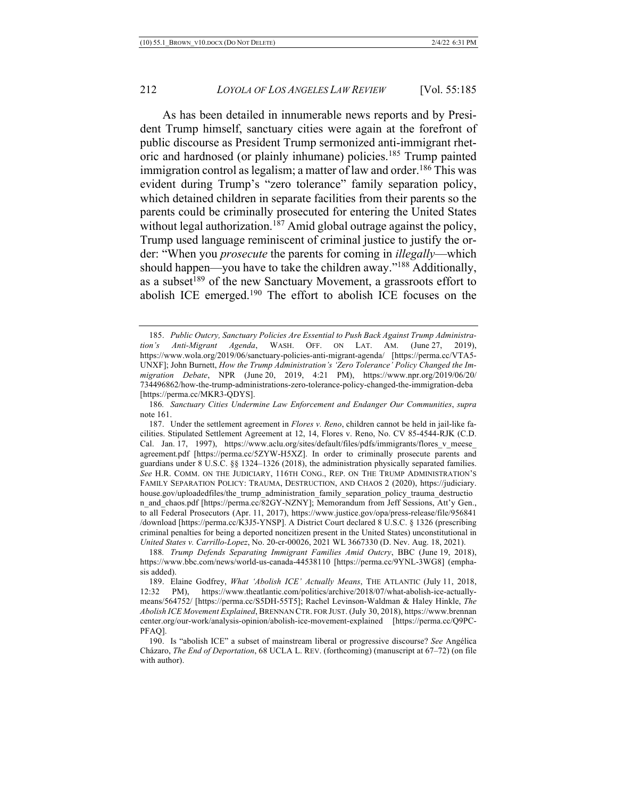As has been detailed in innumerable news reports and by President Trump himself, sanctuary cities were again at the forefront of public discourse as President Trump sermonized anti-immigrant rhetoric and hardnosed (or plainly inhumane) policies.<sup>185</sup> Trump painted immigration control as legalism; a matter of law and order.<sup>186</sup> This was evident during Trump's "zero tolerance" family separation policy, which detained children in separate facilities from their parents so the parents could be criminally prosecuted for entering the United States without legal authorization.<sup>187</sup> Amid global outrage against the policy, Trump used language reminiscent of criminal justice to justify the order: "When you *prosecute* the parents for coming in *illegally*—which should happen—you have to take the children away."188 Additionally, as a subset<sup>189</sup> of the new Sanctuary Movement, a grassroots effort to abolish ICE emerged.190 The effort to abolish ICE focuses on the

<sup>185.</sup> *Public Outcry, Sanctuary Policies Are Essential to Push Back Against Trump Administration's Anti-Migrant Agenda*, WASH. OFF. ON LAT. AM. (June 27, 2019), https://www.wola.org/2019/06/sanctuary-policies-anti-migrant-agenda/ [https://perma.cc/VTA5- UNXF]; John Burnett, *How the Trump Administration's 'Zero Tolerance' Policy Changed the Immigration Debate*, NPR (June 20, 2019, 4:21 PM), https://www.npr.org/2019/06/20/ 734496862/how-the-trump-administrations-zero-tolerance-policy-changed-the-immigration-deba [https://perma.cc/MKR3-QDYS].

<sup>186</sup>*. Sanctuary Cities Undermine Law Enforcement and Endanger Our Communities*, *supra* note 161.

<sup>187.</sup> Under the settlement agreement in *Flores v. Reno*, children cannot be held in jail-like facilities. Stipulated Settlement Agreement at 12, 14, Flores v. Reno, No. CV 85-4544-RJK (C.D. Cal. Jan. 17, 1997), https://www.aclu.org/sites/default/files/pdfs/immigrants/flores v meese agreement.pdf [https://perma.cc/5ZYW-H5XZ]. In order to criminally prosecute parents and guardians under 8 U.S.C. §§ 1324–1326 (2018), the administration physically separated families. *See* H.R. COMM. ON THE JUDICIARY, 116TH CONG., REP. ON THE TRUMP ADMINISTRATION'S FAMILY SEPARATION POLICY: TRAUMA, DESTRUCTION, AND CHAOS 2 (2020), https://judiciary. house.gov/uploadedfiles/the\_trump\_administration\_family\_separation\_policy\_trauma\_destructio n and chaos.pdf [https://perma.cc/82GY-NZNY]; Memorandum from Jeff Sessions, Att'y Gen., to all Federal Prosecutors (Apr. 11, 2017), https://www.justice.gov/opa/press-release/file/956841 /download [https://perma.cc/K3J5-YNSP]. A District Court declared 8 U.S.C. § 1326 (prescribing criminal penalties for being a deported noncitizen present in the United States) unconstitutional in *United States v. Carrillo-Lopez*, No. 20-cr-00026, 2021 WL 3667330 (D. Nev. Aug. 18, 2021).

<sup>188</sup>*. Trump Defends Separating Immigrant Families Amid Outcry*, BBC (June 19, 2018), https://www.bbc.com/news/world-us-canada-44538110 [https://perma.cc/9YNL-3WG8] (emphasis added).

<sup>189.</sup> Elaine Godfrey, *What 'Abolish ICE' Actually Means*, THE ATLANTIC (July 11, 2018, 12:32 PM), https://www.theatlantic.com/politics/archive/2018/07/what-abolish-ice-actuallymeans/564752/ [https://perma.cc/S5DH-55T5]; Rachel Levinson-Waldman & Haley Hinkle, *The Abolish ICE Movement Explained*, BRENNAN CTR. FOR JUST. (July 30, 2018), https://www.brennan center.org/our-work/analysis-opinion/abolish-ice-movement-explained [https://perma.cc/Q9PC-PFAQ].

<sup>190.</sup> Is "abolish ICE" a subset of mainstream liberal or progressive discourse? *See* Angélica Cházaro, *The End of Deportation*, 68 UCLA L. REV. (forthcoming) (manuscript at 67–72) (on file with author).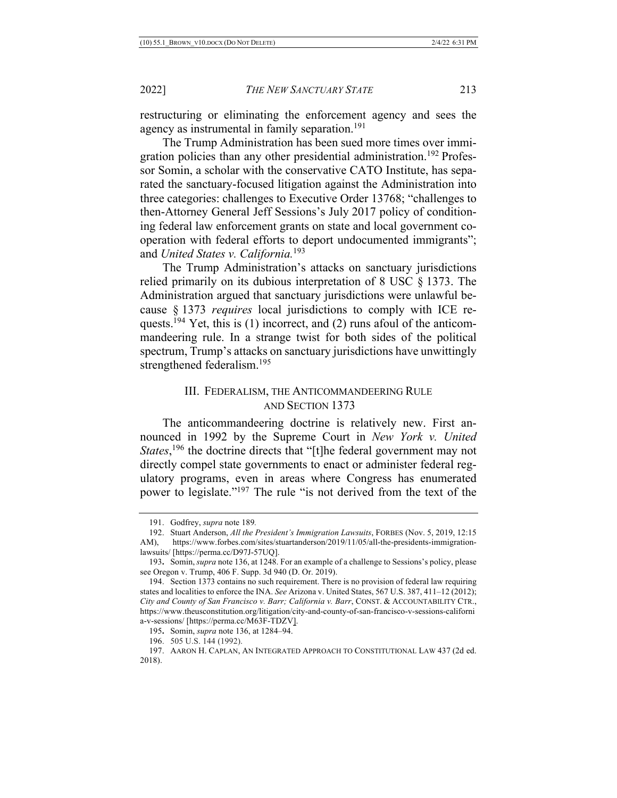restructuring or eliminating the enforcement agency and sees the agency as instrumental in family separation.<sup>191</sup>

The Trump Administration has been sued more times over immigration policies than any other presidential administration.<sup>192</sup> Professor Somin, a scholar with the conservative CATO Institute, has separated the sanctuary-focused litigation against the Administration into three categories: challenges to Executive Order 13768; "challenges to then-Attorney General Jeff Sessions's July 2017 policy of conditioning federal law enforcement grants on state and local government cooperation with federal efforts to deport undocumented immigrants"; and *United States v. California.*<sup>193</sup>

The Trump Administration's attacks on sanctuary jurisdictions relied primarily on its dubious interpretation of 8 USC § 1373. The Administration argued that sanctuary jurisdictions were unlawful because § 1373 *requires* local jurisdictions to comply with ICE requests.<sup>194</sup> Yet, this is (1) incorrect, and (2) runs afoul of the anticommandeering rule. In a strange twist for both sides of the political spectrum, Trump's attacks on sanctuary jurisdictions have unwittingly strengthened federalism.195

#### III. FEDERALISM, THE ANTICOMMANDEERING RULE AND SECTION 1373

The anticommandeering doctrine is relatively new. First announced in 1992 by the Supreme Court in *New York v. United States*,<sup>196</sup> the doctrine directs that "[t]he federal government may not directly compel state governments to enact or administer federal regulatory programs, even in areas where Congress has enumerated power to legislate."<sup>197</sup> The rule "is not derived from the text of the

<sup>191.</sup> Godfrey, *supra* note 189*.*

<sup>192.</sup> Stuart Anderson, *All the President's Immigration Lawsuits*, FORBES (Nov. 5, 2019, 12:15 AM), https://www.forbes.com/sites/stuartanderson/2019/11/05/all-the-presidents-immigrationlawsuits/ [https://perma.cc/D97J-57UQ].

<sup>193</sup>**.** Somin, *supra* note 136, at 1248. For an example of a challenge to Sessions's policy, please see Oregon v. Trump, 406 F. Supp. 3d 940 (D. Or. 2019).

<sup>194.</sup> Section 1373 contains no such requirement. There is no provision of federal law requiring states and localities to enforce the INA. *See* Arizona v. United States, 567 U.S. 387, 411–12 (2012); *City and County of San Francisco v. Barr; California v. Barr*, CONST. & ACCOUNTABILITY CTR., https://www.theusconstitution.org/litigation/city-and-county-of-san-francisco-v-sessions-californi a-v-sessions/ [https://perma.cc/M63F-TDZV].

<sup>195</sup>**.** Somin, *supra* note 136, at 1284–94.

<sup>196.</sup> 505 U.S. 144 (1992).

<sup>197.</sup> AARON H. CAPLAN, AN INTEGRATED APPROACH TO CONSTITUTIONAL LAW 437 (2d ed. 2018).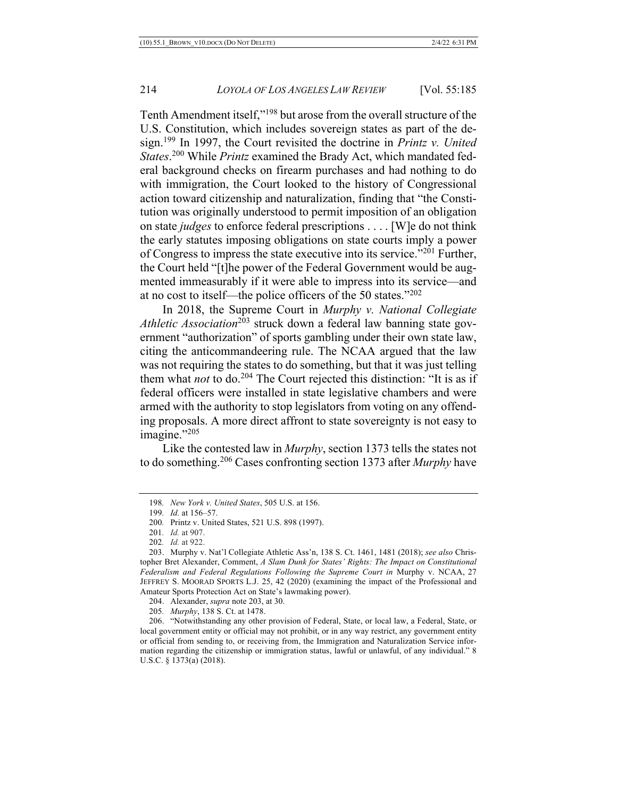Tenth Amendment itself,"198 but arose from the overall structure of the U.S. Constitution, which includes sovereign states as part of the design.199 In 1997, the Court revisited the doctrine in *Printz v. United States*. <sup>200</sup> While *Printz* examined the Brady Act, which mandated federal background checks on firearm purchases and had nothing to do with immigration, the Court looked to the history of Congressional action toward citizenship and naturalization, finding that "the Constitution was originally understood to permit imposition of an obligation on state *judges* to enforce federal prescriptions . . . . [W]e do not think the early statutes imposing obligations on state courts imply a power of Congress to impress the state executive into its service."201 Further, the Court held "[t]he power of the Federal Government would be augmented immeasurably if it were able to impress into its service—and at no cost to itself—the police officers of the 50 states."202

In 2018, the Supreme Court in *Murphy v. National Collegiate Athletic Association*<sup>203</sup> struck down a federal law banning state government "authorization" of sports gambling under their own state law, citing the anticommandeering rule. The NCAA argued that the law was not requiring the states to do something, but that it was just telling them what *not* to do.<sup>204</sup> The Court rejected this distinction: "It is as if federal officers were installed in state legislative chambers and were armed with the authority to stop legislators from voting on any offending proposals. A more direct affront to state sovereignty is not easy to imagine."205

Like the contested law in *Murphy*, section 1373 tells the states not to do something.206 Cases confronting section 1373 after *Murphy* have

<sup>198</sup>*. New York v. United States*, 505 U.S. at 156.

<sup>199</sup>*. Id.* at 156–57.

<sup>200</sup>*.* Printz v. United States, 521 U.S. 898 (1997).

<sup>201</sup>*. Id.* at 907.

<sup>202</sup>*. Id.* at 922.

<sup>203.</sup> Murphy v. Nat'l Collegiate Athletic Ass'n, 138 S. Ct. 1461, 1481 (2018); *see also* Christopher Bret Alexander, Comment, *A Slam Dunk for States' Rights: The Impact on Constitutional Federalism and Federal Regulations Following the Supreme Court in* Murphy v. NCAA, 27 JEFFREY S. MOORAD SPORTS L.J. 25, 42 (2020) (examining the impact of the Professional and Amateur Sports Protection Act on State's lawmaking power).

<sup>204.</sup> Alexander, *supra* note 203, at 30.

<sup>205</sup>*. Murphy*, 138 S. Ct. at 1478.

<sup>206.</sup> "Notwithstanding any other provision of Federal, State, or local law, a Federal, State, or local government entity or official may not prohibit, or in any way restrict, any government entity or official from sending to, or receiving from, the Immigration and Naturalization Service information regarding the citizenship or immigration status, lawful or unlawful, of any individual." 8 U.S.C. § 1373(a) (2018).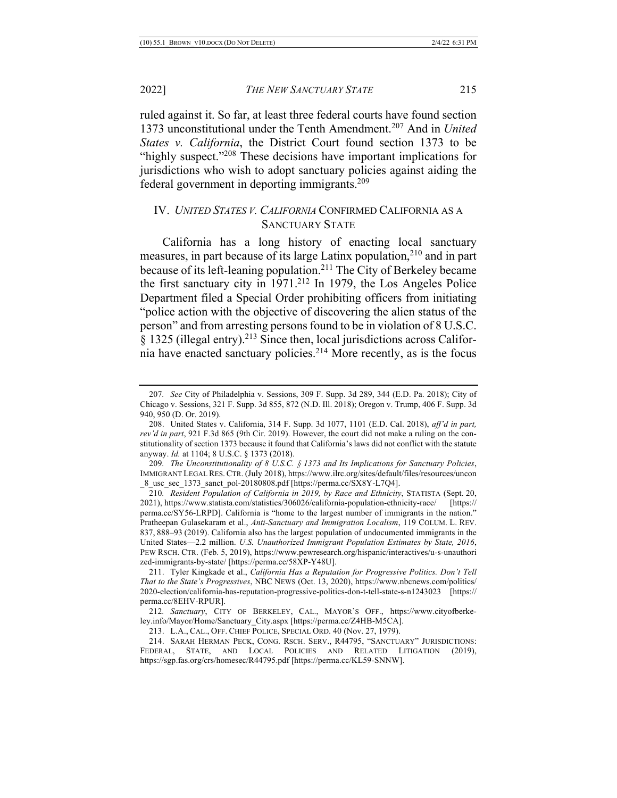ruled against it. So far, at least three federal courts have found section 1373 unconstitutional under the Tenth Amendment.207 And in *United States v. California*, the District Court found section 1373 to be "highly suspect."<sup>208</sup> These decisions have important implications for jurisdictions who wish to adopt sanctuary policies against aiding the federal government in deporting immigrants.209

## IV. *UNITED STATES V. CALIFORNIA* CONFIRMED CALIFORNIA AS A SANCTUARY STATE

California has a long history of enacting local sanctuary measures, in part because of its large Latinx population, <sup>210</sup> and in part because of its left-leaning population.<sup>211</sup> The City of Berkeley became the first sanctuary city in  $1971<sup>212</sup>$  In 1979, the Los Angeles Police Department filed a Special Order prohibiting officers from initiating "police action with the objective of discovering the alien status of the person" and from arresting persons found to be in violation of 8 U.S.C.  $§$  1325 (illegal entry).<sup>213</sup> Since then, local jurisdictions across California have enacted sanctuary policies.<sup>214</sup> More recently, as is the focus

<sup>207</sup>*. See* City of Philadelphia v. Sessions, 309 F. Supp. 3d 289, 344 (E.D. Pa. 2018); City of Chicago v. Sessions, 321 F. Supp. 3d 855, 872 (N.D. Ill. 2018); Oregon v. Trump, 406 F. Supp. 3d 940, 950 (D. Or. 2019).

<sup>208.</sup> United States v. California, 314 F. Supp. 3d 1077, 1101 (E.D. Cal. 2018), *aff'd in part, rev'd in part*, 921 F.3d 865 (9th Cir. 2019). However, the court did not make a ruling on the constitutionality of section 1373 because it found that California's laws did not conflict with the statute anyway. *Id.* at 1104; 8 U.S.C. § 1373 (2018).

<sup>209</sup>*. The Unconstitutionality of 8 U.S.C. § 1373 and Its Implications for Sanctuary Policies*, IMMIGRANT LEGAL RES. CTR. (July 2018), https://www.ilrc.org/sites/default/files/resources/uncon \_8\_usc\_sec\_1373\_sanct\_pol-20180808.pdf [https://perma.cc/SX8Y-L7Q4].

<sup>210</sup>*. Resident Population of California in 2019, by Race and Ethnicity*, STATISTA (Sept. 20, 2021), https://www.statista.com/statistics/306026/california-population-ethnicity-race/ [https:// perma.cc/SY56-LRPD]. California is "home to the largest number of immigrants in the nation." Pratheepan Gulasekaram et al., *Anti-Sanctuary and Immigration Localism*, 119 COLUM. L. REV. 837, 888–93 (2019). California also has the largest population of undocumented immigrants in the United States—2.2 million. *U.S. Unauthorized Immigrant Population Estimates by State, 2016*, PEW RSCH. CTR. (Feb. 5, 2019), https://www.pewresearch.org/hispanic/interactives/u-s-unauthori zed-immigrants-by-state/ [https://perma.cc/58XP-Y48U].

<sup>211.</sup> Tyler Kingkade et al., *California Has a Reputation for Progressive Politics. Don't Tell That to the State's Progressives*, NBC NEWS (Oct. 13, 2020), https://www.nbcnews.com/politics/ 2020-election/california-has-reputation-progressive-politics-don-t-tell-state-s-n1243023 [https:// perma.cc/8EHV-RPUR].

<sup>212</sup>*. Sanctuary*, CITY OF BERKELEY, CAL., MAYOR'S OFF., https://www.cityofberkeley.info/Mayor/Home/Sanctuary\_City.aspx [https://perma.cc/Z4HB-M5CA].

<sup>213.</sup> L.A., CAL., OFF. CHIEF POLICE, SPECIAL ORD. 40 (Nov. 27, 1979).

<sup>214.</sup> SARAH HERMAN PECK, CONG. RSCH. SERV., R44795, "SANCTUARY" JURISDICTIONS: FEDERAL, STATE, AND LOCAL POLICIES AND RELATED LITIGATION (2019), https://sgp.fas.org/crs/homesec/R44795.pdf [https://perma.cc/KL59-SNNW].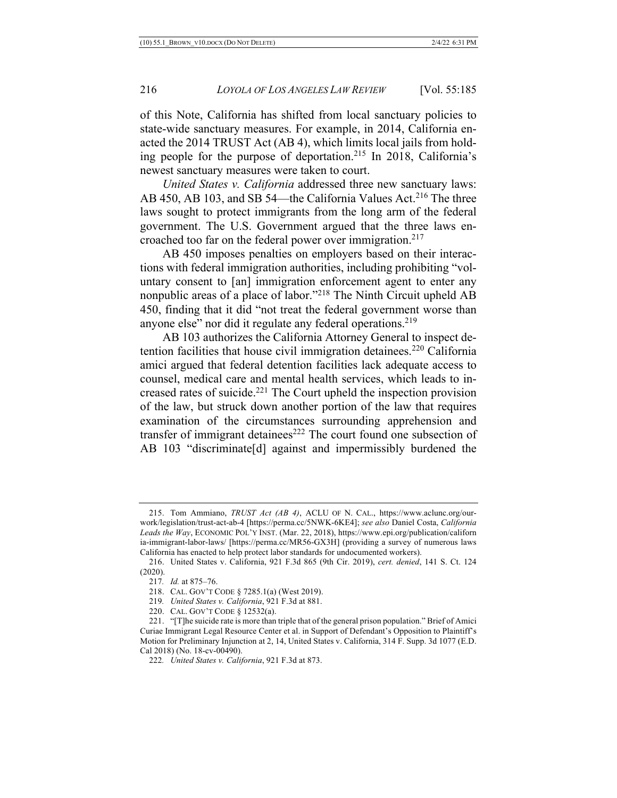of this Note, California has shifted from local sanctuary policies to state-wide sanctuary measures. For example, in 2014, California enacted the 2014 TRUST Act (AB 4), which limits local jails from holding people for the purpose of deportation.215 In 2018, California's newest sanctuary measures were taken to court.

*United States v. California* addressed three new sanctuary laws: AB 450, AB 103, and SB 54—the California Values Act.<sup>216</sup> The three laws sought to protect immigrants from the long arm of the federal government. The U.S. Government argued that the three laws encroached too far on the federal power over immigration.<sup>217</sup>

AB 450 imposes penalties on employers based on their interactions with federal immigration authorities, including prohibiting "voluntary consent to [an] immigration enforcement agent to enter any nonpublic areas of a place of labor."218 The Ninth Circuit upheld AB 450, finding that it did "not treat the federal government worse than anyone else" nor did it regulate any federal operations.<sup>219</sup>

AB 103 authorizes the California Attorney General to inspect detention facilities that house civil immigration detainees.<sup>220</sup> California amici argued that federal detention facilities lack adequate access to counsel, medical care and mental health services, which leads to increased rates of suicide.221 The Court upheld the inspection provision of the law, but struck down another portion of the law that requires examination of the circumstances surrounding apprehension and transfer of immigrant detainees<sup>222</sup> The court found one subsection of AB 103 "discriminate[d] against and impermissibly burdened the

219*. United States v. California*, 921 F.3d at 881.

<sup>215.</sup> Tom Ammiano, *TRUST Act (AB 4)*, ACLU OF N. CAL., https://www.aclunc.org/ourwork/legislation/trust-act-ab-4 [https://perma.cc/5NWK-6KE4]; *see also* Daniel Costa, *California Leads the Way*, ECONOMIC POL'Y INST. (Mar. 22, 2018), https://www.epi.org/publication/californ ia-immigrant-labor-laws/ [https://perma.cc/MR56-GX3H] (providing a survey of numerous laws California has enacted to help protect labor standards for undocumented workers).

<sup>216.</sup> United States v. California, 921 F.3d 865 (9th Cir. 2019), *cert. denied*, 141 S. Ct. 124 (2020).

<sup>217</sup>*. Id.* at 875–76.

<sup>218.</sup> CAL. GOV'T CODE § 7285.1(a) (West 2019).

<sup>220.</sup> CAL. GOV'T CODE § 12532(a).

<sup>221.</sup> "[T]he suicide rate is more than triple that of the general prison population." Brief of Amici Curiae Immigrant Legal Resource Center et al. in Support of Defendant's Opposition to Plaintiff's Motion for Preliminary Injunction at 2, 14, United States v. California, 314 F. Supp. 3d 1077 (E.D. Cal 2018) (No. 18-cv-00490).

<sup>222</sup>*. United States v. California*, 921 F.3d at 873.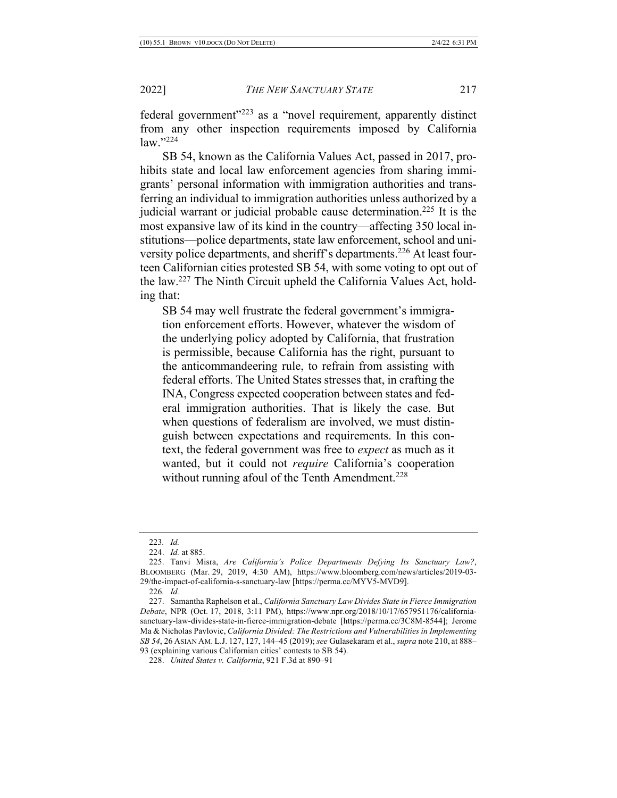federal government"223 as a "novel requirement, apparently distinct from any other inspection requirements imposed by California law."224

SB 54, known as the California Values Act, passed in 2017, prohibits state and local law enforcement agencies from sharing immigrants' personal information with immigration authorities and transferring an individual to immigration authorities unless authorized by a judicial warrant or judicial probable cause determination.<sup>225</sup> It is the most expansive law of its kind in the country—affecting 350 local institutions—police departments, state law enforcement, school and university police departments, and sheriff's departments.<sup>226</sup> At least fourteen Californian cities protested SB 54, with some voting to opt out of the law.227 The Ninth Circuit upheld the California Values Act, holding that:

SB 54 may well frustrate the federal government's immigration enforcement efforts. However, whatever the wisdom of the underlying policy adopted by California, that frustration is permissible, because California has the right, pursuant to the anticommandeering rule, to refrain from assisting with federal efforts. The United States stresses that, in crafting the INA, Congress expected cooperation between states and federal immigration authorities. That is likely the case. But when questions of federalism are involved, we must distinguish between expectations and requirements. In this context, the federal government was free to *expect* as much as it wanted, but it could not *require* California's cooperation without running afoul of the Tenth Amendment.<sup>228</sup>

<sup>223</sup>*. Id.*

<sup>224.</sup> *Id.* at 885.

<sup>225.</sup> Tanvi Misra, *Are California's Police Departments Defying Its Sanctuary Law?*, BLOOMBERG (Mar. 29, 2019, 4:30 AM), https://www.bloomberg.com/news/articles/2019-03- 29/the-impact-of-california-s-sanctuary-law [https://perma.cc/MYV5-MVD9].

<sup>226</sup>*. Id.*

<sup>227.</sup> Samantha Raphelson et al., *California Sanctuary Law Divides State in Fierce Immigration Debate*, NPR (Oct. 17, 2018, 3:11 PM), https://www.npr.org/2018/10/17/657951176/californiasanctuary-law-divides-state-in-fierce-immigration-debate [https://perma.cc/3C8M-8544]; Jerome Ma & Nicholas Pavlovic, *California Divided: The Restrictions and Vulnerabilities in Implementing SB 54*, 26 ASIAN AM. L.J. 127, 127, 144–45 (2019); *see* Gulasekaram et al., *supra* note 210, at 888– 93 (explaining various Californian cities' contests to SB 54).

<sup>228.</sup> *United States v. California*, 921 F.3d at 890–91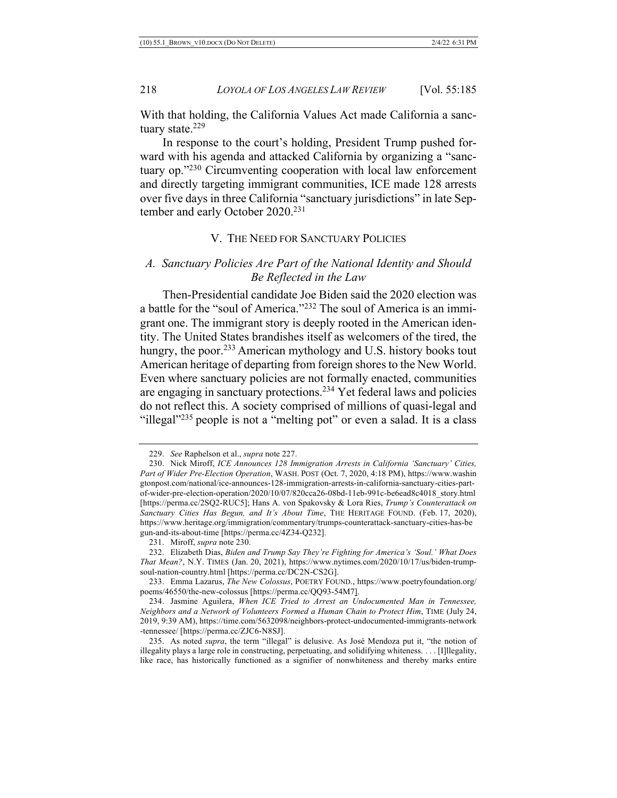With that holding, the California Values Act made California a sanctuary state.<sup>229</sup>

In response to the court's holding, President Trump pushed forward with his agenda and attacked California by organizing a "sanctuary op."230 Circumventing cooperation with local law enforcement and directly targeting immigrant communities, ICE made 128 arrests over five days in three California "sanctuary jurisdictions" in late September and early October 2020.<sup>231</sup>

#### V. THE NEED FOR SANCTUARY POLICIES

## *A. Sanctuary Policies Are Part of the National Identity and Should Be Reflected in the Law*

Then-Presidential candidate Joe Biden said the 2020 election was a battle for the "soul of America."232 The soul of America is an immigrant one. The immigrant story is deeply rooted in the American identity. The United States brandishes itself as welcomers of the tired, the hungry, the poor.<sup>233</sup> American mythology and U.S. history books tout American heritage of departing from foreign shores to the New World. Even where sanctuary policies are not formally enacted, communities are engaging in sanctuary protections.<sup>234</sup> Yet federal laws and policies do not reflect this. A society comprised of millions of quasi-legal and "illegal"<sup>235</sup> people is not a "melting pot" or even a salad. It is a class

231. Miroff, *supra* note 230.

<sup>229.</sup> *See* Raphelson et al., *supra* note 227.

<sup>230.</sup> Nick Miroff, *ICE Announces 128 Immigration Arrests in California 'Sanctuary' Cities, Part of Wider Pre-Election Operation*, WASH. POST (Oct. 7, 2020, 4:18 PM), https://www.washin gtonpost.com/national/ice-announces-128-immigration-arrests-in-california-sanctuary-cities-partof-wider-pre-election-operation/2020/10/07/820cca26-08bd-11eb-991c-be6ead8c4018\_story.html [https://perma.cc/2SQ2-RUC5]; Hans A. von Spakovsky & Lora Ries, *Trump's Counterattack on Sanctuary Cities Has Begun, and It's About Time*, THE HERITAGE FOUND. (Feb. 17, 2020), https://www.heritage.org/immigration/commentary/trumps-counterattack-sanctuary-cities-has-be gun-and-its-about-time [https://perma.cc/4Z34-Q232].

<sup>232.</sup> Elizabeth Dias, *Biden and Trump Say They're Fighting for America's 'Soul.' What Does That Mean?*, N.Y. TIMES (Jan. 20, 2021), https://www.nytimes.com/2020/10/17/us/biden-trumpsoul-nation-country.html [https://perma.cc/DC2N-CS2G].

<sup>233.</sup> Emma Lazarus, *The New Colossus*, POETRY FOUND., https://www.poetryfoundation.org/ poems/46550/the-new-colossus [https://perma.cc/QQ93-54M7].

<sup>234.</sup> Jasmine Aguilera, *When ICE Tried to Arrest an Undocumented Man in Tennessee, Neighbors and a Network of Volunteers Formed a Human Chain to Protect Him*, TIME (July 24, 2019, 9:39 AM), https://time.com/5632098/neighbors-protect-undocumented-immigrants-network -tennessee/ [https://perma.cc/ZJC6-N8SJ].

<sup>235.</sup> As noted *supra*, the term "illegal" is delusive. As José Mendoza put it, "the notion of illegality plays a large role in constructing, perpetuating, and solidifying whiteness. . . . [I]llegality, like race, has historically functioned as a signifier of nonwhiteness and thereby marks entire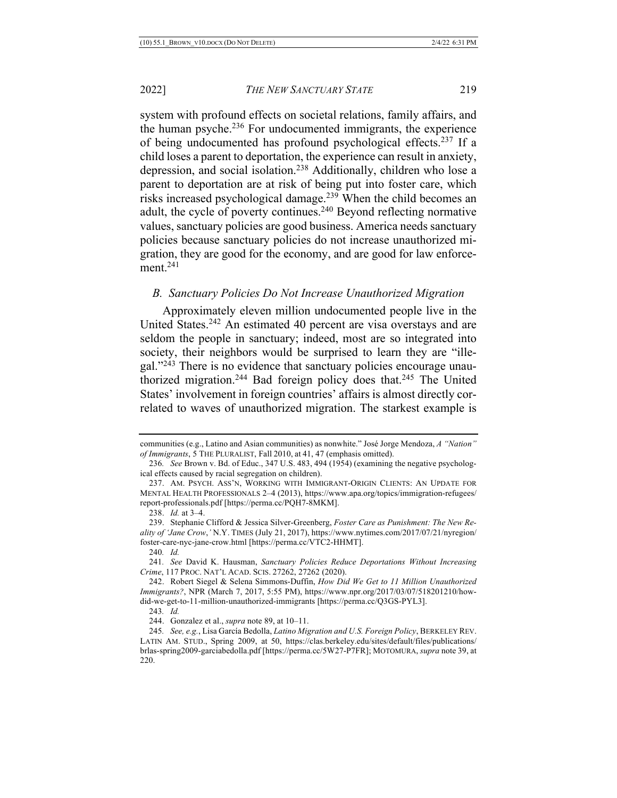system with profound effects on societal relations, family affairs, and the human psyche. $236$  For undocumented immigrants, the experience of being undocumented has profound psychological effects.237 If a child loses a parent to deportation, the experience can result in anxiety, depression, and social isolation.238 Additionally, children who lose a parent to deportation are at risk of being put into foster care, which risks increased psychological damage.<sup>239</sup> When the child becomes an adult, the cycle of poverty continues.<sup>240</sup> Beyond reflecting normative values, sanctuary policies are good business. America needs sanctuary policies because sanctuary policies do not increase unauthorized migration, they are good for the economy, and are good for law enforcement.241

#### *B. Sanctuary Policies Do Not Increase Unauthorized Migration*

Approximately eleven million undocumented people live in the United States.<sup>242</sup> An estimated 40 percent are visa overstays and are seldom the people in sanctuary; indeed, most are so integrated into society, their neighbors would be surprised to learn they are "illegal."243 There is no evidence that sanctuary policies encourage unauthorized migration.<sup>244</sup> Bad foreign policy does that.<sup>245</sup> The United States' involvement in foreign countries' affairs is almost directly correlated to waves of unauthorized migration. The starkest example is

communities (e.g., Latino and Asian communities) as nonwhite." José Jorge Mendoza, *A "Nation" of Immigrants*, 5 THE PLURALIST, Fall 2010, at 41, 47 (emphasis omitted).

<sup>236</sup>*. See* Brown v. Bd. of Educ., 347 U.S. 483, 494 (1954) (examining the negative psychological effects caused by racial segregation on children).

<sup>237.</sup> AM. PSYCH. ASS'N, WORKING WITH IMMIGRANT-ORIGIN CLIENTS: AN UPDATE FOR MENTAL HEALTH PROFESSIONALS 2–4 (2013), https://www.apa.org/topics/immigration-refugees/ report-professionals.pdf [https://perma.cc/PQH7-8MKM].

<sup>238.</sup> *Id.* at 3–4.

<sup>239.</sup> Stephanie Clifford & Jessica Silver-Greenberg, *Foster Care as Punishment: The New Reality of 'Jane Crow*,*'* N.Y. TIMES (July 21, 2017), https://www.nytimes.com/2017/07/21/nyregion/ foster-care-nyc-jane-crow.html [https://perma.cc/VTC2-HHMT].

<sup>240</sup>*. Id.*

<sup>241</sup>*. See* David K. Hausman, *Sanctuary Policies Reduce Deportations Without Increasing Crime*, 117 PROC. NAT'L ACAD. SCIS. 27262, 27262 (2020).

<sup>242.</sup> Robert Siegel & Selena Simmons-Duffin, *How Did We Get to 11 Million Unauthorized Immigrants?*, NPR (March 7, 2017, 5:55 PM), https://www.npr.org/2017/03/07/518201210/howdid-we-get-to-11-million-unauthorized-immigrants [https://perma.cc/Q3GS-PYL3].

<sup>243</sup>*. Id.*

<sup>244.</sup> Gonzalez et al., *supra* note 89, at 10–11.

<sup>245</sup>*. See, e.g.*, Lisa García Bedolla, *Latino Migration and U.S. Foreign Policy*, BERKELEY REV. LATIN AM. STUD., Spring 2009, at 50, https://clas.berkeley.edu/sites/default/files/publications/ brlas-spring2009-garciabedolla.pdf [https://perma.cc/5W27-P7FR]; MOTOMURA, *supra* note 39, at 220.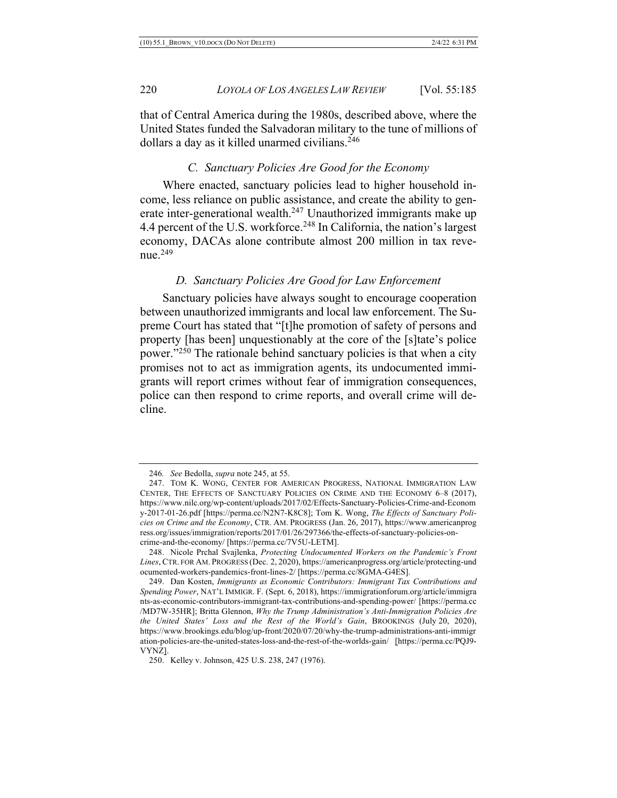that of Central America during the 1980s, described above, where the United States funded the Salvadoran military to the tune of millions of dollars a day as it killed unarmed civilians.<sup>246</sup>

#### *C. Sanctuary Policies Are Good for the Economy*

Where enacted, sanctuary policies lead to higher household income, less reliance on public assistance, and create the ability to generate inter-generational wealth.<sup>247</sup> Unauthorized immigrants make up 4.4 percent of the U.S. workforce.<sup>248</sup> In California, the nation's largest economy, DACAs alone contribute almost 200 million in tax revenue.249

#### *D. Sanctuary Policies Are Good for Law Enforcement*

Sanctuary policies have always sought to encourage cooperation between unauthorized immigrants and local law enforcement. The Supreme Court has stated that "[t]he promotion of safety of persons and property [has been] unquestionably at the core of the [s]tate's police power."250 The rationale behind sanctuary policies is that when a city promises not to act as immigration agents, its undocumented immigrants will report crimes without fear of immigration consequences, police can then respond to crime reports, and overall crime will decline.

<sup>246</sup>*. See* Bedolla, *supra* note 245, at 55.

<sup>247.</sup> TOM K. WONG, CENTER FOR AMERICAN PROGRESS, NATIONAL IMMIGRATION LAW CENTER, THE EFFECTS OF SANCTUARY POLICIES ON CRIME AND THE ECONOMY 6–8 (2017), https://www.nilc.org/wp-content/uploads/2017/02/Effects-Sanctuary-Policies-Crime-and-Econom y-2017-01-26.pdf [https://perma.cc/N2N7-K8C8]; Tom K. Wong, *The Effects of Sanctuary Policies on Crime and the Economy*, CTR. AM. PROGRESS (Jan. 26, 2017), https://www.americanprog ress.org/issues/immigration/reports/2017/01/26/297366/the-effects-of-sanctuary-policies-oncrime-and-the-economy/ [https://perma.cc/7V5U-LETM].

<sup>248.</sup> Nicole Prchal Svajlenka, *Protecting Undocumented Workers on the Pandemic's Front Lines*, CTR. FOR AM. PROGRESS (Dec. 2, 2020), https://americanprogress.org/article/protecting-und ocumented-workers-pandemics-front-lines-2/ [https://perma.cc/8GMA-G4ES].

<sup>249.</sup> Dan Kosten, *Immigrants as Economic Contributors: Immigrant Tax Contributions and Spending Power*, NAT'L IMMIGR. F. (Sept. 6, 2018), https://immigrationforum.org/article/immigra nts-as-economic-contributors-immigrant-tax-contributions-and-spending-power/ [https://perma.cc /MD7W-35HR]; Britta Glennon, *Why the Trump Administration's Anti-Immigration Policies Are the United States' Loss and the Rest of the World's Gain*, BROOKINGS (July 20, 2020), https://www.brookings.edu/blog/up-front/2020/07/20/why-the-trump-administrations-anti-immigr ation-policies-are-the-united-states-loss-and-the-rest-of-the-worlds-gain/ [https://perma.cc/PQJ9- VYNZ].

<sup>250.</sup> Kelley v. Johnson, 425 U.S. 238, 247 (1976).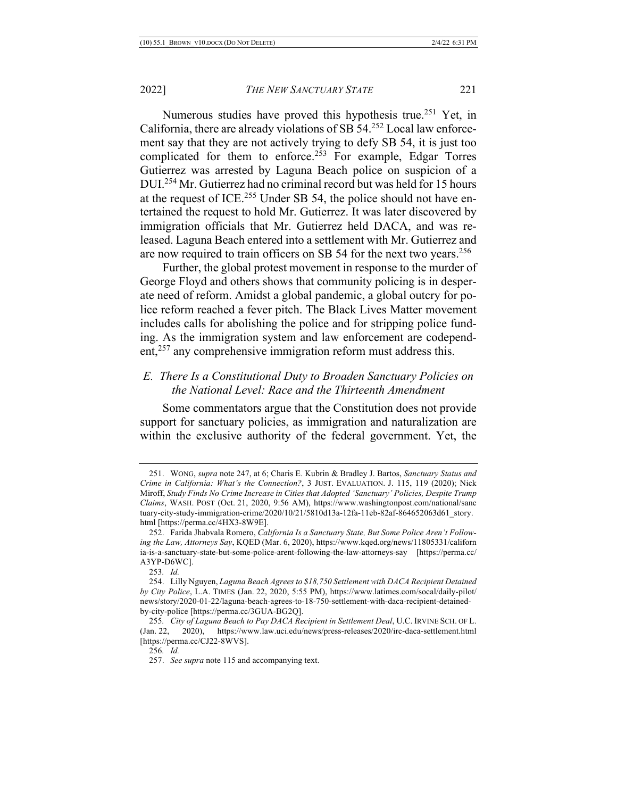Numerous studies have proved this hypothesis true.<sup>251</sup> Yet, in California, there are already violations of SB 54.252 Local law enforcement say that they are not actively trying to defy SB 54, it is just too complicated for them to enforce.<sup>253</sup> For example, Edgar Torres Gutierrez was arrested by Laguna Beach police on suspicion of a DUI.254 Mr. Gutierrez had no criminal record but was held for 15 hours at the request of ICE.<sup>255</sup> Under SB 54, the police should not have entertained the request to hold Mr. Gutierrez. It was later discovered by immigration officials that Mr. Gutierrez held DACA, and was released. Laguna Beach entered into a settlement with Mr. Gutierrez and are now required to train officers on SB 54 for the next two years.<sup>256</sup>

Further, the global protest movement in response to the murder of George Floyd and others shows that community policing is in desperate need of reform. Amidst a global pandemic, a global outcry for police reform reached a fever pitch. The Black Lives Matter movement includes calls for abolishing the police and for stripping police funding. As the immigration system and law enforcement are codependent,<sup>257</sup> any comprehensive immigration reform must address this.

## *E. There Is a Constitutional Duty to Broaden Sanctuary Policies on the National Level: Race and the Thirteenth Amendment*

Some commentators argue that the Constitution does not provide support for sanctuary policies, as immigration and naturalization are within the exclusive authority of the federal government. Yet, the

<sup>251.</sup> WONG, *supra* note 247, at 6; Charis E. Kubrin & Bradley J. Bartos, *Sanctuary Status and Crime in California: What's the Connection?*, 3 JUST. EVALUATION. J. 115, 119 (2020); Nick Miroff, *Study Finds No Crime Increase in Cities that Adopted 'Sanctuary' Policies, Despite Trump Claims*, WASH. POST (Oct. 21, 2020, 9:56 AM), https://www.washingtonpost.com/national/sanc tuary-city-study-immigration-crime/2020/10/21/5810d13a-12fa-11eb-82af-864652063d61\_story. html [https://perma.cc/4HX3-8W9E].

<sup>252.</sup> Farida Jhabvala Romero, *California Is a Sanctuary State, But Some Police Aren't Following the Law, Attorneys Say*, KQED (Mar. 6, 2020), https://www.kqed.org/news/11805331/californ ia-is-a-sanctuary-state-but-some-police-arent-following-the-law-attorneys-say [https://perma.cc/ A3YP-D6WC].

<sup>253</sup>*. Id.*

<sup>254.</sup> Lilly Nguyen, *Laguna Beach Agrees to \$18,750 Settlement with DACA Recipient Detained by City Police*, L.A. TIMES (Jan. 22, 2020, 5:55 PM), https://www.latimes.com/socal/daily-pilot/ news/story/2020-01-22/laguna-beach-agrees-to-18-750-settlement-with-daca-recipient-detainedby-city-police [https://perma.cc/3GUA-BG2Q].

<sup>255</sup>*. City of Laguna Beach to Pay DACA Recipient in Settlement Deal*, U.C. IRVINE SCH. OF L. (Jan. 22, 2020), https://www.law.uci.edu/news/press-releases/2020/irc-daca-settlement.html [https://perma.cc/CJ22-8WVS].

<sup>256</sup>*. Id.*

<sup>257.</sup> *See supra* note 115 and accompanying text.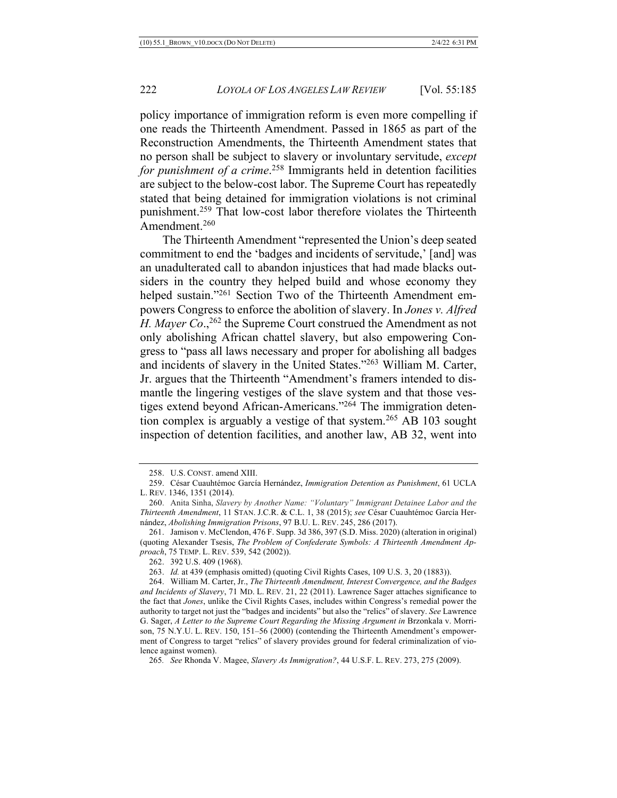policy importance of immigration reform is even more compelling if one reads the Thirteenth Amendment. Passed in 1865 as part of the Reconstruction Amendments, the Thirteenth Amendment states that no person shall be subject to slavery or involuntary servitude, *except for punishment of a crime*. <sup>258</sup> Immigrants held in detention facilities are subject to the below-cost labor. The Supreme Court has repeatedly stated that being detained for immigration violations is not criminal punishment.<sup>259</sup> That low-cost labor therefore violates the Thirteenth Amendment.260

The Thirteenth Amendment "represented the Union's deep seated commitment to end the 'badges and incidents of servitude,' [and] was an unadulterated call to abandon injustices that had made blacks outsiders in the country they helped build and whose economy they helped sustain."<sup>261</sup> Section Two of the Thirteenth Amendment empowers Congress to enforce the abolition of slavery. In *Jones v. Alfred H. Mayer Co.*,<sup>262</sup> the Supreme Court construed the Amendment as not only abolishing African chattel slavery, but also empowering Congress to "pass all laws necessary and proper for abolishing all badges and incidents of slavery in the United States."263 William M. Carter, Jr. argues that the Thirteenth "Amendment's framers intended to dismantle the lingering vestiges of the slave system and that those vestiges extend beyond African-Americans."264 The immigration detention complex is arguably a vestige of that system.<sup>265</sup> AB 103 sought inspection of detention facilities, and another law, AB 32, went into

265*. See* Rhonda V. Magee, *Slavery As Immigration?*, 44 U.S.F. L. REV. 273, 275 (2009).

<sup>258.</sup> U.S. CONST. amend XIII.

<sup>259.</sup> César Cuauhtémoc García Hernández, *Immigration Detention as Punishment*, 61 UCLA L. REV. 1346, 1351 (2014).

<sup>260.</sup> Anita Sinha, *Slavery by Another Name: "Voluntary" Immigrant Detainee Labor and the Thirteenth Amendment*, 11 STAN. J.C.R. & C.L. 1, 38 (2015); *see* César Cuauhtémoc García Hernández, *Abolishing Immigration Prisons*, 97 B.U. L. REV. 245, 286 (2017).

<sup>261.</sup> Jamison v. McClendon, 476 F. Supp. 3d 386, 397 (S.D. Miss. 2020) (alteration in original) (quoting Alexander Tsesis, *The Problem of Confederate Symbols: A Thirteenth Amendment Approach*, 75 TEMP. L. REV. 539, 542 (2002)).

<sup>262.</sup> 392 U.S. 409 (1968).

<sup>263.</sup> *Id.* at 439 (emphasis omitted) (quoting Civil Rights Cases, 109 U.S. 3, 20 (1883)).

<sup>264.</sup> William M. Carter, Jr., *The Thirteenth Amendment, Interest Convergence, and the Badges and Incidents of Slavery*, 71 MD. L. REV. 21, 22 (2011). Lawrence Sager attaches significance to the fact that *Jones*, unlike the Civil Rights Cases, includes within Congress's remedial power the authority to target not just the "badges and incidents" but also the "relics" of slavery. *See* Lawrence G. Sager, *A Letter to the Supreme Court Regarding the Missing Argument in* Brzonkala v. Morrison, 75 N.Y.U. L. REV. 150, 151–56 (2000) (contending the Thirteenth Amendment's empowerment of Congress to target "relics" of slavery provides ground for federal criminalization of violence against women).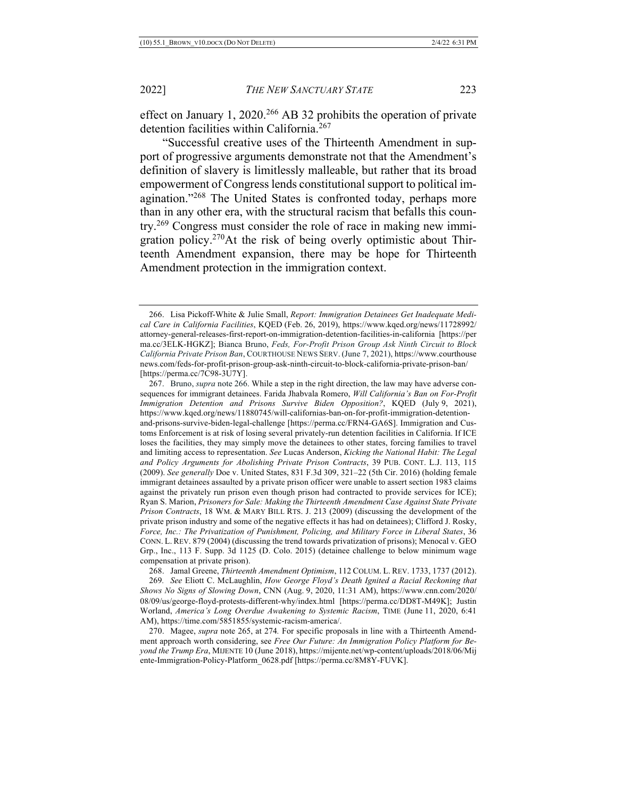effect on January 1, 2020.<sup>266</sup> AB 32 prohibits the operation of private detention facilities within California.<sup>267</sup>

"Successful creative uses of the Thirteenth Amendment in support of progressive arguments demonstrate not that the Amendment's definition of slavery is limitlessly malleable, but rather that its broad empowerment of Congress lends constitutional support to political imagination."268 The United States is confronted today, perhaps more than in any other era, with the structural racism that befalls this country.269 Congress must consider the role of race in making new immigration policy.270At the risk of being overly optimistic about Thirteenth Amendment expansion, there may be hope for Thirteenth Amendment protection in the immigration context.

268. Jamal Greene, *Thirteenth Amendment Optimism*, 112 COLUM. L. REV. 1733, 1737 (2012).

<sup>266.</sup> Lisa Pickoff-White & Julie Small, *Report: Immigration Detainees Get Inadequate Medical Care in California Facilities*, KQED (Feb. 26, 2019), https://www.kqed.org/news/11728992/ attorney-general-releases-first-report-on-immigration-detention-facilities-in-california [https://per ma.cc/3ELK-HGKZ]; Bianca Bruno, *Feds, For-Profit Prison Group Ask Ninth Circuit to Block California Private Prison Ban*, COURTHOUSE NEWS SERV. (June 7, 2021), https://www.courthouse news.com/feds-for-profit-prison-group-ask-ninth-circuit-to-block-california-private-prison-ban/ [https://perma.cc/7C98-3U7Y].

<sup>267.</sup> Bruno, *supra* note 266. While a step in the right direction, the law may have adverse consequences for immigrant detainees. Farida Jhabvala Romero, *Will California's Ban on For-Profit Immigration Detention and Prisons Survive Biden Opposition?*, KQED (July 9, 2021), https://www.kqed.org/news/11880745/will-californias-ban-on-for-profit-immigration-detentionand-prisons-survive-biden-legal-challenge [https://perma.cc/FRN4-GA6S]. Immigration and Customs Enforcement is at risk of losing several privately-run detention facilities in California. If ICE loses the facilities, they may simply move the detainees to other states, forcing families to travel and limiting access to representation. *See* Lucas Anderson, *Kicking the National Habit: The Legal and Policy Arguments for Abolishing Private Prison Contracts*, 39 PUB. CONT. L.J. 113, 115 (2009). *See generally* Doe v. United States, 831 F.3d 309, 321–22 (5th Cir. 2016) (holding female immigrant detainees assaulted by a private prison officer were unable to assert section 1983 claims against the privately run prison even though prison had contracted to provide services for ICE); Ryan S. Marion, *Prisoners for Sale: Making the Thirteenth Amendment Case Against State Private Prison Contracts*, 18 WM. & MARY BILL RTS. J. 213 (2009) (discussing the development of the private prison industry and some of the negative effects it has had on detainees); Clifford J. Rosky, *Force, Inc.: The Privatization of Punishment, Policing, and Military Force in Liberal States*, 36 CONN. L. REV. 879 (2004) (discussing the trend towards privatization of prisons); Menocal v. GEO Grp., Inc., 113 F. Supp. 3d 1125 (D. Colo. 2015) (detainee challenge to below minimum wage compensation at private prison).

<sup>269</sup>*. See* Eliott C. McLaughlin, *How George Floyd's Death Ignited a Racial Reckoning that Shows No Signs of Slowing Down*, CNN (Aug. 9, 2020, 11:31 AM), https://www.cnn.com/2020/ 08/09/us/george-floyd-protests-different-why/index.html [https://perma.cc/DD8T-M49K]; Justin Worland, *America's Long Overdue Awakening to Systemic Racism*, TIME (June 11, 2020, 6:41 AM), https://time.com/5851855/systemic-racism-america/.

<sup>270.</sup> Magee, *supra* note 265, at 274*.* For specific proposals in line with a Thirteenth Amendment approach worth considering, see *Free Our Future: An Immigration Policy Platform for Beyond the Trump Era*, MIJENTE 10 (June 2018), https://mijente.net/wp-content/uploads/2018/06/Mij ente-Immigration-Policy-Platform\_0628.pdf [https://perma.cc/8M8Y-FUVK].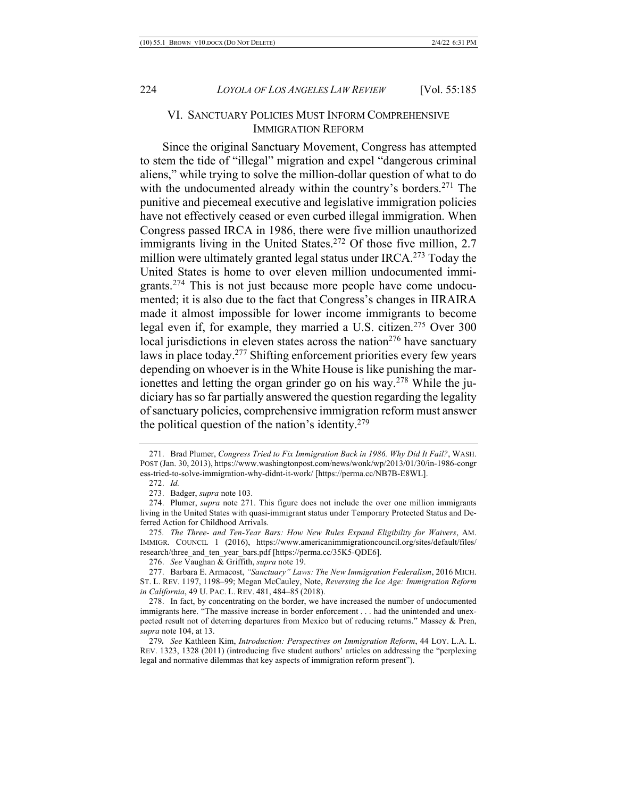## VI. SANCTUARY POLICIES MUST INFORM COMPREHENSIVE IMMIGRATION REFORM

Since the original Sanctuary Movement, Congress has attempted to stem the tide of "illegal" migration and expel "dangerous criminal aliens," while trying to solve the million-dollar question of what to do with the undocumented already within the country's borders.<sup>271</sup> The punitive and piecemeal executive and legislative immigration policies have not effectively ceased or even curbed illegal immigration. When Congress passed IRCA in 1986, there were five million unauthorized immigrants living in the United States.<sup>272</sup> Of those five million, 2.7 million were ultimately granted legal status under  $IRCA<sup>273</sup>$  Today the United States is home to over eleven million undocumented immigrants.274 This is not just because more people have come undocumented; it is also due to the fact that Congress's changes in IIRAIRA made it almost impossible for lower income immigrants to become legal even if, for example, they married a U.S. citizen.<sup>275</sup> Over 300 local jurisdictions in eleven states across the nation<sup>276</sup> have sanctuary laws in place today.277 Shifting enforcement priorities every few years depending on whoever is in the White House is like punishing the marionettes and letting the organ grinder go on his way.<sup>278</sup> While the judiciary has so far partially answered the question regarding the legality of sanctuary policies, comprehensive immigration reform must answer the political question of the nation's identity.<sup>279</sup>

276. *See* Vaughan & Griffith, *supra* note 19.

277. Barbara E. Armacost, *"Sanctuary" Laws: The New Immigration Federalism*, 2016 MICH. ST. L. REV. 1197, 1198–99; Megan McCauley, Note, *Reversing the Ice Age: Immigration Reform in California*, 49 U. PAC. L. REV. 481, 484–85 (2018).

<sup>271.</sup> Brad Plumer, *Congress Tried to Fix Immigration Back in 1986. Why Did It Fail?*, WASH. POST (Jan. 30, 2013), https://www.washingtonpost.com/news/wonk/wp/2013/01/30/in-1986-congr ess-tried-to-solve-immigration-why-didnt-it-work/ [https://perma.cc/NB7B-E8WL].

<sup>272.</sup> *Id.*

<sup>273.</sup> Badger, *supra* note 103.

<sup>274.</sup> Plumer, *supra* note 271. This figure does not include the over one million immigrants living in the United States with quasi-immigrant status under Temporary Protected Status and Deferred Action for Childhood Arrivals.

<sup>275</sup>*. The Three- and Ten-Year Bars: How New Rules Expand Eligibility for Waivers*, AM. IMMIGR. COUNCIL 1 (2016), https://www.americanimmigrationcouncil.org/sites/default/files/ research/three\_and\_ten\_year\_bars.pdf [https://perma.cc/35K5-QDE6].

<sup>278.</sup> In fact, by concentrating on the border, we have increased the number of undocumented immigrants here. "The massive increase in border enforcement . . . had the unintended and unexpected result not of deterring departures from Mexico but of reducing returns." Massey & Pren, *supra* note 104, at 13.

<sup>279</sup>*. See* Kathleen Kim, *Introduction: Perspectives on Immigration Reform*, 44 LOY. L.A. L. REV. 1323, 1328 (2011) (introducing five student authors' articles on addressing the "perplexing legal and normative dilemmas that key aspects of immigration reform present").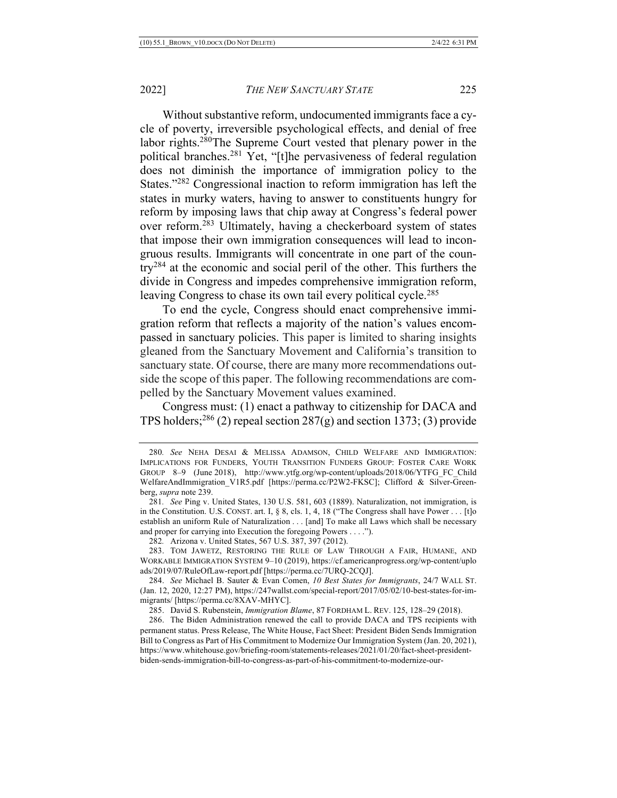Without substantive reform, undocumented immigrants face a cycle of poverty, irreversible psychological effects, and denial of free labor rights.280The Supreme Court vested that plenary power in the political branches.281 Yet, "[t]he pervasiveness of federal regulation does not diminish the importance of immigration policy to the States."282 Congressional inaction to reform immigration has left the states in murky waters, having to answer to constituents hungry for reform by imposing laws that chip away at Congress's federal power over reform.283 Ultimately, having a checkerboard system of states that impose their own immigration consequences will lead to incongruous results. Immigrants will concentrate in one part of the country284 at the economic and social peril of the other. This furthers the divide in Congress and impedes comprehensive immigration reform, leaving Congress to chase its own tail every political cycle.<sup>285</sup>

To end the cycle, Congress should enact comprehensive immigration reform that reflects a majority of the nation's values encompassed in sanctuary policies. This paper is limited to sharing insights gleaned from the Sanctuary Movement and California's transition to sanctuary state. Of course, there are many more recommendations outside the scope of this paper. The following recommendations are compelled by the Sanctuary Movement values examined.

Congress must: (1) enact a pathway to citizenship for DACA and TPS holders;<sup>286</sup> (2) repeal section  $287(g)$  and section 1373; (3) provide

<sup>280</sup>*. See* NEHA DESAI & MELISSA ADAMSON, CHILD WELFARE AND IMMIGRATION: IMPLICATIONS FOR FUNDERS, YOUTH TRANSITION FUNDERS GROUP: FOSTER CARE WORK GROUP 8–9 (June 2018), http://www.ytfg.org/wp-content/uploads/2018/06/YTFG\_FC\_Child WelfareAndImmigration\_V1R5.pdf [https://perma.cc/P2W2-FKSC]; Clifford & Silver-Greenberg, *supra* note 239.

<sup>281</sup>*. See* Ping v. United States, 130 U.S. 581, 603 (1889). Naturalization, not immigration, is in the Constitution. U.S. CONST. art. I, § 8, cls. 1, 4, 18 ("The Congress shall have Power . . . [t]o establish an uniform Rule of Naturalization . . . [and] To make all Laws which shall be necessary and proper for carrying into Execution the foregoing Powers . . . .").

<sup>282</sup>*.* Arizona v. United States, 567 U.S. 387, 397 (2012).

<sup>283.</sup> TOM JAWETZ, RESTORING THE RULE OF LAW THROUGH A FAIR, HUMANE, AND WORKABLE IMMIGRATION SYSTEM 9–10 (2019), https://cf.americanprogress.org/wp-content/uplo ads/2019/07/RuleOfLaw-report.pdf [https://perma.cc/7URQ-2CQJ].

<sup>284.</sup> *See* Michael B. Sauter & Evan Comen, *10 Best States for Immigrants*, 24/7 WALL ST. (Jan. 12, 2020, 12:27 PM), https://247wallst.com/special-report/2017/05/02/10-best-states-for-immigrants/ [https://perma.cc/8XAV-MHYC].

<sup>285.</sup> David S. Rubenstein, *Immigration Blame*, 87 FORDHAM L. REV. 125, 128–29 (2018).

<sup>286.</sup> The Biden Administration renewed the call to provide DACA and TPS recipients with permanent status. Press Release, The White House, Fact Sheet: President Biden Sends Immigration Bill to Congress as Part of His Commitment to Modernize Our Immigration System (Jan. 20, 2021), https://www.whitehouse.gov/briefing-room/statements-releases/2021/01/20/fact-sheet-presidentbiden-sends-immigration-bill-to-congress-as-part-of-his-commitment-to-modernize-our-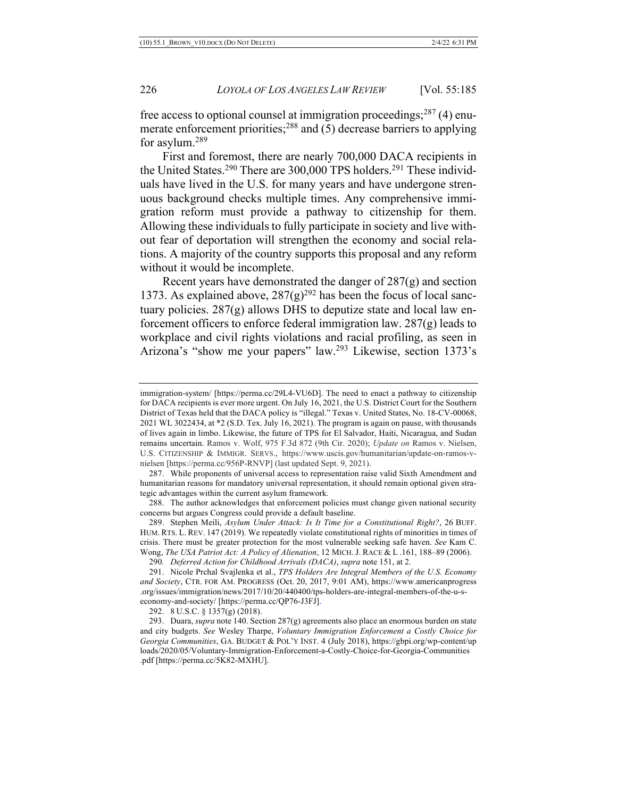free access to optional counsel at immigration proceedings;  $287(4)$  enumerate enforcement priorities;<sup>288</sup> and (5) decrease barriers to applying for asylum.289

First and foremost, there are nearly 700,000 DACA recipients in the United States.<sup>290</sup> There are 300,000 TPS holders.<sup>291</sup> These individuals have lived in the U.S. for many years and have undergone strenuous background checks multiple times. Any comprehensive immigration reform must provide a pathway to citizenship for them. Allowing these individuals to fully participate in society and live without fear of deportation will strengthen the economy and social relations. A majority of the country supports this proposal and any reform without it would be incomplete.

Recent years have demonstrated the danger of 287(g) and section 1373. As explained above,  $287(g)^{292}$  has been the focus of local sanctuary policies. 287(g) allows DHS to deputize state and local law enforcement officers to enforce federal immigration law. 287(g) leads to workplace and civil rights violations and racial profiling, as seen in Arizona's "show me your papers" law.293 Likewise, section 1373's

immigration-system/ [https://perma.cc/29L4-VU6D]. The need to enact a pathway to citizenship for DACA recipients is ever more urgent. On July 16, 2021, the U.S. District Court for the Southern District of Texas held that the DACA policy is "illegal." Texas v. United States, No. 18-CV-00068, 2021 WL 3022434, at \*2 (S.D. Tex. July 16, 2021). The program is again on pause, with thousands of lives again in limbo. Likewise, the future of TPS for El Salvador, Haiti, Nicaragua, and Sudan remains uncertain. Ramos v. Wolf, 975 F.3d 872 (9th Cir. 2020); *Update on* Ramos v. Nielsen, U.S. CITIZENSHIP & IMMIGR. SERVS., https://www.uscis.gov/humanitarian/update-on-ramos-vnielsen [https://perma.cc/956P-RNVP] (last updated Sept. 9, 2021).

<sup>287.</sup> While proponents of universal access to representation raise valid Sixth Amendment and humanitarian reasons for mandatory universal representation, it should remain optional given strategic advantages within the current asylum framework.

<sup>288.</sup> The author acknowledges that enforcement policies must change given national security concerns but argues Congress could provide a default baseline.

<sup>289.</sup> Stephen Meili, *Asylum Under Attack: Is It Time for a Constitutional Right?*, 26 BUFF. HUM. RTS. L. REV. 147 (2019). We repeatedly violate constitutional rights of minorities in times of crisis. There must be greater protection for the most vulnerable seeking safe haven. *See* Kam C. Wong, *The USA Patriot Act: A Policy of Alienation*, 12 MICH. J. RACE & L .161, 188–89 (2006).

<sup>290</sup>*. Deferred Action for Childhood Arrivals (DACA)*, *supra* note 151, at 2.

<sup>291.</sup> Nicole Prchal Svajlenka et al., *TPS Holders Are Integral Members of the U.S. Economy and Society*, CTR. FOR AM. PROGRESS (Oct. 20, 2017, 9:01 AM), https://www.americanprogress .org/issues/immigration/news/2017/10/20/440400/tps-holders-are-integral-members-of-the-u-seconomy-and-society/ [https://perma.cc/QP76-J3FJ].

<sup>292.</sup> 8 U.S.C. § 1357(g) (2018).

<sup>293.</sup> Duara, *supra* note 140. Section 287(g) agreements also place an enormous burden on state and city budgets. *See* Wesley Tharpe, *Voluntary Immigration Enforcement a Costly Choice for Georgia Communities*, GA. BUDGET & POL'Y INST. 4 (July 2018), https://gbpi.org/wp-content/up loads/2020/05/Voluntary-Immigration-Enforcement-a-Costly-Choice-for-Georgia-Communities .pdf [https://perma.cc/5K82-MXHU].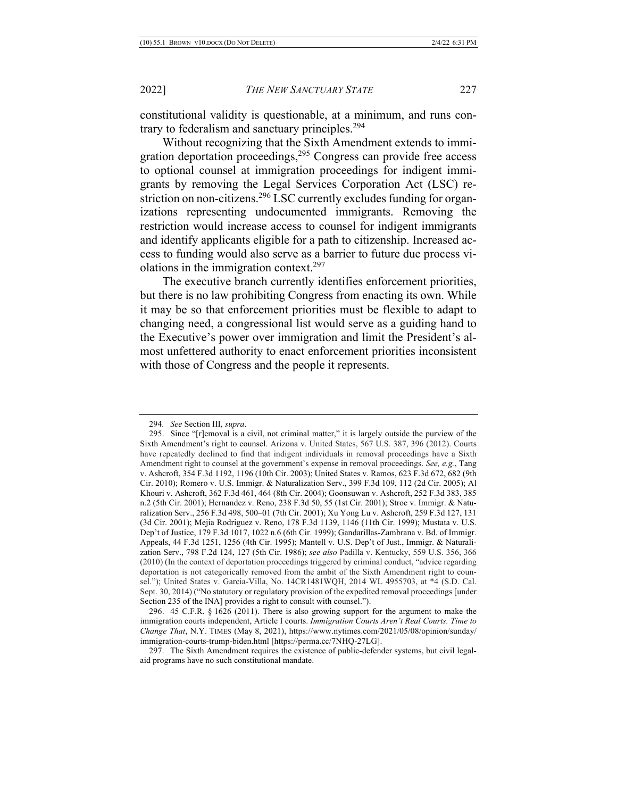constitutional validity is questionable, at a minimum, and runs contrary to federalism and sanctuary principles.<sup>294</sup>

Without recognizing that the Sixth Amendment extends to immigration deportation proceedings,  $295$  Congress can provide free access to optional counsel at immigration proceedings for indigent immigrants by removing the Legal Services Corporation Act (LSC) restriction on non-citizens.<sup>296</sup> LSC currently excludes funding for organizations representing undocumented immigrants. Removing the restriction would increase access to counsel for indigent immigrants and identify applicants eligible for a path to citizenship. Increased access to funding would also serve as a barrier to future due process violations in the immigration context.297

The executive branch currently identifies enforcement priorities, but there is no law prohibiting Congress from enacting its own. While it may be so that enforcement priorities must be flexible to adapt to changing need, a congressional list would serve as a guiding hand to the Executive's power over immigration and limit the President's almost unfettered authority to enact enforcement priorities inconsistent with those of Congress and the people it represents.

<sup>294</sup>*. See* Section III, *supra*.

<sup>295.</sup> Since "[r]emoval is a civil, not criminal matter," it is largely outside the purview of the Sixth Amendment's right to counsel. Arizona v. United States, 567 U.S. 387, 396 (2012). Courts have repeatedly declined to find that indigent individuals in removal proceedings have a Sixth Amendment right to counsel at the government's expense in removal proceedings. *See, e.g.*, Tang v. Ashcroft, 354 F.3d 1192, 1196 (10th Cir. 2003); United States v. Ramos, 623 F.3d 672, 682 (9th Cir. 2010); Romero v. U.S. Immigr. & Naturalization Serv., 399 F.3d 109, 112 (2d Cir. 2005); Al Khouri v. Ashcroft, 362 F.3d 461, 464 (8th Cir. 2004); Goonsuwan v. Ashcroft, 252 F.3d 383, 385 n.2 (5th Cir. 2001); Hernandez v. Reno, 238 F.3d 50, 55 (1st Cir. 2001); Stroe v. Immigr. & Naturalization Serv., 256 F.3d 498, 500–01 (7th Cir. 2001); Xu Yong Lu v. Ashcroft, 259 F.3d 127, 131 (3d Cir. 2001); Mejia Rodriguez v. Reno, 178 F.3d 1139, 1146 (11th Cir. 1999); Mustata v. U.S. Dep't of Justice, 179 F.3d 1017, 1022 n.6 (6th Cir. 1999); Gandarillas-Zambrana v. Bd. of Immigr. Appeals, 44 F.3d 1251, 1256 (4th Cir. 1995); Mantell v. U.S. Dep't of Just., Immigr. & Naturalization Serv., 798 F.2d 124, 127 (5th Cir. 1986); *see also* Padilla v. Kentucky, 559 U.S. 356, 366 (2010) (In the context of deportation proceedings triggered by criminal conduct, "advice regarding deportation is not categorically removed from the ambit of the Sixth Amendment right to counsel."); United States v. Garcia-Villa, No. 14CR1481WQH, 2014 WL 4955703, at \*4 (S.D. Cal. Sept. 30, 2014) ("No statutory or regulatory provision of the expedited removal proceedings [under Section 235 of the INA] provides a right to consult with counsel.").

<sup>296.</sup> 45 C.F.R. § 1626 (2011). There is also growing support for the argument to make the immigration courts independent, Article I courts. *Immigration Courts Aren't Real Courts. Time to Change That*, N.Y. TIMES (May 8, 2021), https://www.nytimes.com/2021/05/08/opinion/sunday/ immigration-courts-trump-biden.html [https://perma.cc/7NHQ-27LG].

<sup>297.</sup> The Sixth Amendment requires the existence of public-defender systems, but civil legalaid programs have no such constitutional mandate.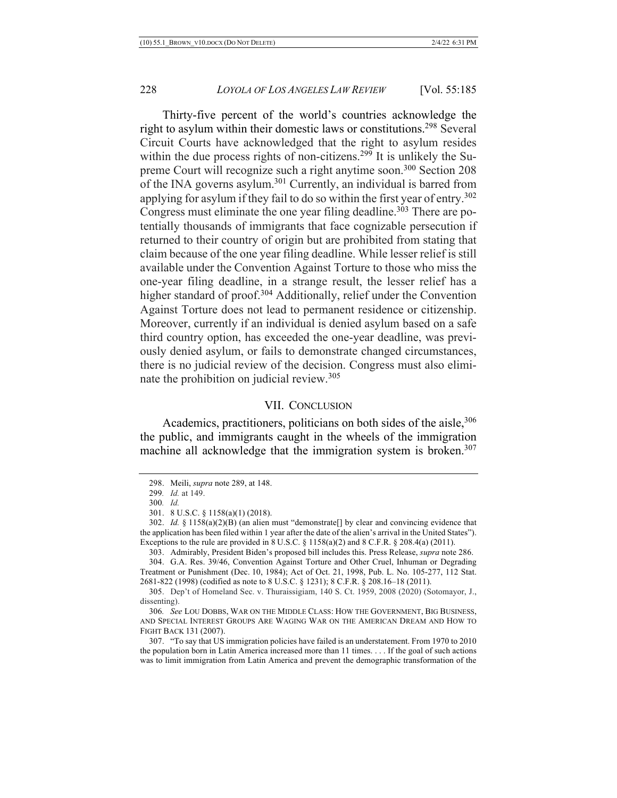Thirty-five percent of the world's countries acknowledge the right to asylum within their domestic laws or constitutions.<sup>298</sup> Several Circuit Courts have acknowledged that the right to asylum resides within the due process rights of non-citizens.<sup>299</sup> It is unlikely the Supreme Court will recognize such a right anytime soon.300 Section 208 of the INA governs asylum.<sup>301</sup> Currently, an individual is barred from applying for asylum if they fail to do so within the first year of entry.<sup>302</sup> Congress must eliminate the one year filing deadline.<sup>303</sup> There are potentially thousands of immigrants that face cognizable persecution if returned to their country of origin but are prohibited from stating that claim because of the one year filing deadline. While lesser relief is still available under the Convention Against Torture to those who miss the one-year filing deadline, in a strange result, the lesser relief has a higher standard of proof.<sup>304</sup> Additionally, relief under the Convention Against Torture does not lead to permanent residence or citizenship. Moreover, currently if an individual is denied asylum based on a safe third country option, has exceeded the one-year deadline, was previously denied asylum, or fails to demonstrate changed circumstances, there is no judicial review of the decision. Congress must also eliminate the prohibition on judicial review.<sup>305</sup>

#### VII. CONCLUSION

Academics, practitioners, politicians on both sides of the aisle.<sup>306</sup> the public, and immigrants caught in the wheels of the immigration machine all acknowledge that the immigration system is broken.<sup>307</sup>

<sup>298.</sup> Meili, *supra* note 289, at 148.

<sup>299</sup>*. Id.* at 149.

<sup>300</sup>*. Id.*

<sup>301.</sup> 8 U.S.C. § 1158(a)(1) (2018).

<sup>302.</sup> *Id.* § 1158(a)(2)(B) (an alien must "demonstrate[] by clear and convincing evidence that the application has been filed within 1 year after the date of the alien's arrival in the United States"). Exceptions to the rule are provided in  $8$  U.S.C.  $\S$  1158(a)(2) and  $8$  C.F.R.  $\S$  208.4(a) (2011).

<sup>303.</sup> Admirably, President Biden's proposed bill includes this. Press Release, *supra* note 286.

<sup>304.</sup> G.A. Res. 39/46, Convention Against Torture and Other Cruel, Inhuman or Degrading Treatment or Punishment (Dec. 10, 1984); Act of Oct. 21, 1998, Pub. L. No. 105-277, 112 Stat. 2681-822 (1998) (codified as note to 8 U.S.C. § 1231); 8 C.F.R. § 208.16–18 (2011).

<sup>305.</sup> Dep't of Homeland Sec. v. Thuraissigiam, 140 S. Ct. 1959, 2008 (2020) (Sotomayor, J., dissenting).

<sup>306</sup>*. See* LOU DOBBS, WAR ON THE MIDDLE CLASS: HOW THE GOVERNMENT, BIG BUSINESS, AND SPECIAL INTEREST GROUPS ARE WAGING WAR ON THE AMERICAN DREAM AND HOW TO FIGHT BACK 131 (2007).

<sup>307.</sup> "To say that US immigration policies have failed is an understatement. From 1970 to 2010 the population born in Latin America increased more than 11 times. . . . If the goal of such actions was to limit immigration from Latin America and prevent the demographic transformation of the